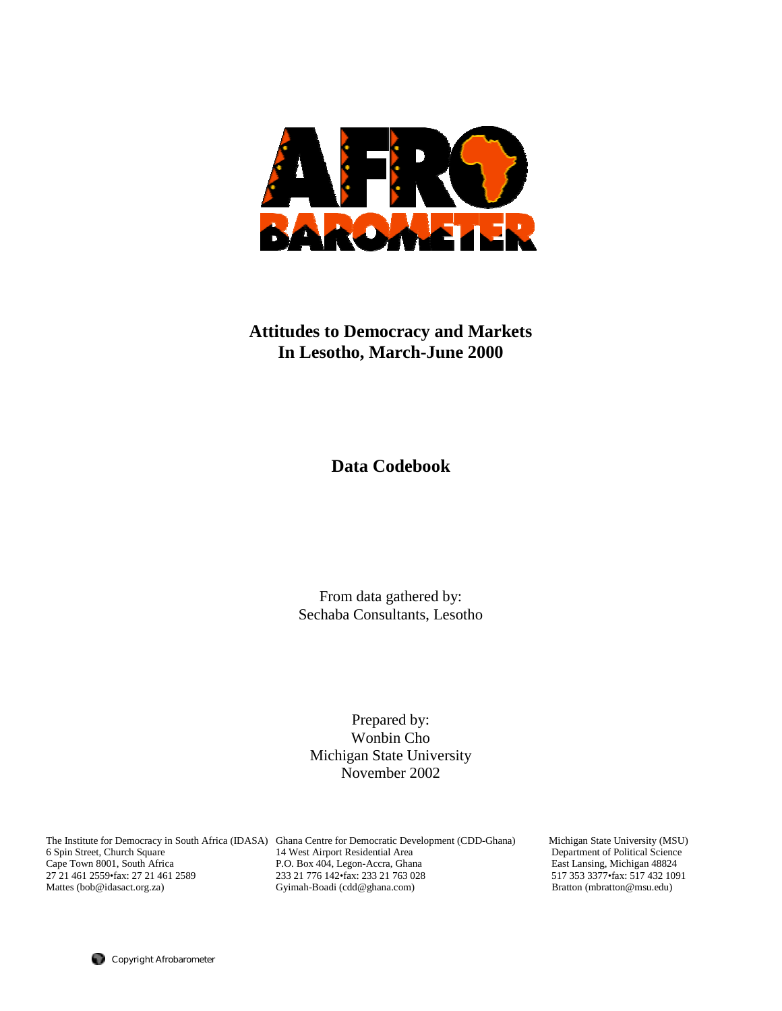

# **Attitudes to Democracy and Markets In Lesotho, March-June 2000**

**Data Codebook** 

From data gathered by: Sechaba Consultants, Lesotho

Prepared by: Wonbin Cho Michigan State University November 2002

The Institute for Democracy in South Africa (IDASA) Ghana Centre for Democratic Development (CDD-Ghana) Michigan State University (MSU)

6 Spin Street, Church Square 14 West Airport Residential Area Department of Political Science Cape Town 8001, South Africa 27 21 461 2589<br>233 21 776 142 1 253 21 763 028 233 21 76 233 21 764 2589 233 21 764 2589 233 21 764 2559 176 142 2 233 21 763 028 27 21 461 2559•fax: 27 21 461 2589 233 21 776 142•fax: 233 21 763 028 517 353 3377•fax: 517 432 10<br>
233 21 776 142•fax: 233 21 763 028 517 353 3377•fax: 517 432 10<br>
233 21 776 142•fax: 233 21 763 028 517 353 3377•fax: 517 Gyimah-Boadi (cdd@ghana.com)

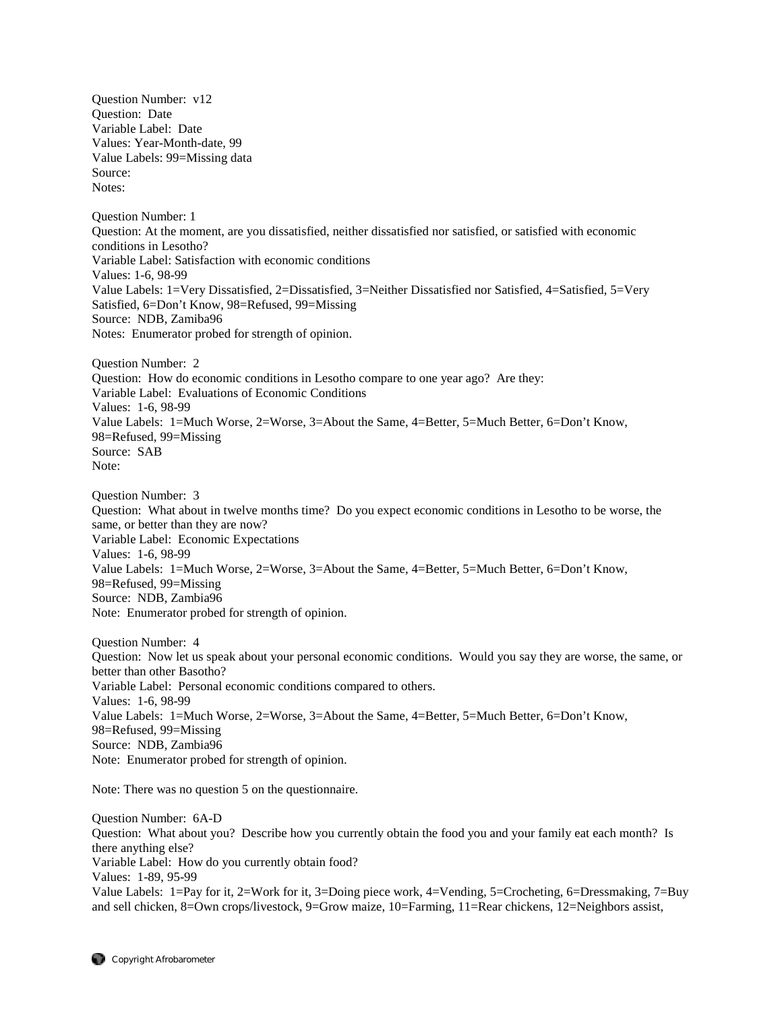Question Number: v12 Question: Date Variable Label: Date Values: Year-Month-date, 99 Value Labels: 99=Missing data Source: Notes: Question Number: 1 Question: At the moment, are you dissatisfied, neither dissatisfied nor satisfied, or satisfied with economic conditions in Lesotho? Variable Label: Satisfaction with economic conditions Values: 1-6, 98-99 Value Labels: 1=Very Dissatisfied, 2=Dissatisfied, 3=Neither Dissatisfied nor Satisfied, 4=Satisfied, 5=Very Satisfied, 6=Don't Know, 98=Refused, 99=Missing Source: NDB, Zamiba96 Notes: Enumerator probed for strength of opinion. Question Number: 2 Question: How do economic conditions in Lesotho compare to one year ago? Are they: Variable Label: Evaluations of Economic Conditions Values: 1-6, 98-99 Value Labels: 1=Much Worse, 2=Worse, 3=About the Same, 4=Better, 5=Much Better, 6=Don't Know, 98=Refused, 99=Missing Source: SAB Note: Question Number: 3 Question: What about in twelve months time? Do you expect economic conditions in Lesotho to be worse, the same, or better than they are now? Variable Label: Economic Expectations Values: 1-6, 98-99 Value Labels: 1=Much Worse, 2=Worse, 3=About the Same, 4=Better, 5=Much Better, 6=Don't Know, 98=Refused, 99=Missing Source: NDB, Zambia96 Note: Enumerator probed for strength of opinion. Question Number: 4 Question: Now let us speak about your personal economic conditions. Would you say they are worse, the same, or better than other Basotho? Variable Label: Personal economic conditions compared to others. Values: 1-6, 98-99 Value Labels: 1=Much Worse, 2=Worse, 3=About the Same, 4=Better, 5=Much Better, 6=Don't Know, 98=Refused, 99=Missing Source: NDB, Zambia96

Note: Enumerator probed for strength of opinion.

Note: There was no question 5 on the questionnaire.

Question Number: 6A-D Question: What about you? Describe how you currently obtain the food you and your family eat each month? Is there anything else? Variable Label: How do you currently obtain food? Values: 1-89, 95-99 Value Labels: 1=Pay for it, 2=Work for it, 3=Doing piece work, 4=Vending, 5=Crocheting, 6=Dressmaking, 7=Buy and sell chicken, 8=Own crops/livestock, 9=Grow maize, 10=Farming, 11=Rear chickens, 12=Neighbors assist,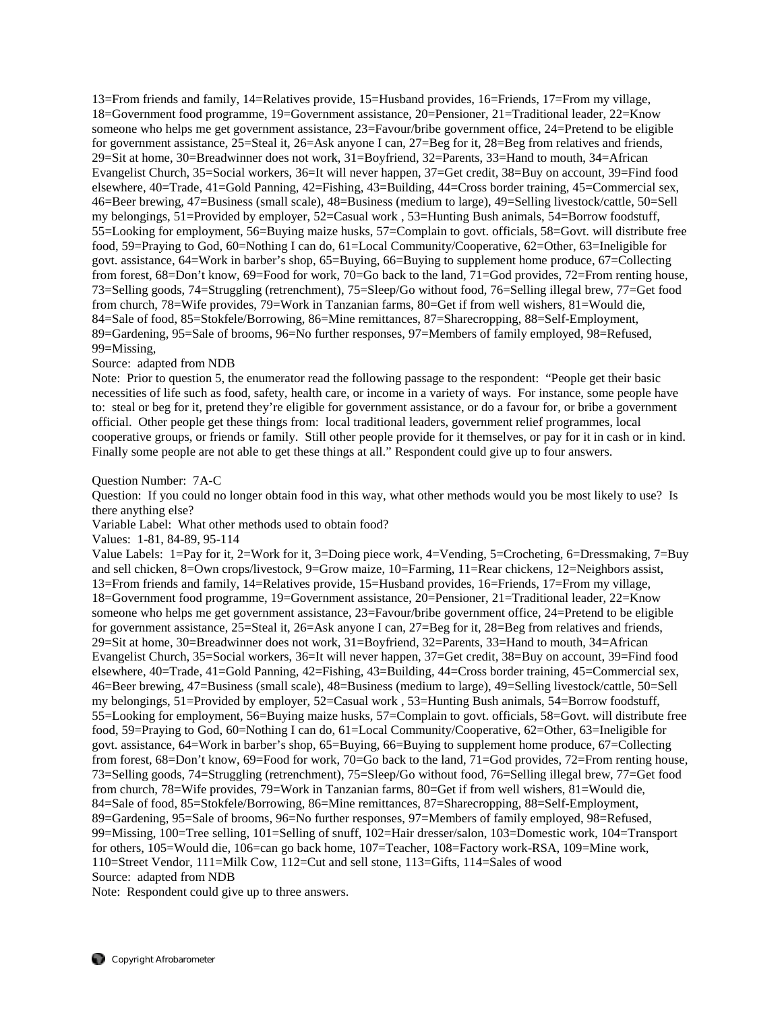13=From friends and family, 14=Relatives provide, 15=Husband provides, 16=Friends, 17=From my village, 18=Government food programme, 19=Government assistance, 20=Pensioner, 21=Traditional leader, 22=Know someone who helps me get government assistance, 23=Favour/bribe government office, 24=Pretend to be eligible for government assistance, 25=Steal it, 26=Ask anyone I can, 27=Beg for it, 28=Beg from relatives and friends, 29=Sit at home, 30=Breadwinner does not work, 31=Boyfriend, 32=Parents, 33=Hand to mouth, 34=African Evangelist Church, 35=Social workers, 36=It will never happen, 37=Get credit, 38=Buy on account, 39=Find food elsewhere, 40=Trade, 41=Gold Panning, 42=Fishing, 43=Building, 44=Cross border training, 45=Commercial sex, 46=Beer brewing, 47=Business (small scale), 48=Business (medium to large), 49=Selling livestock/cattle, 50=Sell my belongings, 51=Provided by employer, 52=Casual work , 53=Hunting Bush animals, 54=Borrow foodstuff, 55=Looking for employment, 56=Buying maize husks, 57=Complain to govt. officials, 58=Govt. will distribute free food, 59=Praying to God, 60=Nothing I can do, 61=Local Community/Cooperative, 62=Other, 63=Ineligible for govt. assistance, 64=Work in barber's shop, 65=Buying, 66=Buying to supplement home produce, 67=Collecting from forest, 68=Don't know, 69=Food for work, 70=Go back to the land, 71=God provides, 72=From renting house, 73=Selling goods, 74=Struggling (retrenchment), 75=Sleep/Go without food, 76=Selling illegal brew, 77=Get food from church, 78=Wife provides, 79=Work in Tanzanian farms, 80=Get if from well wishers, 81=Would die, 84=Sale of food, 85=Stokfele/Borrowing, 86=Mine remittances, 87=Sharecropping, 88=Self-Employment, 89=Gardening, 95=Sale of brooms, 96=No further responses, 97=Members of family employed, 98=Refused, 99=Missing,

## Source: adapted from NDB

Note: Prior to question 5, the enumerator read the following passage to the respondent: "People get their basic necessities of life such as food, safety, health care, or income in a variety of ways. For instance, some people have to: steal or beg for it, pretend they're eligible for government assistance, or do a favour for, or bribe a government official. Other people get these things from: local traditional leaders, government relief programmes, local cooperative groups, or friends or family. Still other people provide for it themselves, or pay for it in cash or in kind. Finally some people are not able to get these things at all." Respondent could give up to four answers.

#### Question Number: 7A-C

Question: If you could no longer obtain food in this way, what other methods would you be most likely to use? Is there anything else?

Variable Label: What other methods used to obtain food?

Values: 1-81, 84-89, 95-114

Value Labels: 1=Pay for it, 2=Work for it, 3=Doing piece work, 4=Vending, 5=Crocheting, 6=Dressmaking, 7=Buy and sell chicken, 8=Own crops/livestock, 9=Grow maize, 10=Farming, 11=Rear chickens, 12=Neighbors assist, 13=From friends and family, 14=Relatives provide, 15=Husband provides, 16=Friends, 17=From my village, 18=Government food programme, 19=Government assistance, 20=Pensioner, 21=Traditional leader, 22=Know someone who helps me get government assistance, 23=Favour/bribe government office, 24=Pretend to be eligible for government assistance, 25=Steal it, 26=Ask anyone I can, 27=Beg for it, 28=Beg from relatives and friends, 29=Sit at home, 30=Breadwinner does not work, 31=Boyfriend, 32=Parents, 33=Hand to mouth, 34=African Evangelist Church, 35=Social workers, 36=It will never happen, 37=Get credit, 38=Buy on account, 39=Find food elsewhere, 40=Trade, 41=Gold Panning, 42=Fishing, 43=Building, 44=Cross border training, 45=Commercial sex, 46=Beer brewing, 47=Business (small scale), 48=Business (medium to large), 49=Selling livestock/cattle, 50=Sell my belongings, 51=Provided by employer, 52=Casual work , 53=Hunting Bush animals, 54=Borrow foodstuff, 55=Looking for employment, 56=Buying maize husks, 57=Complain to govt. officials, 58=Govt. will distribute free food, 59=Praying to God, 60=Nothing I can do, 61=Local Community/Cooperative, 62=Other, 63=Ineligible for govt. assistance, 64=Work in barber's shop, 65=Buying, 66=Buying to supplement home produce, 67=Collecting from forest, 68=Don't know, 69=Food for work, 70=Go back to the land, 71=God provides, 72=From renting house, 73=Selling goods, 74=Struggling (retrenchment), 75=Sleep/Go without food, 76=Selling illegal brew, 77=Get food from church, 78=Wife provides, 79=Work in Tanzanian farms, 80=Get if from well wishers, 81=Would die, 84=Sale of food, 85=Stokfele/Borrowing, 86=Mine remittances, 87=Sharecropping, 88=Self-Employment, 89=Gardening, 95=Sale of brooms, 96=No further responses, 97=Members of family employed, 98=Refused, 99=Missing, 100=Tree selling, 101=Selling of snuff, 102=Hair dresser/salon, 103=Domestic work, 104=Transport for others, 105=Would die, 106=can go back home, 107=Teacher, 108=Factory work-RSA, 109=Mine work, 110=Street Vendor, 111=Milk Cow, 112=Cut and sell stone, 113=Gifts, 114=Sales of wood Source: adapted from NDB

Note: Respondent could give up to three answers.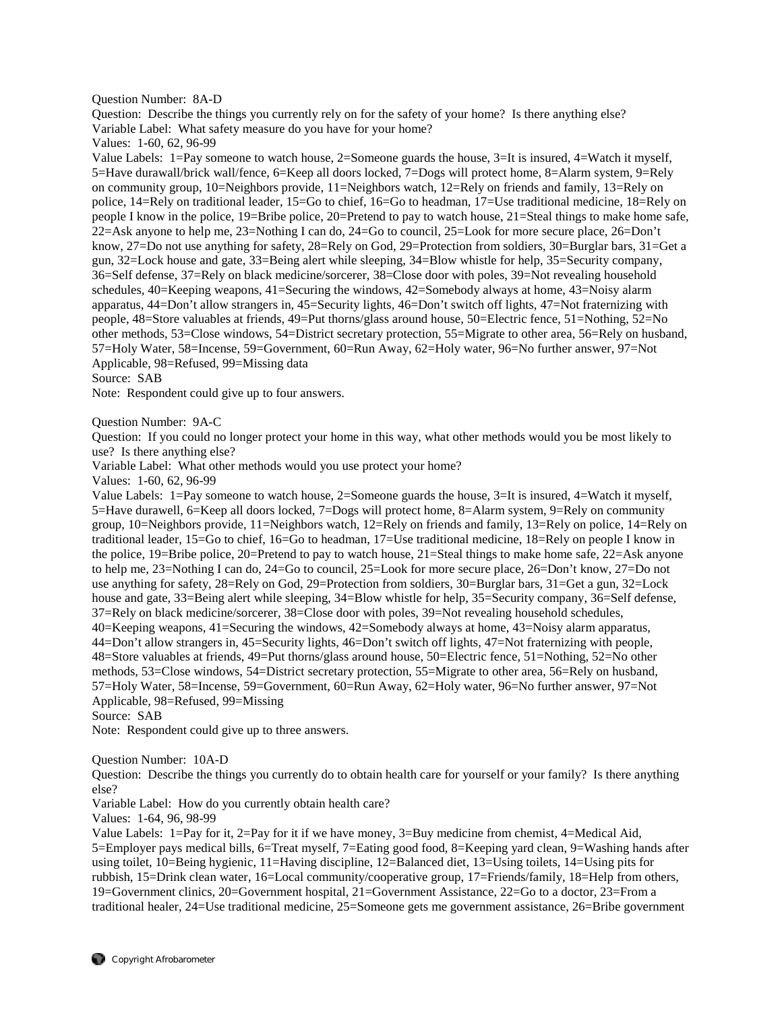Question Number: 8A-D

Question: Describe the things you currently rely on for the safety of your home? Is there anything else? Variable Label: What safety measure do you have for your home?

Values: 1-60, 62, 96-99

Value Labels: 1=Pay someone to watch house, 2=Someone guards the house, 3=It is insured, 4=Watch it myself, 5=Have durawall/brick wall/fence, 6=Keep all doors locked, 7=Dogs will protect home, 8=Alarm system, 9=Rely on community group, 10=Neighbors provide, 11=Neighbors watch, 12=Rely on friends and family, 13=Rely on police, 14=Rely on traditional leader, 15=Go to chief, 16=Go to headman, 17=Use traditional medicine, 18=Rely on people I know in the police, 19=Bribe police, 20=Pretend to pay to watch house, 21=Steal things to make home safe, 22=Ask anyone to help me, 23=Nothing I can do, 24=Go to council, 25=Look for more secure place, 26=Don't know, 27=Do not use anything for safety, 28=Rely on God, 29=Protection from soldiers, 30=Burglar bars, 31=Get a gun, 32=Lock house and gate, 33=Being alert while sleeping, 34=Blow whistle for help, 35=Security company, 36=Self defense, 37=Rely on black medicine/sorcerer, 38=Close door with poles, 39=Not revealing household schedules, 40=Keeping weapons, 41=Securing the windows, 42=Somebody always at home, 43=Noisy alarm apparatus, 44=Don't allow strangers in, 45=Security lights, 46=Don't switch off lights, 47=Not fraternizing with people, 48=Store valuables at friends, 49=Put thorns/glass around house, 50=Electric fence, 51=Nothing, 52=No other methods, 53=Close windows, 54=District secretary protection, 55=Migrate to other area, 56=Rely on husband, 57=Holy Water, 58=Incense, 59=Government, 60=Run Away, 62=Holy water, 96=No further answer, 97=Not Applicable, 98=Refused, 99=Missing data

Source: SAB

Note: Respondent could give up to four answers.

Question Number: 9A-C

Question: If you could no longer protect your home in this way, what other methods would you be most likely to use? Is there anything else?

Variable Label: What other methods would you use protect your home?

Values: 1-60, 62, 96-99

Value Labels: 1=Pay someone to watch house, 2=Someone guards the house, 3=It is insured, 4=Watch it myself, 5=Have durawell, 6=Keep all doors locked, 7=Dogs will protect home, 8=Alarm system, 9=Rely on community group, 10=Neighbors provide, 11=Neighbors watch, 12=Rely on friends and family, 13=Rely on police, 14=Rely on traditional leader, 15=Go to chief, 16=Go to headman, 17=Use traditional medicine, 18=Rely on people I know in the police, 19=Bribe police, 20=Pretend to pay to watch house, 21=Steal things to make home safe, 22=Ask anyone to help me, 23=Nothing I can do, 24=Go to council, 25=Look for more secure place, 26=Don't know, 27=Do not use anything for safety, 28=Rely on God, 29=Protection from soldiers, 30=Burglar bars, 31=Get a gun, 32=Lock house and gate, 33=Being alert while sleeping, 34=Blow whistle for help, 35=Security company, 36=Self defense, 37=Rely on black medicine/sorcerer, 38=Close door with poles, 39=Not revealing household schedules, 40=Keeping weapons, 41=Securing the windows, 42=Somebody always at home, 43=Noisy alarm apparatus, 44=Don't allow strangers in, 45=Security lights, 46=Don't switch off lights, 47=Not fraternizing with people, 48=Store valuables at friends, 49=Put thorns/glass around house, 50=Electric fence, 51=Nothing, 52=No other methods, 53=Close windows, 54=District secretary protection, 55=Migrate to other area, 56=Rely on husband, 57=Holy Water, 58=Incense, 59=Government, 60=Run Away, 62=Holy water, 96=No further answer, 97=Not Applicable, 98=Refused, 99=Missing

Source: SAB

Note: Respondent could give up to three answers.

Question Number: 10A-D

Question: Describe the things you currently do to obtain health care for yourself or your family? Is there anything else?

Variable Label: How do you currently obtain health care?

Values: 1-64, 96, 98-99

Value Labels: 1=Pay for it, 2=Pay for it if we have money, 3=Buy medicine from chemist, 4=Medical Aid, 5=Employer pays medical bills, 6=Treat myself, 7=Eating good food, 8=Keeping yard clean, 9=Washing hands after using toilet, 10=Being hygienic, 11=Having discipline, 12=Balanced diet, 13=Using toilets, 14=Using pits for rubbish, 15=Drink clean water, 16=Local community/cooperative group, 17=Friends/family, 18=Help from others, 19=Government clinics, 20=Government hospital, 21=Government Assistance, 22=Go to a doctor, 23=From a traditional healer, 24=Use traditional medicine, 25=Someone gets me government assistance, 26=Bribe government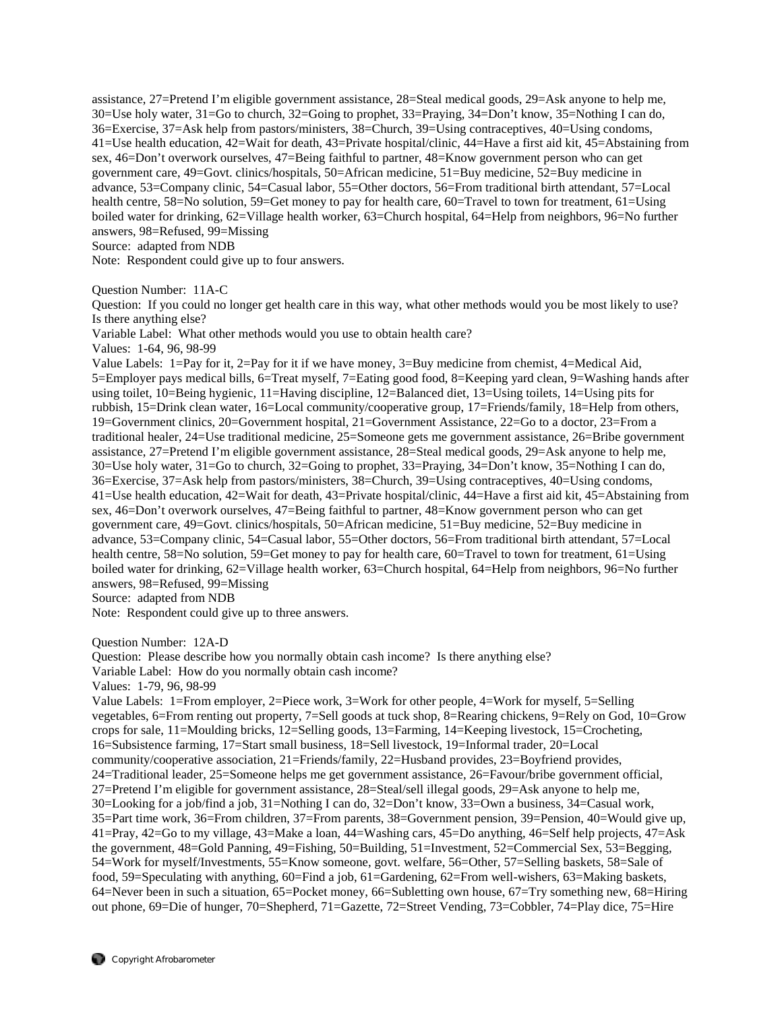assistance, 27=Pretend I'm eligible government assistance, 28=Steal medical goods, 29=Ask anyone to help me, 30=Use holy water, 31=Go to church, 32=Going to prophet, 33=Praying, 34=Don't know, 35=Nothing I can do, 36=Exercise, 37=Ask help from pastors/ministers, 38=Church, 39=Using contraceptives, 40=Using condoms, 41=Use health education, 42=Wait for death, 43=Private hospital/clinic, 44=Have a first aid kit, 45=Abstaining from sex, 46=Don't overwork ourselves, 47=Being faithful to partner, 48=Know government person who can get government care, 49=Govt. clinics/hospitals, 50=African medicine, 51=Buy medicine, 52=Buy medicine in advance, 53=Company clinic, 54=Casual labor, 55=Other doctors, 56=From traditional birth attendant, 57=Local health centre, 58=No solution, 59=Get money to pay for health care, 60=Travel to town for treatment, 61=Using boiled water for drinking, 62=Village health worker, 63=Church hospital, 64=Help from neighbors, 96=No further answers, 98=Refused, 99=Missing

Source: adapted from NDB

Note: Respondent could give up to four answers.

Question Number: 11A-C

Question: If you could no longer get health care in this way, what other methods would you be most likely to use? Is there anything else?

Variable Label: What other methods would you use to obtain health care?

Values: 1-64, 96, 98-99

Value Labels: 1=Pay for it, 2=Pay for it if we have money, 3=Buy medicine from chemist, 4=Medical Aid, 5=Employer pays medical bills, 6=Treat myself, 7=Eating good food, 8=Keeping yard clean, 9=Washing hands after using toilet, 10=Being hygienic, 11=Having discipline, 12=Balanced diet, 13=Using toilets, 14=Using pits for rubbish, 15=Drink clean water, 16=Local community/cooperative group, 17=Friends/family, 18=Help from others, 19=Government clinics, 20=Government hospital, 21=Government Assistance, 22=Go to a doctor, 23=From a traditional healer, 24=Use traditional medicine, 25=Someone gets me government assistance, 26=Bribe government assistance, 27=Pretend I'm eligible government assistance, 28=Steal medical goods, 29=Ask anyone to help me, 30=Use holy water, 31=Go to church, 32=Going to prophet, 33=Praying, 34=Don't know, 35=Nothing I can do, 36=Exercise, 37=Ask help from pastors/ministers, 38=Church, 39=Using contraceptives, 40=Using condoms, 41=Use health education, 42=Wait for death, 43=Private hospital/clinic, 44=Have a first aid kit, 45=Abstaining from sex, 46=Don't overwork ourselves, 47=Being faithful to partner, 48=Know government person who can get government care, 49=Govt. clinics/hospitals, 50=African medicine, 51=Buy medicine, 52=Buy medicine in advance, 53=Company clinic, 54=Casual labor, 55=Other doctors, 56=From traditional birth attendant, 57=Local health centre, 58=No solution, 59=Get money to pay for health care, 60=Travel to town for treatment, 61=Using boiled water for drinking, 62=Village health worker, 63=Church hospital, 64=Help from neighbors, 96=No further answers, 98=Refused, 99=Missing

Source: adapted from NDB

Note: Respondent could give up to three answers.

Question Number: 12A-D

Question: Please describe how you normally obtain cash income? Is there anything else?

Variable Label: How do you normally obtain cash income?

Values: 1-79, 96, 98-99

Value Labels: 1=From employer, 2=Piece work, 3=Work for other people, 4=Work for myself, 5=Selling vegetables, 6=From renting out property, 7=Sell goods at tuck shop, 8=Rearing chickens, 9=Rely on God, 10=Grow crops for sale, 11=Moulding bricks, 12=Selling goods, 13=Farming, 14=Keeping livestock, 15=Crocheting, 16=Subsistence farming, 17=Start small business, 18=Sell livestock, 19=Informal trader, 20=Local community/cooperative association, 21=Friends/family, 22=Husband provides, 23=Boyfriend provides, 24=Traditional leader, 25=Someone helps me get government assistance, 26=Favour/bribe government official, 27=Pretend I'm eligible for government assistance, 28=Steal/sell illegal goods, 29=Ask anyone to help me, 30=Looking for a job/find a job, 31=Nothing I can do, 32=Don't know, 33=Own a business, 34=Casual work, 35=Part time work, 36=From children, 37=From parents, 38=Government pension, 39=Pension, 40=Would give up, 41=Pray, 42=Go to my village, 43=Make a loan, 44=Washing cars, 45=Do anything, 46=Self help projects, 47=Ask the government, 48=Gold Panning, 49=Fishing, 50=Building, 51=Investment, 52=Commercial Sex, 53=Begging, 54=Work for myself/Investments, 55=Know someone, govt. welfare, 56=Other, 57=Selling baskets, 58=Sale of food, 59=Speculating with anything, 60=Find a job, 61=Gardening, 62=From well-wishers, 63=Making baskets, 64=Never been in such a situation, 65=Pocket money, 66=Subletting own house, 67=Try something new, 68=Hiring out phone, 69=Die of hunger, 70=Shepherd, 71=Gazette, 72=Street Vending, 73=Cobbler, 74=Play dice, 75=Hire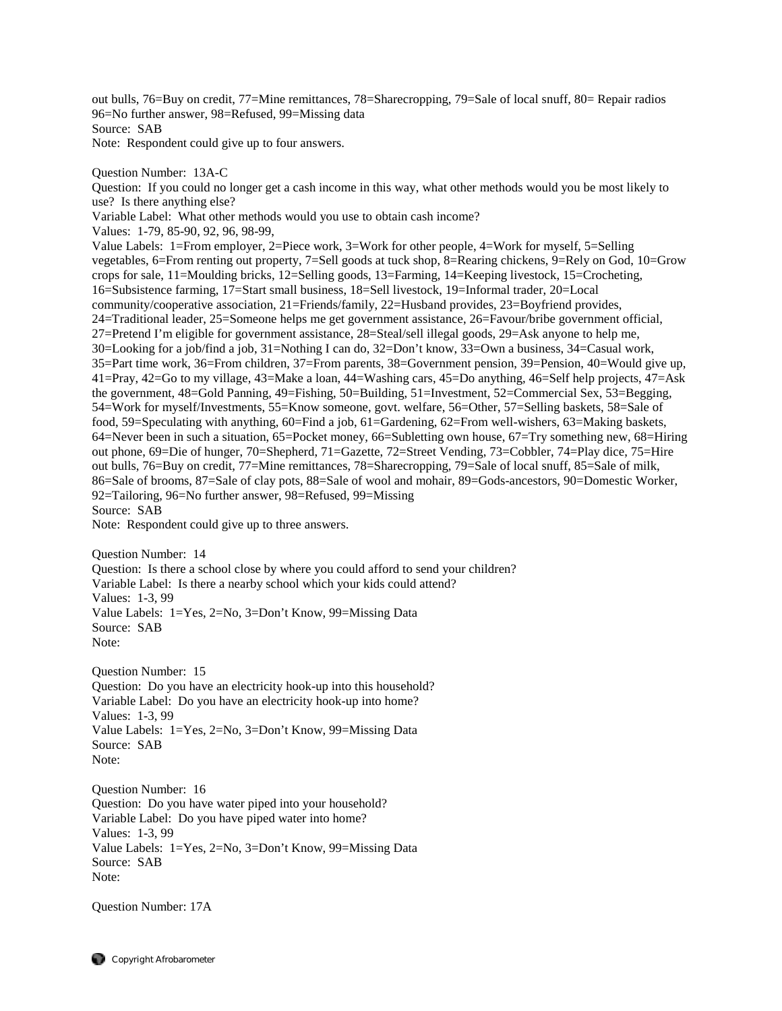out bulls, 76=Buy on credit, 77=Mine remittances, 78=Sharecropping, 79=Sale of local snuff, 80= Repair radios 96=No further answer, 98=Refused, 99=Missing data Source: SAB Note: Respondent could give up to four answers.

Question Number: 13A-C

Question: If you could no longer get a cash income in this way, what other methods would you be most likely to use? Is there anything else?

Variable Label: What other methods would you use to obtain cash income?

Values: 1-79, 85-90, 92, 96, 98-99,

Value Labels: 1=From employer, 2=Piece work, 3=Work for other people, 4=Work for myself, 5=Selling vegetables, 6=From renting out property, 7=Sell goods at tuck shop, 8=Rearing chickens, 9=Rely on God, 10=Grow crops for sale, 11=Moulding bricks, 12=Selling goods, 13=Farming, 14=Keeping livestock, 15=Crocheting, 16=Subsistence farming, 17=Start small business, 18=Sell livestock, 19=Informal trader, 20=Local community/cooperative association, 21=Friends/family, 22=Husband provides, 23=Boyfriend provides, 24=Traditional leader, 25=Someone helps me get government assistance, 26=Favour/bribe government official, 27=Pretend I'm eligible for government assistance, 28=Steal/sell illegal goods, 29=Ask anyone to help me, 30=Looking for a job/find a job, 31=Nothing I can do, 32=Don't know, 33=Own a business, 34=Casual work, 35=Part time work, 36=From children, 37=From parents, 38=Government pension, 39=Pension, 40=Would give up, 41=Pray, 42=Go to my village, 43=Make a loan, 44=Washing cars, 45=Do anything, 46=Self help projects, 47=Ask the government, 48=Gold Panning, 49=Fishing, 50=Building, 51=Investment, 52=Commercial Sex, 53=Begging, 54=Work for myself/Investments, 55=Know someone, govt. welfare, 56=Other, 57=Selling baskets, 58=Sale of food, 59=Speculating with anything, 60=Find a job, 61=Gardening, 62=From well-wishers, 63=Making baskets, 64=Never been in such a situation, 65=Pocket money, 66=Subletting own house, 67=Try something new, 68=Hiring out phone, 69=Die of hunger, 70=Shepherd, 71=Gazette, 72=Street Vending, 73=Cobbler, 74=Play dice, 75=Hire out bulls, 76=Buy on credit, 77=Mine remittances, 78=Sharecropping, 79=Sale of local snuff, 85=Sale of milk, 86=Sale of brooms, 87=Sale of clay pots, 88=Sale of wool and mohair, 89=Gods-ancestors, 90=Domestic Worker, 92=Tailoring, 96=No further answer, 98=Refused, 99=Missing Source: SAB

Note: Respondent could give up to three answers.

Question Number: 14

Question: Is there a school close by where you could afford to send your children? Variable Label: Is there a nearby school which your kids could attend? Values: 1-3, 99 Value Labels: 1=Yes, 2=No, 3=Don't Know, 99=Missing Data Source: SAB Note:

Question Number: 15 Question: Do you have an electricity hook-up into this household? Variable Label: Do you have an electricity hook-up into home? Values: 1-3, 99 Value Labels: 1=Yes, 2=No, 3=Don't Know, 99=Missing Data Source: SAB Note:

Question Number: 16 Question: Do you have water piped into your household? Variable Label: Do you have piped water into home? Values: 1-3, 99 Value Labels: 1=Yes, 2=No, 3=Don't Know, 99=Missing Data Source: SAB Note:

Question Number: 17A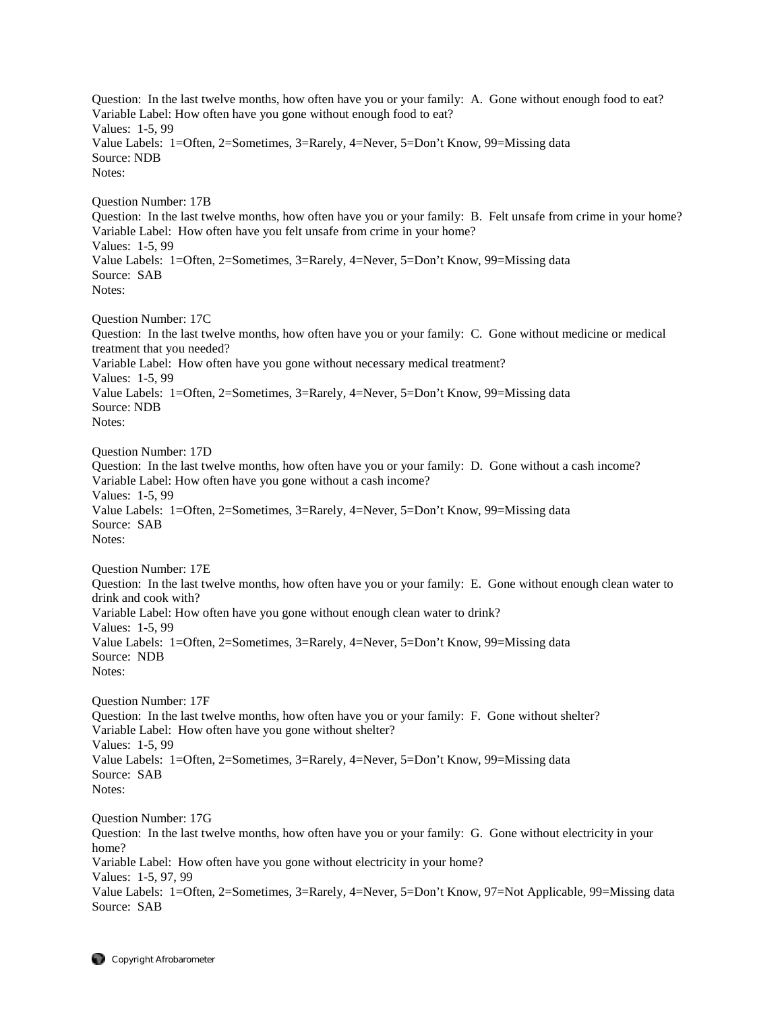Question: In the last twelve months, how often have you or your family: A. Gone without enough food to eat? Variable Label: How often have you gone without enough food to eat? Values: 1-5, 99 Value Labels: 1=Often, 2=Sometimes, 3=Rarely, 4=Never, 5=Don't Know, 99=Missing data Source: NDB Notes: Question Number: 17B Question: In the last twelve months, how often have you or your family: B. Felt unsafe from crime in your home? Variable Label: How often have you felt unsafe from crime in your home? Values: 1-5, 99 Value Labels: 1=Often, 2=Sometimes, 3=Rarely, 4=Never, 5=Don't Know, 99=Missing data Source: SAB Notes: Question Number: 17C Question: In the last twelve months, how often have you or your family: C. Gone without medicine or medical treatment that you needed? Variable Label: How often have you gone without necessary medical treatment? Values: 1-5, 99 Value Labels: 1=Often, 2=Sometimes, 3=Rarely, 4=Never, 5=Don't Know, 99=Missing data Source: NDB Notes: Question Number: 17D Question: In the last twelve months, how often have you or your family: D. Gone without a cash income? Variable Label: How often have you gone without a cash income? Values: 1-5, 99 Value Labels: 1=Often, 2=Sometimes, 3=Rarely, 4=Never, 5=Don't Know, 99=Missing data Source: SAB Notes: Question Number: 17E Question: In the last twelve months, how often have you or your family: E. Gone without enough clean water to drink and cook with? Variable Label: How often have you gone without enough clean water to drink? Values: 1-5, 99 Value Labels: 1=Often, 2=Sometimes, 3=Rarely, 4=Never, 5=Don't Know, 99=Missing data Source: NDB Notes: Question Number: 17F Question: In the last twelve months, how often have you or your family: F. Gone without shelter? Variable Label: How often have you gone without shelter? Values: 1-5, 99 Value Labels: 1=Often, 2=Sometimes, 3=Rarely, 4=Never, 5=Don't Know, 99=Missing data Source: SAB Notes: Question Number: 17G Question: In the last twelve months, how often have you or your family: G. Gone without electricity in your home? Variable Label: How often have you gone without electricity in your home? Values: 1-5, 97, 99 Value Labels: 1=Often, 2=Sometimes, 3=Rarely, 4=Never, 5=Don't Know, 97=Not Applicable, 99=Missing data Source: SAB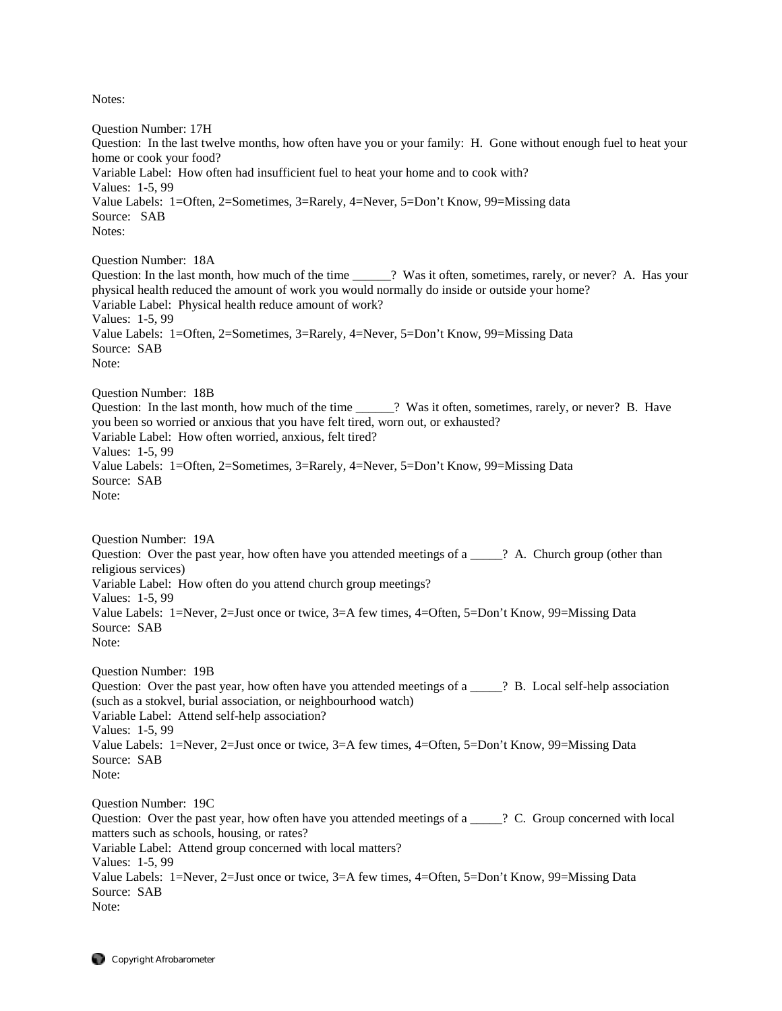Notes:

Question Number: 17H Question: In the last twelve months, how often have you or your family: H. Gone without enough fuel to heat your home or cook your food? Variable Label: How often had insufficient fuel to heat your home and to cook with? Values: 1-5, 99 Value Labels: 1=Often, 2=Sometimes, 3=Rarely, 4=Never, 5=Don't Know, 99=Missing data Source: SAB Notes: Question Number: 18A Question: In the last month, how much of the time \_\_\_\_\_\_? Was it often, sometimes, rarely, or never? A. Has your physical health reduced the amount of work you would normally do inside or outside your home? Variable Label: Physical health reduce amount of work? Values: 1-5, 99 Value Labels: 1=Often, 2=Sometimes, 3=Rarely, 4=Never, 5=Don't Know, 99=Missing Data Source: SAB Note: Question Number: 18B Question: In the last month, how much of the time  $\cdots$ ? Was it often, sometimes, rarely, or never? B. Have you been so worried or anxious that you have felt tired, worn out, or exhausted? Variable Label: How often worried, anxious, felt tired? Values: 1-5, 99 Value Labels: 1=Often, 2=Sometimes, 3=Rarely, 4=Never, 5=Don't Know, 99=Missing Data Source: SAB Note: Question Number: 19A Question: Over the past year, how often have you attended meetings of  $a \_\_\_\$ ? A. Church group (other than religious services) Variable Label: How often do you attend church group meetings? Values: 1-5, 99 Value Labels: 1=Never, 2=Just once or twice, 3=A few times, 4=Often, 5=Don't Know, 99=Missing Data Source: SAB Note: Question Number: 19B Question: Over the past year, how often have you attended meetings of a \_\_\_\_\_? B. Local self-help association (such as a stokvel, burial association, or neighbourhood watch) Variable Label: Attend self-help association? Values: 1-5, 99 Value Labels: 1=Never, 2=Just once or twice, 3=A few times, 4=Often, 5=Don't Know, 99=Missing Data Source: SAB Note: Question Number: 19C Question: Over the past year, how often have you attended meetings of a  $\cdots$  ? C. Group concerned with local matters such as schools, housing, or rates? Variable Label: Attend group concerned with local matters? Values: 1-5, 99 Value Labels: 1=Never, 2=Just once or twice, 3=A few times, 4=Often, 5=Don't Know, 99=Missing Data Source: SAB Note: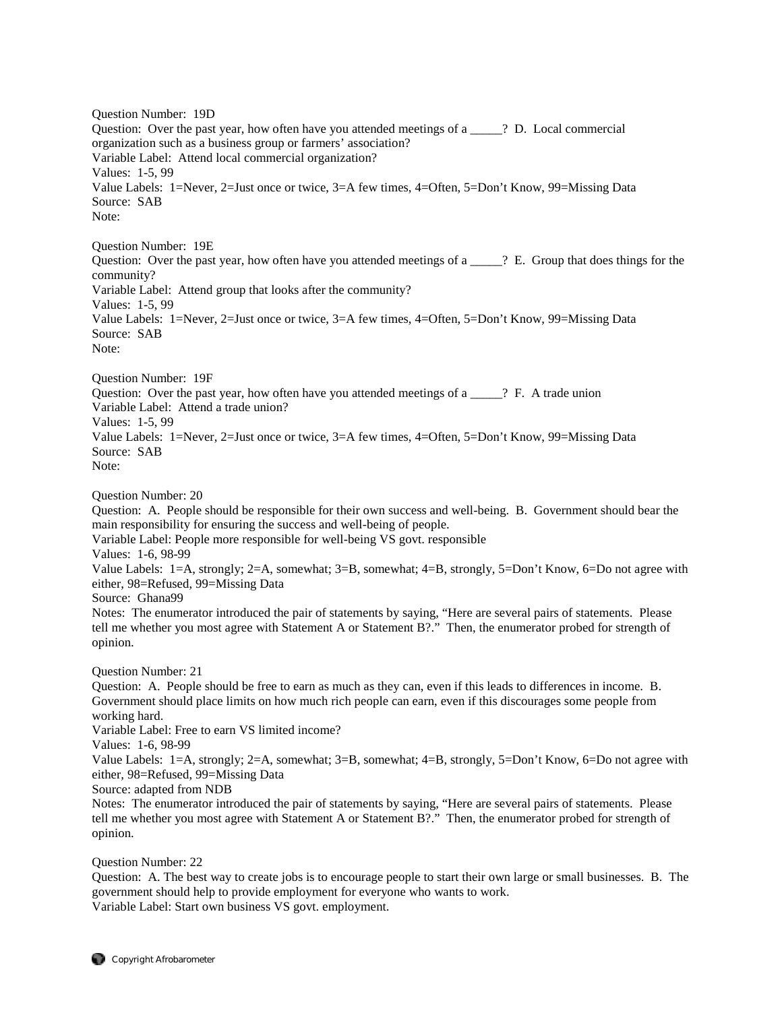Question Number: 19D Question: Over the past year, how often have you attended meetings of a \_\_\_\_\_? D. Local commercial organization such as a business group or farmers' association? Variable Label: Attend local commercial organization? Values: 1-5, 99 Value Labels: 1=Never, 2=Just once or twice, 3=A few times, 4=Often, 5=Don't Know, 99=Missing Data Source: SAB Note: Question Number: 19E Question: Over the past year, how often have you attended meetings of a \_\_\_\_\_\_? E. Group that does things for the community? Variable Label: Attend group that looks after the community? Values: 1-5, 99 Value Labels: 1=Never, 2=Just once or twice, 3=A few times, 4=Often, 5=Don't Know, 99=Missing Data Source: SAB Note: Question Number: 19F Question: Over the past year, how often have you attended meetings of a \_\_\_\_\_? F. A trade union Variable Label: Attend a trade union? Values: 1-5, 99 Value Labels: 1=Never, 2=Just once or twice, 3=A few times, 4=Often, 5=Don't Know, 99=Missing Data Source: SAB Note: Question Number: 20 Question: A. People should be responsible for their own success and well-being. B. Government should bear the main responsibility for ensuring the success and well-being of people. Variable Label: People more responsible for well-being VS govt. responsible Values: 1-6, 98-99 Value Labels: 1=A, strongly; 2=A, somewhat; 3=B, somewhat; 4=B, strongly, 5=Don't Know, 6=Do not agree with either, 98=Refused, 99=Missing Data Source: Ghana99 Notes: The enumerator introduced the pair of statements by saying, "Here are several pairs of statements. Please tell me whether you most agree with Statement A or Statement B?." Then, the enumerator probed for strength of opinion. Question Number: 21 Question: A. People should be free to earn as much as they can, even if this leads to differences in income. B. Government should place limits on how much rich people can earn, even if this discourages some people from working hard. Variable Label: Free to earn VS limited income? Values: 1-6, 98-99 Value Labels: 1=A, strongly; 2=A, somewhat; 3=B, somewhat; 4=B, strongly, 5=Don't Know, 6=Do not agree with either, 98=Refused, 99=Missing Data Source: adapted from NDB Notes: The enumerator introduced the pair of statements by saying, "Here are several pairs of statements. Please tell me whether you most agree with Statement A or Statement B?." Then, the enumerator probed for strength of opinion. Question Number: 22 Question: A. The best way to create jobs is to encourage people to start their own large or small businesses. B. The

government should help to provide employment for everyone who wants to work. Variable Label: Start own business VS govt. employment.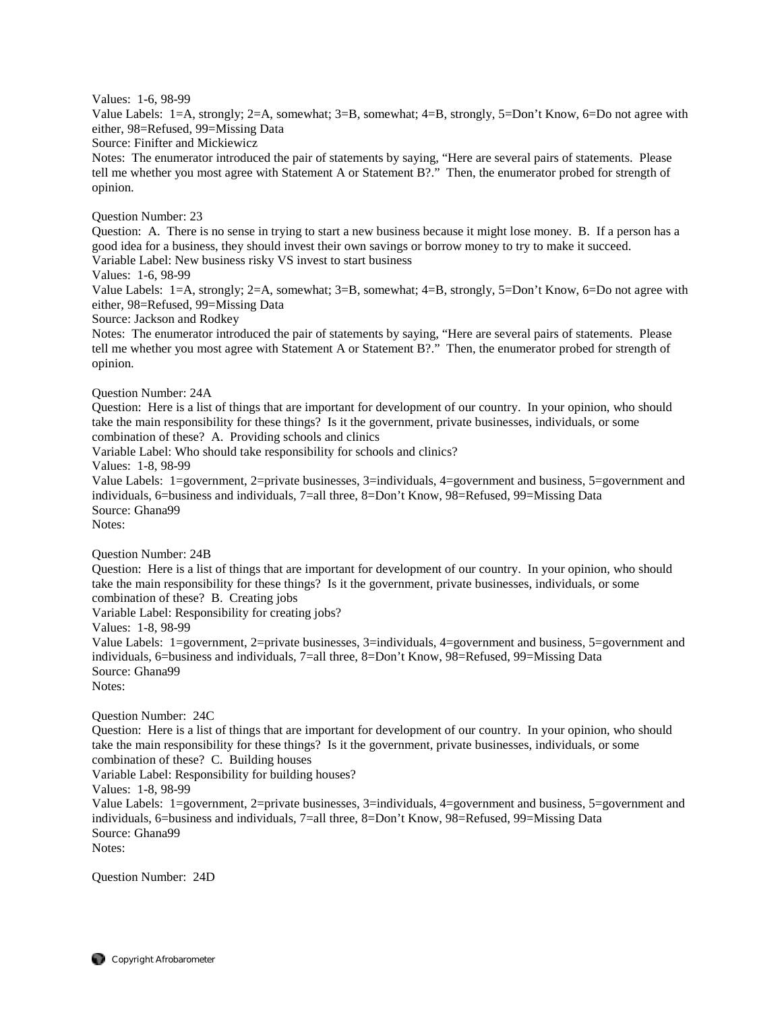## Values: 1-6, 98-99

Value Labels: 1=A, strongly; 2=A, somewhat; 3=B, somewhat; 4=B, strongly, 5=Don't Know, 6=Do not agree with either, 98=Refused, 99=Missing Data

Source: Finifter and Mickiewicz

Notes: The enumerator introduced the pair of statements by saying, "Here are several pairs of statements. Please tell me whether you most agree with Statement A or Statement B?." Then, the enumerator probed for strength of opinion.

Question Number: 23

Question: A. There is no sense in trying to start a new business because it might lose money. B. If a person has a good idea for a business, they should invest their own savings or borrow money to try to make it succeed. Variable Label: New business risky VS invest to start business

Values: 1-6, 98-99

Value Labels: 1=A, strongly; 2=A, somewhat; 3=B, somewhat; 4=B, strongly, 5=Don't Know, 6=Do not agree with either, 98=Refused, 99=Missing Data

Source: Jackson and Rodkey

Notes: The enumerator introduced the pair of statements by saying, "Here are several pairs of statements. Please tell me whether you most agree with Statement A or Statement B?." Then, the enumerator probed for strength of opinion.

#### Question Number: 24A

Question: Here is a list of things that are important for development of our country. In your opinion, who should take the main responsibility for these things? Is it the government, private businesses, individuals, or some combination of these? A. Providing schools and clinics

Variable Label: Who should take responsibility for schools and clinics?

Values: 1-8, 98-99

Value Labels: 1=government, 2=private businesses, 3=individuals, 4=government and business, 5=government and individuals, 6=business and individuals, 7=all three, 8=Don't Know, 98=Refused, 99=Missing Data Source: Ghana99

Notes:

Question Number: 24B

Question: Here is a list of things that are important for development of our country. In your opinion, who should take the main responsibility for these things? Is it the government, private businesses, individuals, or some combination of these? B. Creating jobs

Variable Label: Responsibility for creating jobs?

Values: 1-8, 98-99

Value Labels: 1=government, 2=private businesses, 3=individuals, 4=government and business, 5=government and individuals, 6=business and individuals, 7=all three, 8=Don't Know, 98=Refused, 99=Missing Data Source: Ghana99 Notes:

Question Number: 24C

Question: Here is a list of things that are important for development of our country. In your opinion, who should take the main responsibility for these things? Is it the government, private businesses, individuals, or some combination of these? C. Building houses

Variable Label: Responsibility for building houses?

Values: 1-8, 98-99

Value Labels: 1=government, 2=private businesses, 3=individuals, 4=government and business, 5=government and individuals, 6=business and individuals, 7=all three, 8=Don't Know, 98=Refused, 99=Missing Data Source: Ghana99 Notes:

Question Number: 24D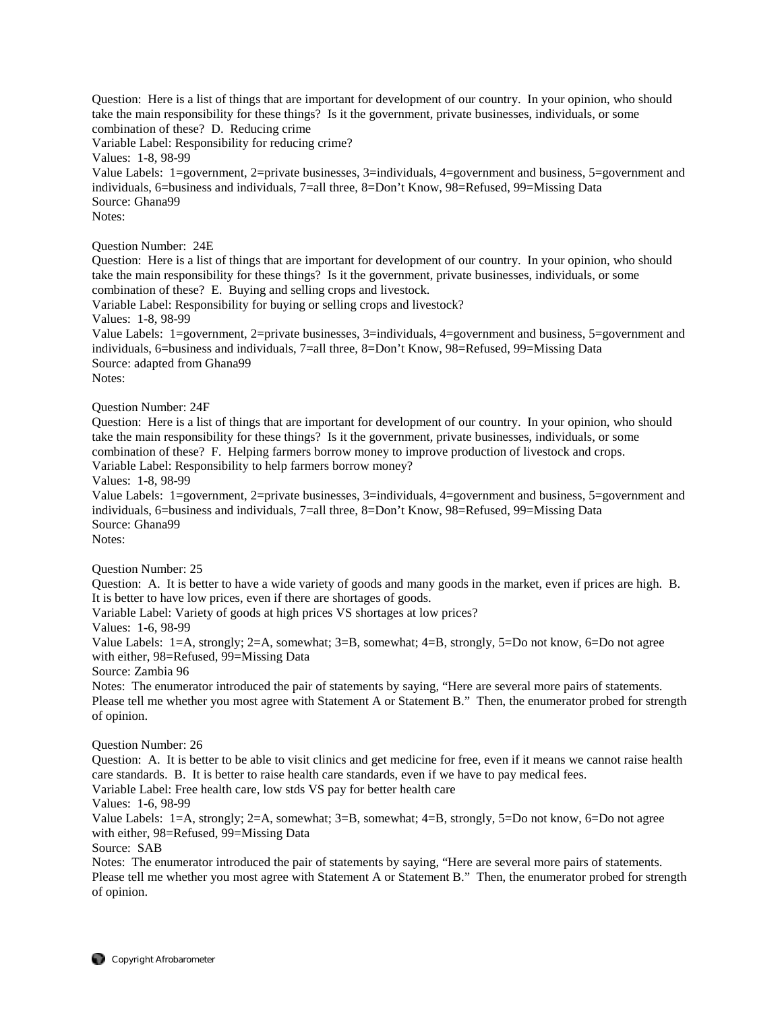Question: Here is a list of things that are important for development of our country. In your opinion, who should take the main responsibility for these things? Is it the government, private businesses, individuals, or some combination of these? D. Reducing crime

Variable Label: Responsibility for reducing crime?

Values: 1-8, 98-99

Value Labels: 1=government, 2=private businesses, 3=individuals, 4=government and business, 5=government and individuals, 6=business and individuals, 7=all three, 8=Don't Know, 98=Refused, 99=Missing Data Source: Ghana99 Notes:

Question Number: 24E

Question: Here is a list of things that are important for development of our country. In your opinion, who should take the main responsibility for these things? Is it the government, private businesses, individuals, or some combination of these? E. Buying and selling crops and livestock.

Variable Label: Responsibility for buying or selling crops and livestock?

Values: 1-8, 98-99

Value Labels: 1=government, 2=private businesses, 3=individuals, 4=government and business, 5=government and individuals, 6=business and individuals, 7=all three, 8=Don't Know, 98=Refused, 99=Missing Data Source: adapted from Ghana99 Notes:

Question Number: 24F

Question: Here is a list of things that are important for development of our country. In your opinion, who should take the main responsibility for these things? Is it the government, private businesses, individuals, or some combination of these? F. Helping farmers borrow money to improve production of livestock and crops.

Variable Label: Responsibility to help farmers borrow money?

Values: 1-8, 98-99

Value Labels: 1=government, 2=private businesses, 3=individuals, 4=government and business, 5=government and individuals, 6=business and individuals, 7=all three, 8=Don't Know, 98=Refused, 99=Missing Data Source: Ghana99

Notes:

Question Number: 25

Question: A. It is better to have a wide variety of goods and many goods in the market, even if prices are high. B. It is better to have low prices, even if there are shortages of goods.

Variable Label: Variety of goods at high prices VS shortages at low prices?

Values: 1-6, 98-99

Value Labels: 1=A, strongly; 2=A, somewhat; 3=B, somewhat; 4=B, strongly, 5=Do not know, 6=Do not agree with either, 98=Refused, 99=Missing Data

Source: Zambia 96

Notes: The enumerator introduced the pair of statements by saying, "Here are several more pairs of statements. Please tell me whether you most agree with Statement A or Statement B." Then, the enumerator probed for strength of opinion.

Question Number: 26

Question: A. It is better to be able to visit clinics and get medicine for free, even if it means we cannot raise health care standards. B. It is better to raise health care standards, even if we have to pay medical fees. Variable Label: Free health care, low stds VS pay for better health care

Values: 1-6, 98-99

Value Labels: 1=A, strongly; 2=A, somewhat; 3=B, somewhat; 4=B, strongly, 5=Do not know, 6=Do not agree with either, 98=Refused, 99=Missing Data

Source: SAB

Notes: The enumerator introduced the pair of statements by saying, "Here are several more pairs of statements. Please tell me whether you most agree with Statement A or Statement B." Then, the enumerator probed for strength of opinion.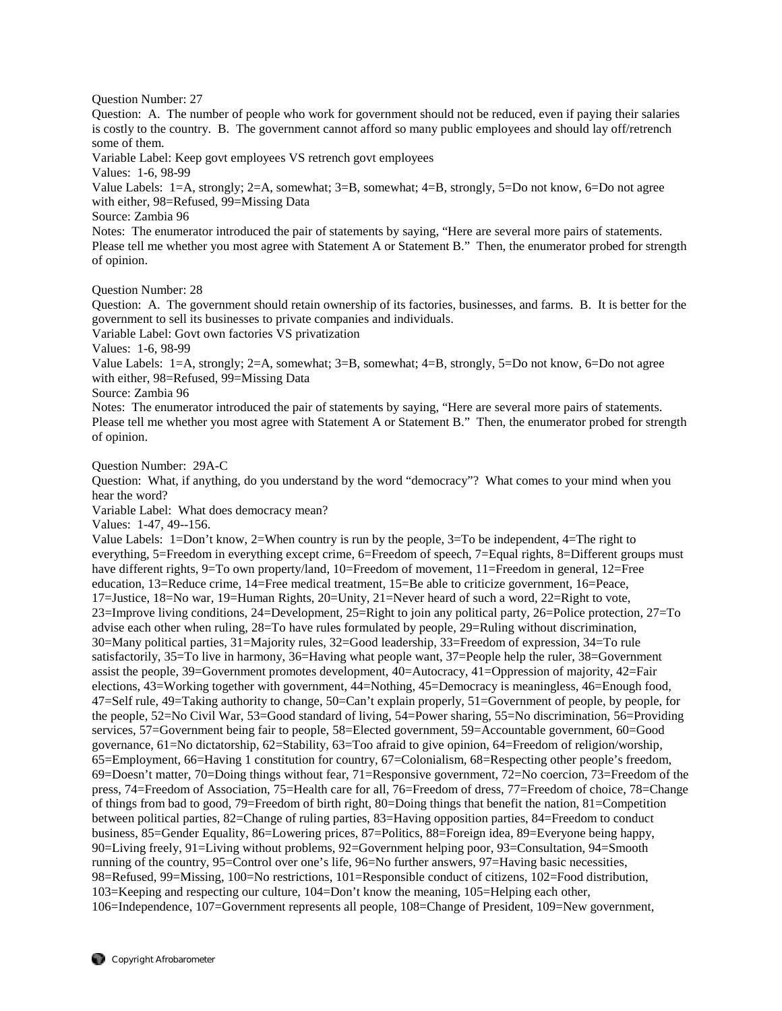Question Number: 27

Question: A. The number of people who work for government should not be reduced, even if paying their salaries is costly to the country. B. The government cannot afford so many public employees and should lay off/retrench some of them.

Variable Label: Keep govt employees VS retrench govt employees

Values: 1-6, 98-99

Value Labels: 1=A, strongly; 2=A, somewhat; 3=B, somewhat; 4=B, strongly, 5=Do not know, 6=Do not agree with either, 98=Refused, 99=Missing Data

Source: Zambia 96

Notes: The enumerator introduced the pair of statements by saying, "Here are several more pairs of statements. Please tell me whether you most agree with Statement A or Statement B." Then, the enumerator probed for strength of opinion.

Question Number: 28

Question: A. The government should retain ownership of its factories, businesses, and farms. B. It is better for the government to sell its businesses to private companies and individuals.

Variable Label: Govt own factories VS privatization

Values: 1-6, 98-99

Value Labels: 1=A, strongly; 2=A, somewhat; 3=B, somewhat; 4=B, strongly, 5=Do not know, 6=Do not agree with either, 98=Refused, 99=Missing Data

Source: Zambia 96

Notes: The enumerator introduced the pair of statements by saying, "Here are several more pairs of statements. Please tell me whether you most agree with Statement A or Statement B." Then, the enumerator probed for strength of opinion.

Question Number: 29A-C

Question: What, if anything, do you understand by the word "democracy"? What comes to your mind when you hear the word?

Variable Label: What does democracy mean?

Values: 1-47, 49--156.

Value Labels: 1=Don't know, 2=When country is run by the people, 3=To be independent, 4=The right to everything, 5=Freedom in everything except crime, 6=Freedom of speech, 7=Equal rights, 8=Different groups must have different rights, 9=To own property/land, 10=Freedom of movement, 11=Freedom in general, 12=Free education, 13=Reduce crime, 14=Free medical treatment, 15=Be able to criticize government, 16=Peace, 17=Justice, 18=No war, 19=Human Rights, 20=Unity, 21=Never heard of such a word, 22=Right to vote, 23=Improve living conditions, 24=Development, 25=Right to join any political party, 26=Police protection, 27=To advise each other when ruling, 28=To have rules formulated by people, 29=Ruling without discrimination, 30=Many political parties, 31=Majority rules, 32=Good leadership, 33=Freedom of expression, 34=To rule satisfactorily, 35=To live in harmony, 36=Having what people want, 37=People help the ruler, 38=Government assist the people, 39=Government promotes development, 40=Autocracy, 41=Oppression of majority, 42=Fair elections, 43=Working together with government, 44=Nothing, 45=Democracy is meaningless, 46=Enough food, 47=Self rule, 49=Taking authority to change, 50=Can't explain properly, 51=Government of people, by people, for the people, 52=No Civil War, 53=Good standard of living, 54=Power sharing, 55=No discrimination, 56=Providing services, 57=Government being fair to people, 58=Elected government, 59=Accountable government, 60=Good governance, 61=No dictatorship, 62=Stability, 63=Too afraid to give opinion, 64=Freedom of religion/worship, 65=Employment, 66=Having 1 constitution for country, 67=Colonialism, 68=Respecting other people's freedom, 69=Doesn't matter, 70=Doing things without fear, 71=Responsive government, 72=No coercion, 73=Freedom of the press, 74=Freedom of Association, 75=Health care for all, 76=Freedom of dress, 77=Freedom of choice, 78=Change of things from bad to good, 79=Freedom of birth right, 80=Doing things that benefit the nation, 81=Competition between political parties, 82=Change of ruling parties, 83=Having opposition parties, 84=Freedom to conduct business, 85=Gender Equality, 86=Lowering prices, 87=Politics, 88=Foreign idea, 89=Everyone being happy, 90=Living freely, 91=Living without problems, 92=Government helping poor, 93=Consultation, 94=Smooth running of the country, 95=Control over one's life, 96=No further answers, 97=Having basic necessities, 98=Refused, 99=Missing, 100=No restrictions, 101=Responsible conduct of citizens, 102=Food distribution, 103=Keeping and respecting our culture, 104=Don't know the meaning, 105=Helping each other, 106=Independence, 107=Government represents all people, 108=Change of President, 109=New government,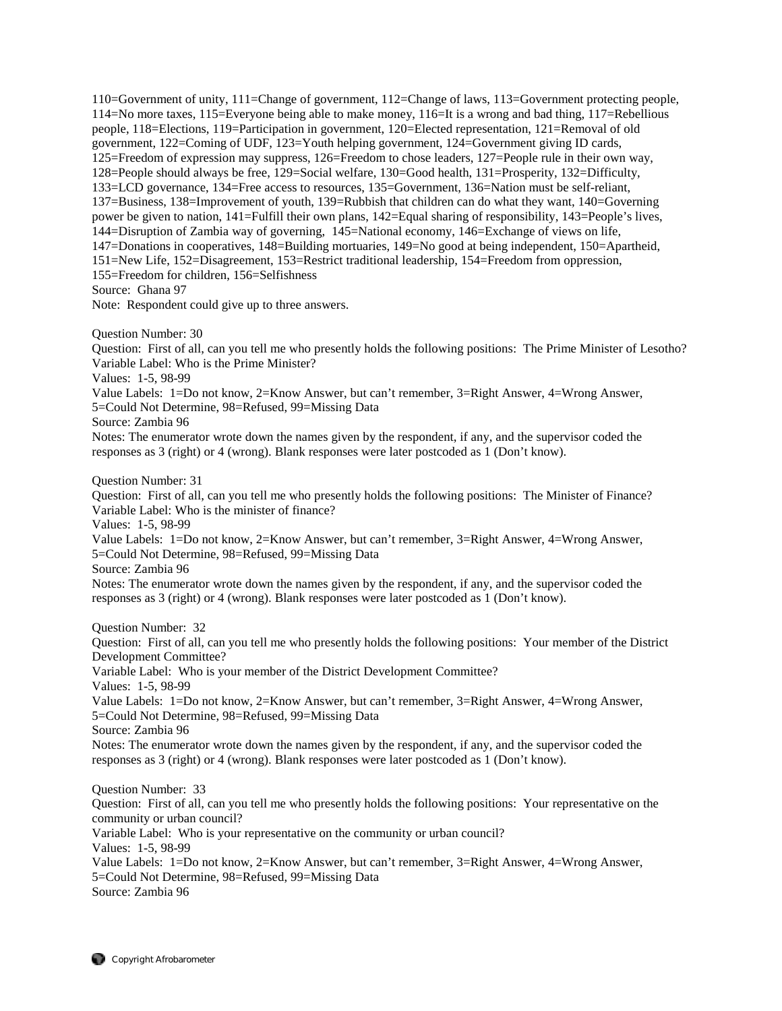110=Government of unity, 111=Change of government, 112=Change of laws, 113=Government protecting people, 114=No more taxes, 115=Everyone being able to make money, 116=It is a wrong and bad thing, 117=Rebellious people, 118=Elections, 119=Participation in government, 120=Elected representation, 121=Removal of old government, 122=Coming of UDF, 123=Youth helping government, 124=Government giving ID cards, 125=Freedom of expression may suppress, 126=Freedom to chose leaders, 127=People rule in their own way, 128=People should always be free, 129=Social welfare, 130=Good health, 131=Prosperity, 132=Difficulty, 133=LCD governance, 134=Free access to resources, 135=Government, 136=Nation must be self-reliant, 137=Business, 138=Improvement of youth, 139=Rubbish that children can do what they want, 140=Governing power be given to nation, 141=Fulfill their own plans, 142=Equal sharing of responsibility, 143=People's lives, 144=Disruption of Zambia way of governing, 145=National economy, 146=Exchange of views on life, 147=Donations in cooperatives, 148=Building mortuaries, 149=No good at being independent, 150=Apartheid, 151=New Life, 152=Disagreement, 153=Restrict traditional leadership, 154=Freedom from oppression, 155=Freedom for children, 156=Selfishness Source: Ghana 97

Note: Respondent could give up to three answers.

Question Number: 30

Question: First of all, can you tell me who presently holds the following positions: The Prime Minister of Lesotho? Variable Label: Who is the Prime Minister?

Values: 1-5, 98-99

Value Labels: 1=Do not know, 2=Know Answer, but can't remember, 3=Right Answer, 4=Wrong Answer, 5=Could Not Determine, 98=Refused, 99=Missing Data

Source: Zambia 96

Notes: The enumerator wrote down the names given by the respondent, if any, and the supervisor coded the responses as 3 (right) or 4 (wrong). Blank responses were later postcoded as 1 (Don't know).

Question Number: 31

Question: First of all, can you tell me who presently holds the following positions: The Minister of Finance? Variable Label: Who is the minister of finance?

Values: 1-5, 98-99

Value Labels: 1=Do not know, 2=Know Answer, but can't remember, 3=Right Answer, 4=Wrong Answer, 5=Could Not Determine, 98=Refused, 99=Missing Data

Source: Zambia 96

Notes: The enumerator wrote down the names given by the respondent, if any, and the supervisor coded the responses as 3 (right) or 4 (wrong). Blank responses were later postcoded as 1 (Don't know).

Question Number: 32

Question: First of all, can you tell me who presently holds the following positions: Your member of the District Development Committee? Variable Label: Who is your member of the District Development Committee?

Values: 1-5, 98-99

Value Labels: 1=Do not know, 2=Know Answer, but can't remember, 3=Right Answer, 4=Wrong Answer, 5=Could Not Determine, 98=Refused, 99=Missing Data

Source: Zambia 96

Notes: The enumerator wrote down the names given by the respondent, if any, and the supervisor coded the responses as 3 (right) or 4 (wrong). Blank responses were later postcoded as 1 (Don't know).

Question Number: 33 Question: First of all, can you tell me who presently holds the following positions: Your representative on the community or urban council? Variable Label: Who is your representative on the community or urban council? Values: 1-5, 98-99 Value Labels: 1=Do not know, 2=Know Answer, but can't remember, 3=Right Answer, 4=Wrong Answer, 5=Could Not Determine, 98=Refused, 99=Missing Data Source: Zambia 96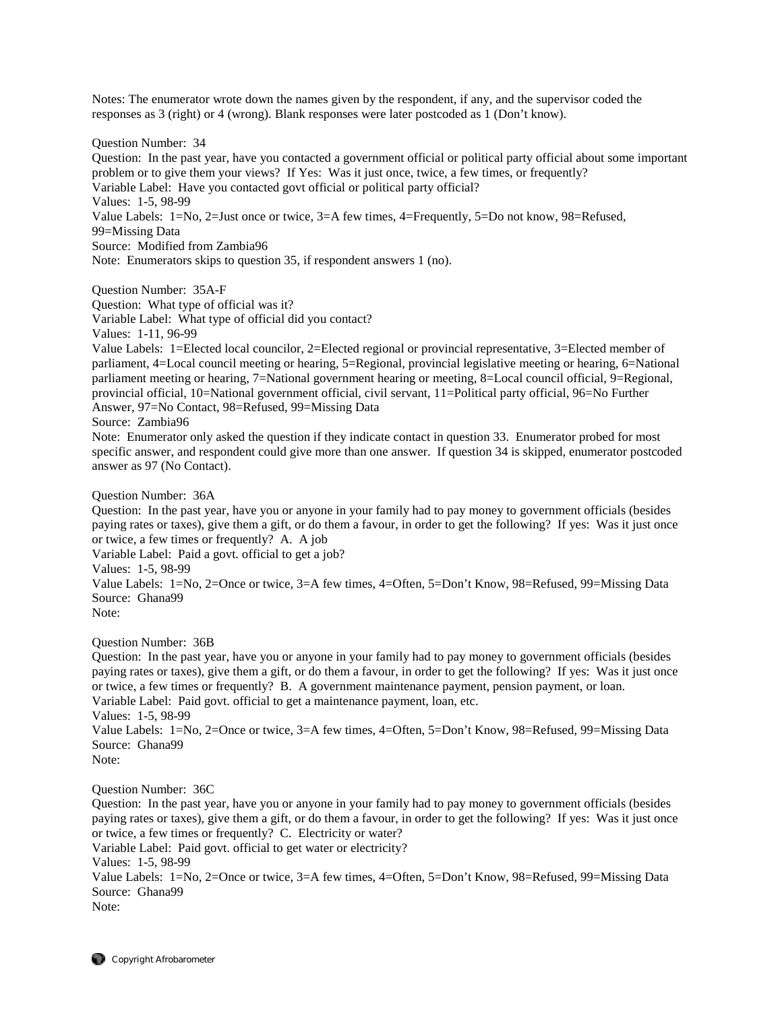Notes: The enumerator wrote down the names given by the respondent, if any, and the supervisor coded the responses as 3 (right) or 4 (wrong). Blank responses were later postcoded as 1 (Don't know).

Question Number: 34

Question: In the past year, have you contacted a government official or political party official about some important problem or to give them your views? If Yes: Was it just once, twice, a few times, or frequently? Variable Label: Have you contacted govt official or political party official? Values: 1-5, 98-99 Value Labels: 1=No, 2=Just once or twice, 3=A few times, 4=Frequently, 5=Do not know, 98=Refused, 99=Missing Data Source: Modified from Zambia96 Note: Enumerators skips to question 35, if respondent answers 1 (no).

Question Number: 35A-F

Question: What type of official was it?

Variable Label: What type of official did you contact?

Values: 1-11, 96-99

Value Labels: 1=Elected local councilor, 2=Elected regional or provincial representative, 3=Elected member of parliament, 4=Local council meeting or hearing, 5=Regional, provincial legislative meeting or hearing, 6=National parliament meeting or hearing, 7=National government hearing or meeting, 8=Local council official, 9=Regional, provincial official, 10=National government official, civil servant, 11=Political party official, 96=No Further Answer, 97=No Contact, 98=Refused, 99=Missing Data

Source: Zambia96

Note: Enumerator only asked the question if they indicate contact in question 33. Enumerator probed for most specific answer, and respondent could give more than one answer. If question 34 is skipped, enumerator postcoded answer as 97 (No Contact).

Question Number: 36A

Question: In the past year, have you or anyone in your family had to pay money to government officials (besides paying rates or taxes), give them a gift, or do them a favour, in order to get the following? If yes: Was it just once or twice, a few times or frequently? A. A job

Variable Label: Paid a govt. official to get a job?

Values: 1-5, 98-99

Value Labels: 1=No, 2=Once or twice, 3=A few times, 4=Often, 5=Don't Know, 98=Refused, 99=Missing Data Source: Ghana99

Note:

Question Number: 36B

Question: In the past year, have you or anyone in your family had to pay money to government officials (besides paying rates or taxes), give them a gift, or do them a favour, in order to get the following? If yes: Was it just once or twice, a few times or frequently? B. A government maintenance payment, pension payment, or loan. Variable Label: Paid govt. official to get a maintenance payment, loan, etc. Values: 1-5, 98-99 Value Labels: 1=No, 2=Once or twice, 3=A few times, 4=Often, 5=Don't Know, 98=Refused, 99=Missing Data Source: Ghana99

Note:

Question Number: 36C

Question: In the past year, have you or anyone in your family had to pay money to government officials (besides paying rates or taxes), give them a gift, or do them a favour, in order to get the following? If yes: Was it just once or twice, a few times or frequently? C. Electricity or water?

Variable Label: Paid govt. official to get water or electricity?

Values: 1-5, 98-99

Value Labels: 1=No, 2=Once or twice, 3=A few times, 4=Often, 5=Don't Know, 98=Refused, 99=Missing Data Source: Ghana99

Note: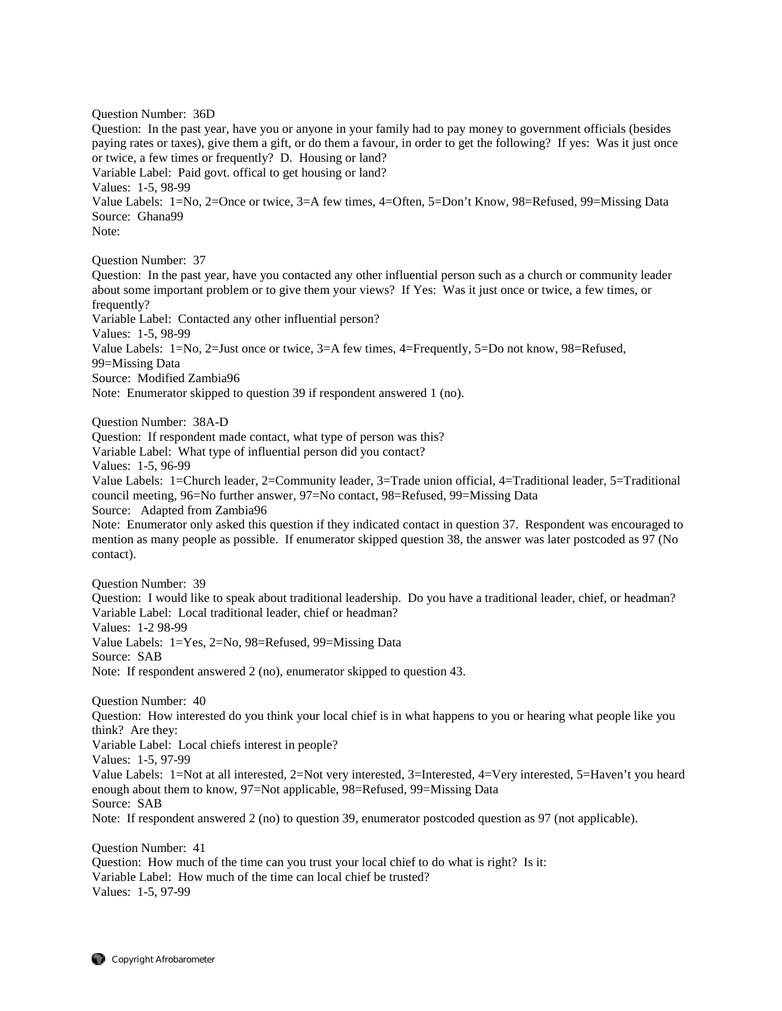Question Number: 36D Question: In the past year, have you or anyone in your family had to pay money to government officials (besides paying rates or taxes), give them a gift, or do them a favour, in order to get the following? If yes: Was it just once or twice, a few times or frequently? D. Housing or land? Variable Label: Paid govt. offical to get housing or land? Values: 1-5, 98-99 Value Labels: 1=No, 2=Once or twice, 3=A few times, 4=Often, 5=Don't Know, 98=Refused, 99=Missing Data Source: Ghana99 Note: Question Number: 37 Question: In the past year, have you contacted any other influential person such as a church or community leader about some important problem or to give them your views? If Yes: Was it just once or twice, a few times, or frequently? Variable Label: Contacted any other influential person? Values: 1-5, 98-99 Value Labels: 1=No, 2=Just once or twice, 3=A few times, 4=Frequently, 5=Do not know, 98=Refused, 99=Missing Data Source: Modified Zambia96 Note: Enumerator skipped to question 39 if respondent answered 1 (no). Question Number: 38A-D Question: If respondent made contact, what type of person was this? Variable Label: What type of influential person did you contact? Values: 1-5, 96-99 Value Labels: 1=Church leader, 2=Community leader, 3=Trade union official, 4=Traditional leader, 5=Traditional council meeting, 96=No further answer, 97=No contact, 98=Refused, 99=Missing Data Source: Adapted from Zambia96 Note: Enumerator only asked this question if they indicated contact in question 37. Respondent was encouraged to mention as many people as possible. If enumerator skipped question 38, the answer was later postcoded as 97 (No contact). Question Number: 39 Question: I would like to speak about traditional leadership. Do you have a traditional leader, chief, or headman? Variable Label: Local traditional leader, chief or headman? Values: 1-2 98-99 Value Labels: 1=Yes, 2=No, 98=Refused, 99=Missing Data Source: SAB Note: If respondent answered 2 (no), enumerator skipped to question 43. Question Number: 40 Question: How interested do you think your local chief is in what happens to you or hearing what people like you think? Are they: Variable Label: Local chiefs interest in people? Values: 1-5, 97-99 Value Labels: 1=Not at all interested, 2=Not very interested, 3=Interested, 4=Very interested, 5=Haven't you heard enough about them to know, 97=Not applicable, 98=Refused, 99=Missing Data Source: SAB Note: If respondent answered 2 (no) to question 39, enumerator postcoded question as 97 (not applicable). Question Number: 41 Question: How much of the time can you trust your local chief to do what is right? Is it: Variable Label: How much of the time can local chief be trusted?

Values: 1-5, 97-99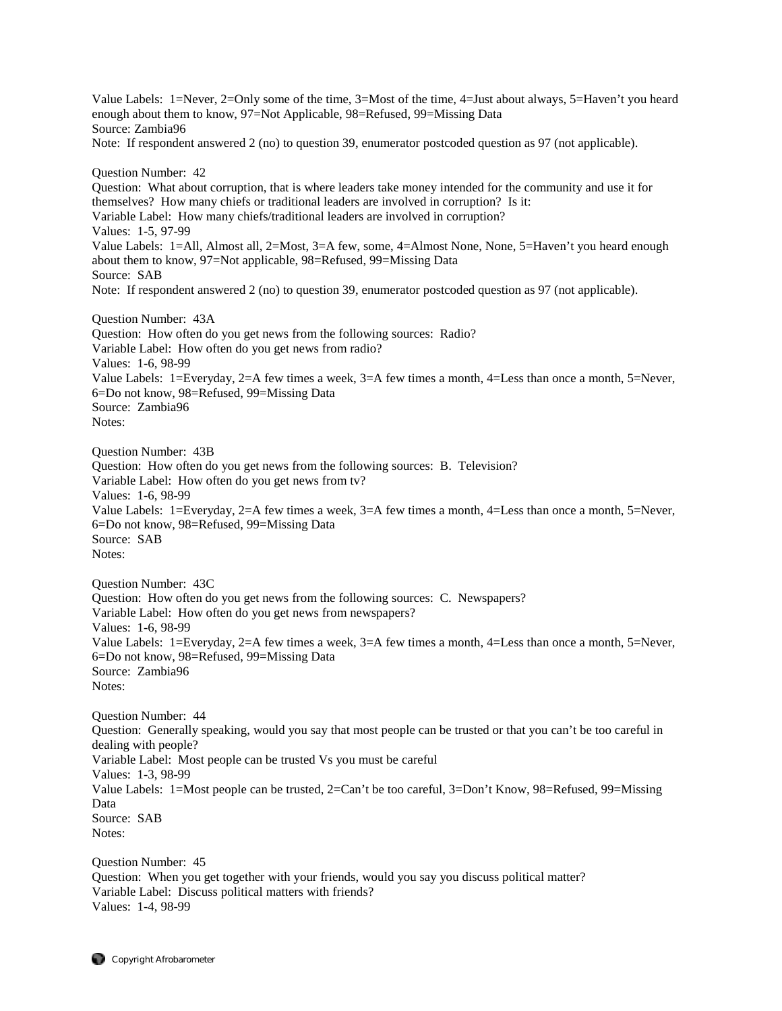Value Labels: 1=Never, 2=Only some of the time, 3=Most of the time, 4=Just about always, 5=Haven't you heard enough about them to know, 97=Not Applicable, 98=Refused, 99=Missing Data Source: Zambia96 Note: If respondent answered 2 (no) to question 39, enumerator postcoded question as 97 (not applicable). Question Number: 42 Question: What about corruption, that is where leaders take money intended for the community and use it for themselves? How many chiefs or traditional leaders are involved in corruption? Is it: Variable Label: How many chiefs/traditional leaders are involved in corruption? Values: 1-5, 97-99 Value Labels: 1=All, Almost all, 2=Most, 3=A few, some, 4=Almost None, None, 5=Haven't you heard enough about them to know, 97=Not applicable, 98=Refused, 99=Missing Data Source: SAB Note: If respondent answered 2 (no) to question 39, enumerator postcoded question as 97 (not applicable). Question Number: 43A Question: How often do you get news from the following sources: Radio? Variable Label: How often do you get news from radio? Values: 1-6, 98-99 Value Labels: 1=Everyday, 2=A few times a week, 3=A few times a month, 4=Less than once a month, 5=Never, 6=Do not know, 98=Refused, 99=Missing Data Source: Zambia96 Notes: Question Number: 43B Question: How often do you get news from the following sources: B. Television? Variable Label: How often do you get news from tv? Values: 1-6, 98-99 Value Labels: 1=Everyday, 2=A few times a week, 3=A few times a month, 4=Less than once a month, 5=Never, 6=Do not know, 98=Refused, 99=Missing Data Source: SAB Notes: Question Number: 43C Question: How often do you get news from the following sources: C. Newspapers? Variable Label: How often do you get news from newspapers? Values: 1-6, 98-99 Value Labels: 1=Everyday, 2=A few times a week, 3=A few times a month, 4=Less than once a month, 5=Never, 6=Do not know, 98=Refused, 99=Missing Data Source: Zambia96 Notes: Question Number: 44 Question: Generally speaking, would you say that most people can be trusted or that you can't be too careful in dealing with people? Variable Label: Most people can be trusted Vs you must be careful Values: 1-3, 98-99 Value Labels: 1=Most people can be trusted, 2=Can't be too careful, 3=Don't Know, 98=Refused, 99=Missing Data Source: SAB Notes: Question Number: 45 Question: When you get together with your friends, would you say you discuss political matter? Variable Label: Discuss political matters with friends?

Values: 1-4, 98-99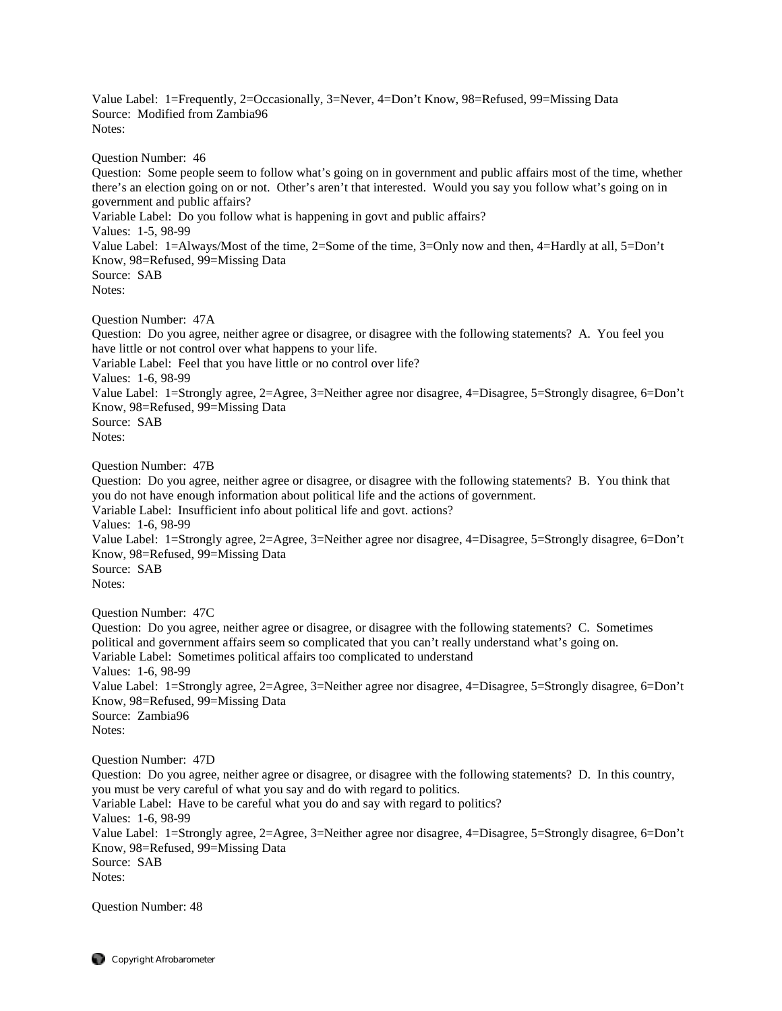Value Label: 1=Frequently, 2=Occasionally, 3=Never, 4=Don't Know, 98=Refused, 99=Missing Data Source: Modified from Zambia96 Notes:

Question Number: 46

Question: Some people seem to follow what's going on in government and public affairs most of the time, whether there's an election going on or not. Other's aren't that interested. Would you say you follow what's going on in government and public affairs? Variable Label: Do you follow what is happening in govt and public affairs? Values: 1-5, 98-99 Value Label: 1=Always/Most of the time, 2=Some of the time, 3=Only now and then, 4=Hardly at all, 5=Don't Know, 98=Refused, 99=Missing Data Source: SAB Notes:

Question Number: 47A

Question: Do you agree, neither agree or disagree, or disagree with the following statements? A. You feel you have little or not control over what happens to your life. Variable Label: Feel that you have little or no control over life? Values: 1-6, 98-99 Value Label: 1=Strongly agree, 2=Agree, 3=Neither agree nor disagree, 4=Disagree, 5=Strongly disagree, 6=Don't Know, 98=Refused, 99=Missing Data Source: SAB Notes:

Question Number: 47B

Question: Do you agree, neither agree or disagree, or disagree with the following statements? B. You think that you do not have enough information about political life and the actions of government. Variable Label: Insufficient info about political life and govt. actions? Values: 1-6, 98-99 Value Label: 1=Strongly agree, 2=Agree, 3=Neither agree nor disagree, 4=Disagree, 5=Strongly disagree, 6=Don't Know, 98=Refused, 99=Missing Data Source: SAB Notes:

Question Number: 47C

Question: Do you agree, neither agree or disagree, or disagree with the following statements? C. Sometimes political and government affairs seem so complicated that you can't really understand what's going on. Variable Label: Sometimes political affairs too complicated to understand Values: 1-6, 98-99 Value Label: 1=Strongly agree, 2=Agree, 3=Neither agree nor disagree, 4=Disagree, 5=Strongly disagree, 6=Don't Know, 98=Refused, 99=Missing Data Source: Zambia96 Notes:

Question Number: 47D Question: Do you agree, neither agree or disagree, or disagree with the following statements? D. In this country, you must be very careful of what you say and do with regard to politics. Variable Label: Have to be careful what you do and say with regard to politics? Values: 1-6, 98-99 Value Label: 1=Strongly agree, 2=Agree, 3=Neither agree nor disagree, 4=Disagree, 5=Strongly disagree, 6=Don't Know, 98=Refused, 99=Missing Data Source: SAB Notes:

Question Number: 48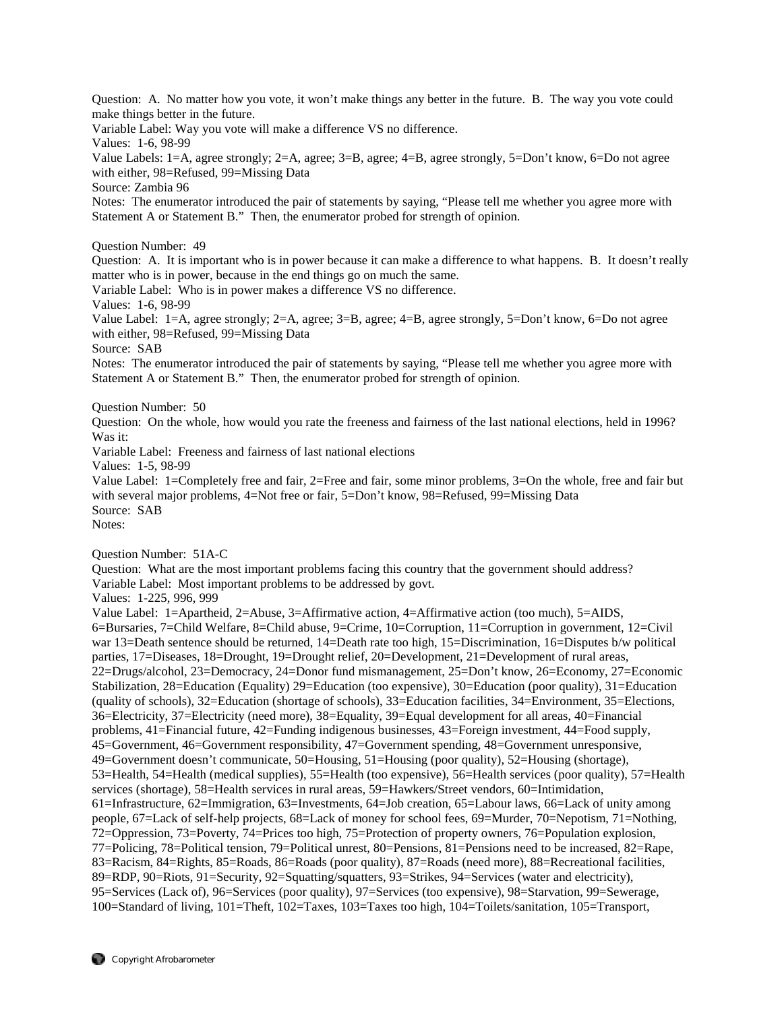Question: A. No matter how you vote, it won't make things any better in the future. B. The way you vote could make things better in the future.

Variable Label: Way you vote will make a difference VS no difference.

Values: 1-6, 98-99

Value Labels: 1=A, agree strongly; 2=A, agree; 3=B, agree; 4=B, agree strongly, 5=Don't know, 6=Do not agree with either, 98=Refused, 99=Missing Data

Source: Zambia 96

Notes: The enumerator introduced the pair of statements by saying, "Please tell me whether you agree more with Statement A or Statement B." Then, the enumerator probed for strength of opinion.

Question Number: 49

Question: A. It is important who is in power because it can make a difference to what happens. B. It doesn't really matter who is in power, because in the end things go on much the same.

Variable Label: Who is in power makes a difference VS no difference.

Values: 1-6, 98-99

Value Label: 1=A, agree strongly; 2=A, agree; 3=B, agree; 4=B, agree strongly, 5=Don't know, 6=Do not agree with either, 98=Refused, 99=Missing Data

Source: SAB

Notes: The enumerator introduced the pair of statements by saying, "Please tell me whether you agree more with Statement A or Statement B." Then, the enumerator probed for strength of opinion.

Question Number: 50

Question: On the whole, how would you rate the freeness and fairness of the last national elections, held in 1996? Was it:

Variable Label: Freeness and fairness of last national elections

Values: 1-5, 98-99

Value Label: 1=Completely free and fair, 2=Free and fair, some minor problems, 3=On the whole, free and fair but with several major problems, 4=Not free or fair, 5=Don't know, 98=Refused, 99=Missing Data Source: SAB

Notes:

Question Number: 51A-C

Question: What are the most important problems facing this country that the government should address? Variable Label: Most important problems to be addressed by govt.

Values: 1-225, 996, 999

Value Label: 1=Apartheid, 2=Abuse, 3=Affirmative action, 4=Affirmative action (too much), 5=AIDS, 6=Bursaries, 7=Child Welfare, 8=Child abuse, 9=Crime, 10=Corruption, 11=Corruption in government, 12=Civil war 13=Death sentence should be returned, 14=Death rate too high, 15=Discrimination, 16=Disputes b/w political parties, 17=Diseases, 18=Drought, 19=Drought relief, 20=Development, 21=Development of rural areas, 22=Drugs/alcohol, 23=Democracy, 24=Donor fund mismanagement, 25=Don't know, 26=Economy, 27=Economic Stabilization, 28=Education (Equality) 29=Education (too expensive), 30=Education (poor quality), 31=Education (quality of schools), 32=Education (shortage of schools), 33=Education facilities, 34=Environment, 35=Elections, 36=Electricity, 37=Electricity (need more), 38=Equality, 39=Equal development for all areas, 40=Financial problems, 41=Financial future, 42=Funding indigenous businesses, 43=Foreign investment, 44=Food supply, 45=Government, 46=Government responsibility, 47=Government spending, 48=Government unresponsive, 49=Government doesn't communicate, 50=Housing, 51=Housing (poor quality), 52=Housing (shortage), 53=Health, 54=Health (medical supplies), 55=Health (too expensive), 56=Health services (poor quality), 57=Health services (shortage), 58=Health services in rural areas, 59=Hawkers/Street vendors, 60=Intimidation, 61=Infrastructure, 62=Immigration, 63=Investments, 64=Job creation, 65=Labour laws, 66=Lack of unity among people, 67=Lack of self-help projects, 68=Lack of money for school fees, 69=Murder, 70=Nepotism, 71=Nothing, 72=Oppression, 73=Poverty, 74=Prices too high, 75=Protection of property owners, 76=Population explosion, 77=Policing, 78=Political tension, 79=Political unrest, 80=Pensions, 81=Pensions need to be increased, 82=Rape, 83=Racism, 84=Rights, 85=Roads, 86=Roads (poor quality), 87=Roads (need more), 88=Recreational facilities, 89=RDP, 90=Riots, 91=Security, 92=Squatting/squatters, 93=Strikes, 94=Services (water and electricity), 95=Services (Lack of), 96=Services (poor quality), 97=Services (too expensive), 98=Starvation, 99=Sewerage, 100=Standard of living, 101=Theft, 102=Taxes, 103=Taxes too high, 104=Toilets/sanitation, 105=Transport,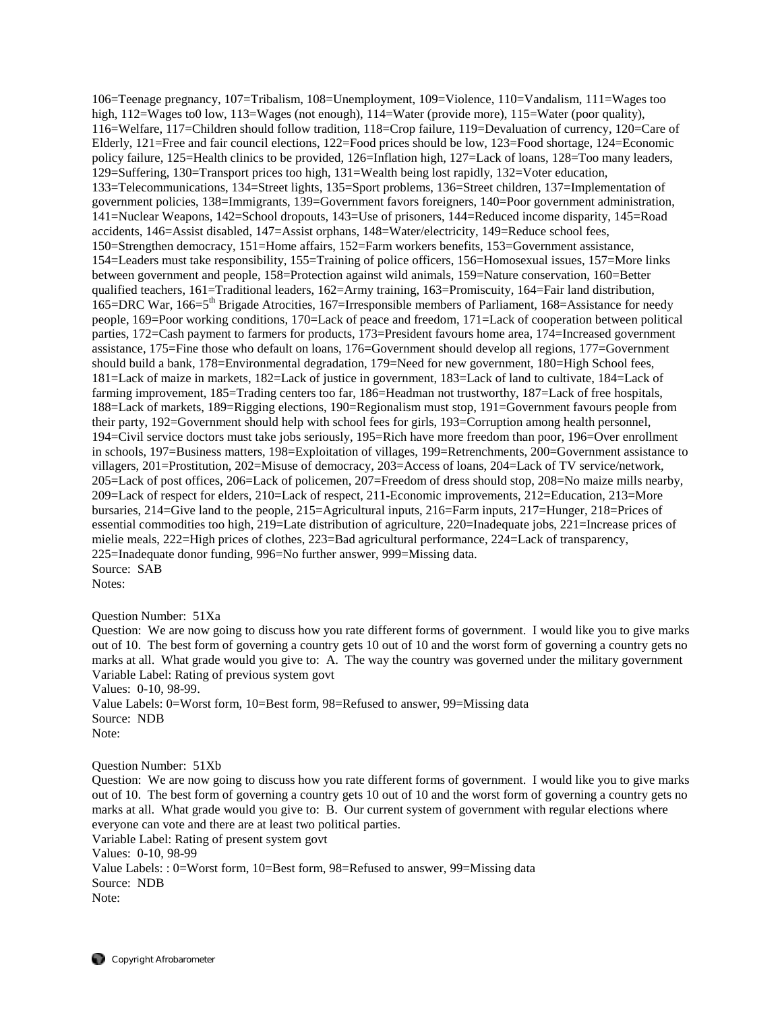106=Teenage pregnancy, 107=Tribalism, 108=Unemployment, 109=Violence, 110=Vandalism, 111=Wages too high, 112=Wages to0 low, 113=Wages (not enough), 114=Water (provide more), 115=Water (poor quality), 116=Welfare, 117=Children should follow tradition, 118=Crop failure, 119=Devaluation of currency, 120=Care of Elderly, 121=Free and fair council elections, 122=Food prices should be low, 123=Food shortage, 124=Economic policy failure, 125=Health clinics to be provided, 126=Inflation high, 127=Lack of loans, 128=Too many leaders, 129=Suffering, 130=Transport prices too high, 131=Wealth being lost rapidly, 132=Voter education, 133=Telecommunications, 134=Street lights, 135=Sport problems, 136=Street children, 137=Implementation of government policies, 138=Immigrants, 139=Government favors foreigners, 140=Poor government administration, 141=Nuclear Weapons, 142=School dropouts, 143=Use of prisoners, 144=Reduced income disparity, 145=Road accidents, 146=Assist disabled, 147=Assist orphans, 148=Water/electricity, 149=Reduce school fees, 150=Strengthen democracy, 151=Home affairs, 152=Farm workers benefits, 153=Government assistance, 154=Leaders must take responsibility, 155=Training of police officers, 156=Homosexual issues, 157=More links between government and people, 158=Protection against wild animals, 159=Nature conservation, 160=Better qualified teachers, 161=Traditional leaders, 162=Army training, 163=Promiscuity, 164=Fair land distribution, 165=DRC War, 166=5th Brigade Atrocities, 167=Irresponsible members of Parliament, 168=Assistance for needy people, 169=Poor working conditions, 170=Lack of peace and freedom, 171=Lack of cooperation between political parties, 172=Cash payment to farmers for products, 173=President favours home area, 174=Increased government assistance, 175=Fine those who default on loans, 176=Government should develop all regions, 177=Government should build a bank, 178=Environmental degradation, 179=Need for new government, 180=High School fees, 181=Lack of maize in markets, 182=Lack of justice in government, 183=Lack of land to cultivate, 184=Lack of farming improvement, 185=Trading centers too far, 186=Headman not trustworthy, 187=Lack of free hospitals, 188=Lack of markets, 189=Rigging elections, 190=Regionalism must stop, 191=Government favours people from their party, 192=Government should help with school fees for girls, 193=Corruption among health personnel, 194=Civil service doctors must take jobs seriously, 195=Rich have more freedom than poor, 196=Over enrollment in schools, 197=Business matters, 198=Exploitation of villages, 199=Retrenchments, 200=Government assistance to villagers, 201=Prostitution, 202=Misuse of democracy, 203=Access of loans, 204=Lack of TV service/network, 205=Lack of post offices, 206=Lack of policemen, 207=Freedom of dress should stop, 208=No maize mills nearby, 209=Lack of respect for elders, 210=Lack of respect, 211-Economic improvements, 212=Education, 213=More bursaries, 214=Give land to the people, 215=Agricultural inputs, 216=Farm inputs, 217=Hunger, 218=Prices of essential commodities too high, 219=Late distribution of agriculture, 220=Inadequate jobs, 221=Increase prices of mielie meals, 222=High prices of clothes, 223=Bad agricultural performance, 224=Lack of transparency, 225=Inadequate donor funding, 996=No further answer, 999=Missing data. Source: SAB Notes:

Question Number: 51Xa

Question: We are now going to discuss how you rate different forms of government. I would like you to give marks out of 10. The best form of governing a country gets 10 out of 10 and the worst form of governing a country gets no marks at all. What grade would you give to: A. The way the country was governed under the military government Variable Label: Rating of previous system govt Values: 0-10, 98-99.

Value Labels: 0=Worst form, 10=Best form, 98=Refused to answer, 99=Missing data Source: NDB Note:

Question Number: 51Xb

Question: We are now going to discuss how you rate different forms of government. I would like you to give marks out of 10. The best form of governing a country gets 10 out of 10 and the worst form of governing a country gets no marks at all. What grade would you give to: B. Our current system of government with regular elections where everyone can vote and there are at least two political parties.

Variable Label: Rating of present system govt Values: 0-10, 98-99 Value Labels: : 0=Worst form, 10=Best form, 98=Refused to answer, 99=Missing data Source: NDB Note: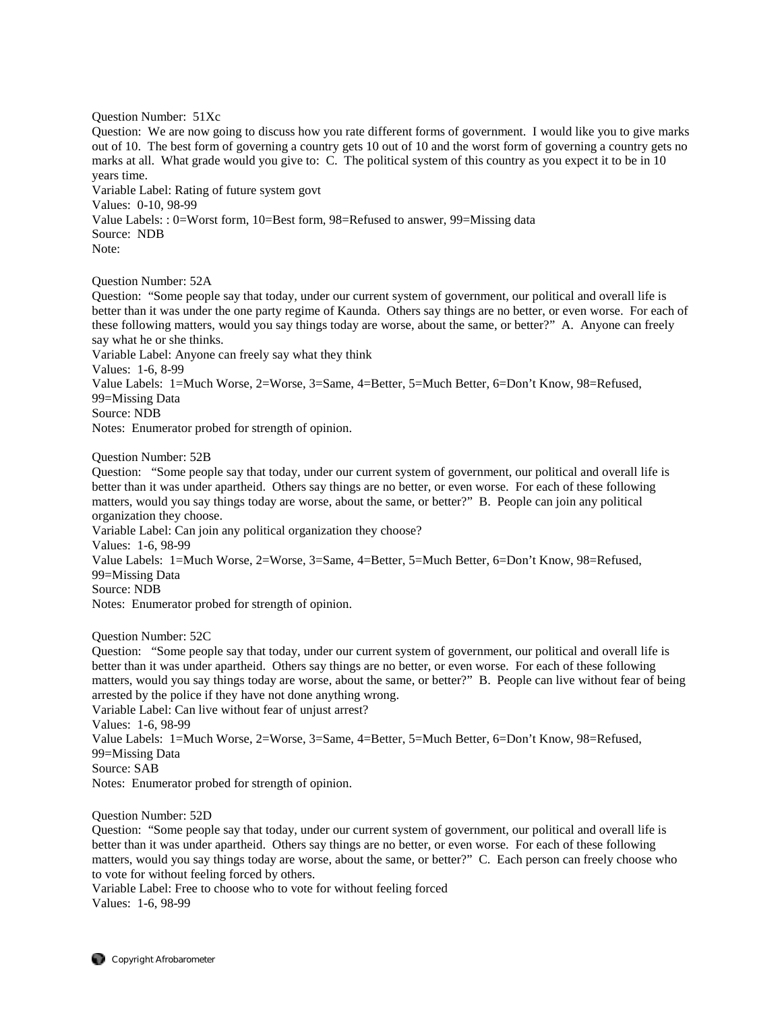Question Number: 51Xc

Question: We are now going to discuss how you rate different forms of government. I would like you to give marks out of 10. The best form of governing a country gets 10 out of 10 and the worst form of governing a country gets no marks at all. What grade would you give to: C. The political system of this country as you expect it to be in 10 years time.

Variable Label: Rating of future system govt Values: 0-10, 98-99 Value Labels: : 0=Worst form, 10=Best form, 98=Refused to answer, 99=Missing data Source: NDB Note:

Question Number: 52A

Question: "Some people say that today, under our current system of government, our political and overall life is better than it was under the one party regime of Kaunda. Others say things are no better, or even worse. For each of these following matters, would you say things today are worse, about the same, or better?" A. Anyone can freely say what he or she thinks.

Variable Label: Anyone can freely say what they think

Values: 1-6, 8-99

Value Labels: 1=Much Worse, 2=Worse, 3=Same, 4=Better, 5=Much Better, 6=Don't Know, 98=Refused,

99=Missing Data

Source: NDB

Notes: Enumerator probed for strength of opinion.

Question Number: 52B

Question: "Some people say that today, under our current system of government, our political and overall life is better than it was under apartheid. Others say things are no better, or even worse. For each of these following matters, would you say things today are worse, about the same, or better?" B. People can join any political organization they choose.

Variable Label: Can join any political organization they choose? Values: 1-6, 98-99 Value Labels: 1=Much Worse, 2=Worse, 3=Same, 4=Better, 5=Much Better, 6=Don't Know, 98=Refused, 99=Missing Data Source: NDB Notes: Enumerator probed for strength of opinion.

Question Number: 52C

Question: "Some people say that today, under our current system of government, our political and overall life is better than it was under apartheid. Others say things are no better, or even worse. For each of these following matters, would you say things today are worse, about the same, or better?" B. People can live without fear of being arrested by the police if they have not done anything wrong. Variable Label: Can live without fear of unjust arrest?

Values: 1-6, 98-99

Value Labels: 1=Much Worse, 2=Worse, 3=Same, 4=Better, 5=Much Better, 6=Don't Know, 98=Refused, 99=Missing Data

Source: SAB

Notes: Enumerator probed for strength of opinion.

Question Number: 52D

Question: "Some people say that today, under our current system of government, our political and overall life is better than it was under apartheid. Others say things are no better, or even worse. For each of these following matters, would you say things today are worse, about the same, or better?" C. Each person can freely choose who to vote for without feeling forced by others.

Variable Label: Free to choose who to vote for without feeling forced Values: 1-6, 98-99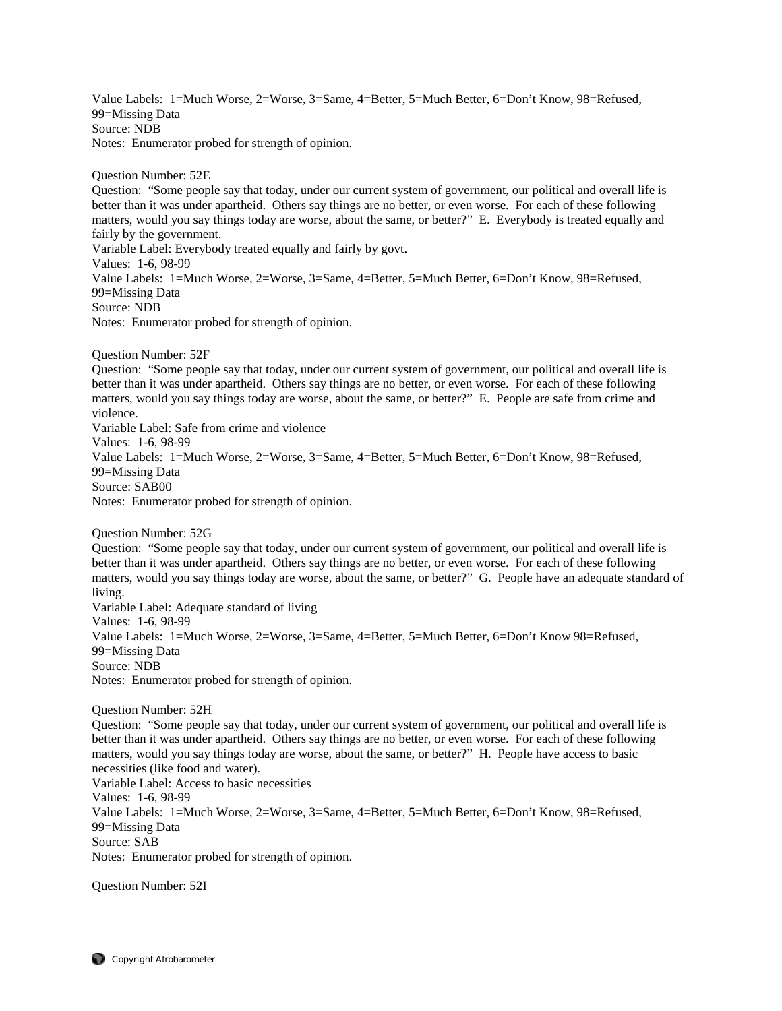Value Labels: 1=Much Worse, 2=Worse, 3=Same, 4=Better, 5=Much Better, 6=Don't Know, 98=Refused, 99=Missing Data Source: NDB Notes: Enumerator probed for strength of opinion.

Question Number: 52E

Question: "Some people say that today, under our current system of government, our political and overall life is better than it was under apartheid. Others say things are no better, or even worse. For each of these following matters, would you say things today are worse, about the same, or better?" E. Everybody is treated equally and fairly by the government. Variable Label: Everybody treated equally and fairly by govt. Values: 1-6, 98-99 Value Labels: 1=Much Worse, 2=Worse, 3=Same, 4=Better, 5=Much Better, 6=Don't Know, 98=Refused, 99=Missing Data

Source: NDB

Notes: Enumerator probed for strength of opinion.

Question Number: 52F

Question: "Some people say that today, under our current system of government, our political and overall life is better than it was under apartheid. Others say things are no better, or even worse. For each of these following matters, would you say things today are worse, about the same, or better?" E. People are safe from crime and violence.

Variable Label: Safe from crime and violence

Values: 1-6, 98-99

Value Labels: 1=Much Worse, 2=Worse, 3=Same, 4=Better, 5=Much Better, 6=Don't Know, 98=Refused, 99=Missing Data

Source: SAB00

Notes: Enumerator probed for strength of opinion.

Question Number: 52G

Question: "Some people say that today, under our current system of government, our political and overall life is better than it was under apartheid. Others say things are no better, or even worse. For each of these following matters, would you say things today are worse, about the same, or better?" G. People have an adequate standard of living.

Variable Label: Adequate standard of living Values: 1-6, 98-99 Value Labels: 1=Much Worse, 2=Worse, 3=Same, 4=Better, 5=Much Better, 6=Don't Know 98=Refused, 99=Missing Data Source: NDB Notes: Enumerator probed for strength of opinion.

Question Number: 52H

Question: "Some people say that today, under our current system of government, our political and overall life is better than it was under apartheid. Others say things are no better, or even worse. For each of these following matters, would you say things today are worse, about the same, or better?" H. People have access to basic necessities (like food and water). Variable Label: Access to basic necessities Values: 1-6, 98-99 Value Labels: 1=Much Worse, 2=Worse, 3=Same, 4=Better, 5=Much Better, 6=Don't Know, 98=Refused, 99=Missing Data

Source: SAB

Notes: Enumerator probed for strength of opinion.

Question Number: 52I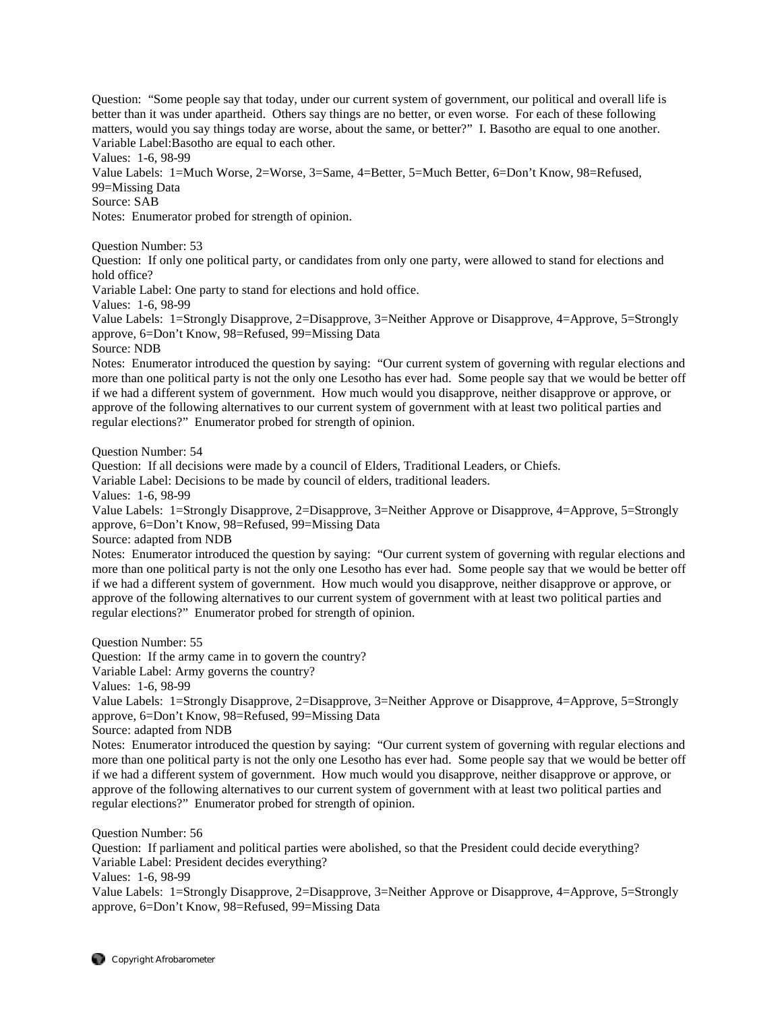Question: "Some people say that today, under our current system of government, our political and overall life is better than it was under apartheid. Others say things are no better, or even worse. For each of these following matters, would you say things today are worse, about the same, or better?" I. Basotho are equal to one another. Variable Label:Basotho are equal to each other.

Values: 1-6, 98-99

Value Labels: 1=Much Worse, 2=Worse, 3=Same, 4=Better, 5=Much Better, 6=Don't Know, 98=Refused, 99=Missing Data

Source: SAB

Notes: Enumerator probed for strength of opinion.

Question Number: 53

Question: If only one political party, or candidates from only one party, were allowed to stand for elections and hold office?

Variable Label: One party to stand for elections and hold office.

Values: 1-6, 98-99

Value Labels: 1=Strongly Disapprove, 2=Disapprove, 3=Neither Approve or Disapprove, 4=Approve, 5=Strongly approve, 6=Don't Know, 98=Refused, 99=Missing Data

Source: NDB

Notes: Enumerator introduced the question by saying: "Our current system of governing with regular elections and more than one political party is not the only one Lesotho has ever had. Some people say that we would be better off if we had a different system of government. How much would you disapprove, neither disapprove or approve, or approve of the following alternatives to our current system of government with at least two political parties and regular elections?" Enumerator probed for strength of opinion.

Question Number: 54

Question: If all decisions were made by a council of Elders, Traditional Leaders, or Chiefs.

Variable Label: Decisions to be made by council of elders, traditional leaders.

Values: 1-6, 98-99

Value Labels: 1=Strongly Disapprove, 2=Disapprove, 3=Neither Approve or Disapprove, 4=Approve, 5=Strongly approve, 6=Don't Know, 98=Refused, 99=Missing Data

Source: adapted from NDB

Notes: Enumerator introduced the question by saying: "Our current system of governing with regular elections and more than one political party is not the only one Lesotho has ever had. Some people say that we would be better off if we had a different system of government. How much would you disapprove, neither disapprove or approve, or approve of the following alternatives to our current system of government with at least two political parties and regular elections?" Enumerator probed for strength of opinion.

Question Number: 55

Question: If the army came in to govern the country?

Variable Label: Army governs the country?

Values: 1-6, 98-99

Value Labels: 1=Strongly Disapprove, 2=Disapprove, 3=Neither Approve or Disapprove, 4=Approve, 5=Strongly approve, 6=Don't Know, 98=Refused, 99=Missing Data

Source: adapted from NDB

Notes: Enumerator introduced the question by saying: "Our current system of governing with regular elections and more than one political party is not the only one Lesotho has ever had. Some people say that we would be better off if we had a different system of government. How much would you disapprove, neither disapprove or approve, or approve of the following alternatives to our current system of government with at least two political parties and regular elections?" Enumerator probed for strength of opinion.

Question Number: 56

Question: If parliament and political parties were abolished, so that the President could decide everything? Variable Label: President decides everything?

Values: 1-6, 98-99

Value Labels: 1=Strongly Disapprove, 2=Disapprove, 3=Neither Approve or Disapprove, 4=Approve, 5=Strongly approve, 6=Don't Know, 98=Refused, 99=Missing Data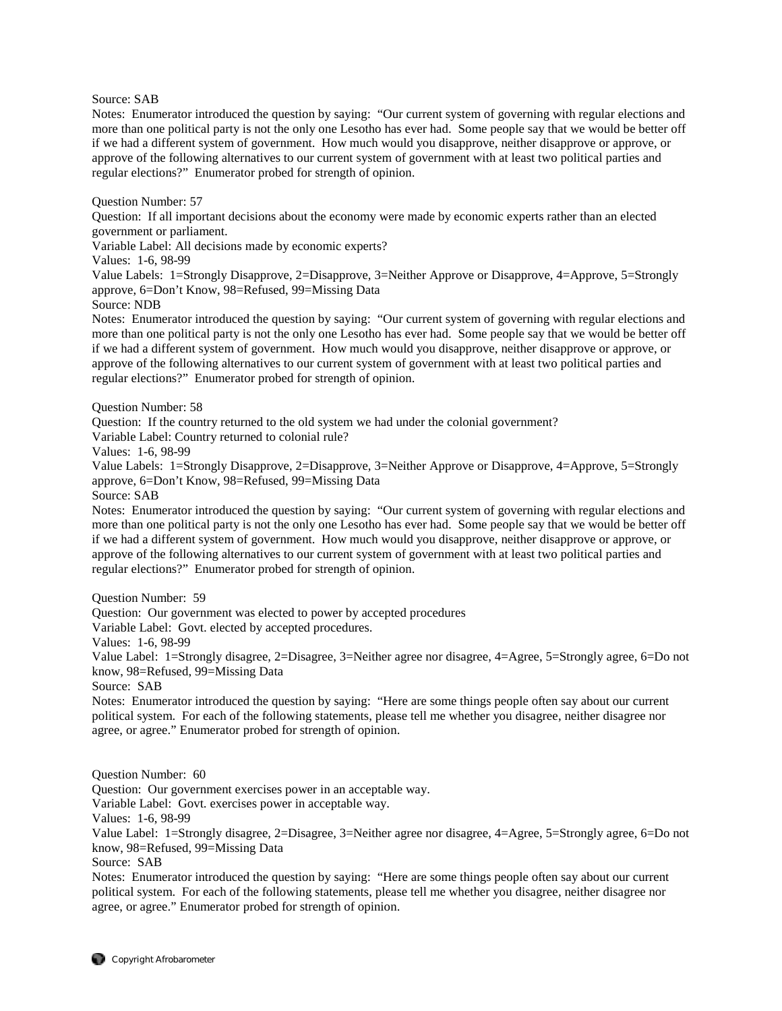Source: SAB

Notes: Enumerator introduced the question by saying: "Our current system of governing with regular elections and more than one political party is not the only one Lesotho has ever had. Some people say that we would be better off if we had a different system of government. How much would you disapprove, neither disapprove or approve, or approve of the following alternatives to our current system of government with at least two political parties and regular elections?" Enumerator probed for strength of opinion.

Question Number: 57

Question: If all important decisions about the economy were made by economic experts rather than an elected government or parliament.

Variable Label: All decisions made by economic experts?

Values: 1-6, 98-99

Value Labels: 1=Strongly Disapprove, 2=Disapprove, 3=Neither Approve or Disapprove, 4=Approve, 5=Strongly approve, 6=Don't Know, 98=Refused, 99=Missing Data

Source: NDB

Notes: Enumerator introduced the question by saying: "Our current system of governing with regular elections and more than one political party is not the only one Lesotho has ever had. Some people say that we would be better off if we had a different system of government. How much would you disapprove, neither disapprove or approve, or approve of the following alternatives to our current system of government with at least two political parties and regular elections?" Enumerator probed for strength of opinion.

Question Number: 58

Question: If the country returned to the old system we had under the colonial government?

Variable Label: Country returned to colonial rule?

Values: 1-6, 98-99

Value Labels: 1=Strongly Disapprove, 2=Disapprove, 3=Neither Approve or Disapprove, 4=Approve, 5=Strongly approve, 6=Don't Know, 98=Refused, 99=Missing Data

Source: SAB

Notes: Enumerator introduced the question by saying: "Our current system of governing with regular elections and more than one political party is not the only one Lesotho has ever had. Some people say that we would be better off if we had a different system of government. How much would you disapprove, neither disapprove or approve, or approve of the following alternatives to our current system of government with at least two political parties and regular elections?" Enumerator probed for strength of opinion.

Question Number: 59

Question: Our government was elected to power by accepted procedures

Variable Label: Govt. elected by accepted procedures.

Values: 1-6, 98-99

Value Label: 1=Strongly disagree, 2=Disagree, 3=Neither agree nor disagree, 4=Agree, 5=Strongly agree, 6=Do not know, 98=Refused, 99=Missing Data

Source: SAB

Notes: Enumerator introduced the question by saying: "Here are some things people often say about our current political system. For each of the following statements, please tell me whether you disagree, neither disagree nor agree, or agree." Enumerator probed for strength of opinion.

Question Number: 60

Question: Our government exercises power in an acceptable way.

Variable Label: Govt. exercises power in acceptable way.

Values: 1-6, 98-99

Value Label: 1=Strongly disagree, 2=Disagree, 3=Neither agree nor disagree, 4=Agree, 5=Strongly agree, 6=Do not know, 98=Refused, 99=Missing Data

Source: SAB

Notes: Enumerator introduced the question by saying: "Here are some things people often say about our current political system. For each of the following statements, please tell me whether you disagree, neither disagree nor agree, or agree." Enumerator probed for strength of opinion.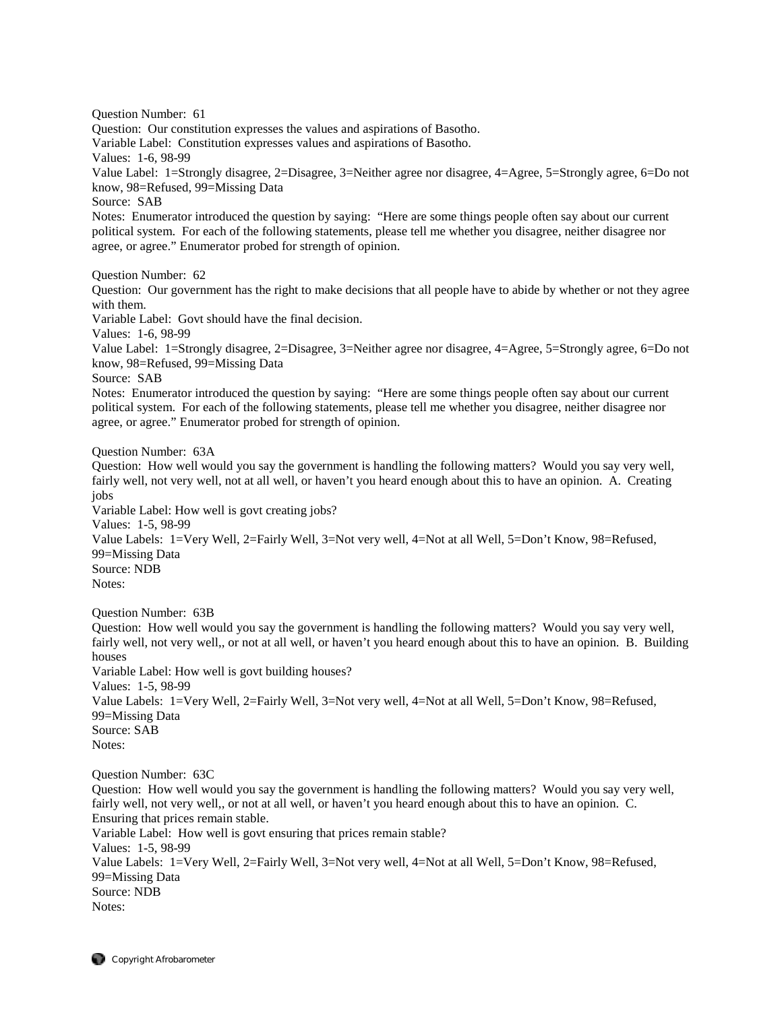Question Number: 61 Question: Our constitution expresses the values and aspirations of Basotho. Variable Label: Constitution expresses values and aspirations of Basotho. Values: 1-6, 98-99 Value Label: 1=Strongly disagree, 2=Disagree, 3=Neither agree nor disagree, 4=Agree, 5=Strongly agree, 6=Do not know, 98=Refused, 99=Missing Data Source: SAB Notes: Enumerator introduced the question by saying: "Here are some things people often say about our current political system. For each of the following statements, please tell me whether you disagree, neither disagree nor agree, or agree." Enumerator probed for strength of opinion. Question Number: 62 Question: Our government has the right to make decisions that all people have to abide by whether or not they agree with them. Variable Label: Govt should have the final decision. Values: 1-6, 98-99 Value Label: 1=Strongly disagree, 2=Disagree, 3=Neither agree nor disagree, 4=Agree, 5=Strongly agree, 6=Do not know, 98=Refused, 99=Missing Data Source: SAB Notes: Enumerator introduced the question by saying: "Here are some things people often say about our current political system. For each of the following statements, please tell me whether you disagree, neither disagree nor agree, or agree." Enumerator probed for strength of opinion. Question Number: 63A Question: How well would you say the government is handling the following matters? Would you say very well, fairly well, not very well, not at all well, or haven't you heard enough about this to have an opinion. A. Creating jobs Variable Label: How well is govt creating jobs? Values: 1-5, 98-99 Value Labels: 1=Very Well, 2=Fairly Well, 3=Not very well, 4=Not at all Well, 5=Don't Know, 98=Refused, 99=Missing Data Source: NDB Notes: Question Number: 63B Question: How well would you say the government is handling the following matters? Would you say very well, fairly well, not very well,, or not at all well, or haven't you heard enough about this to have an opinion. B. Building houses

Variable Label: How well is govt building houses? Values: 1-5, 98-99 Value Labels: 1=Very Well, 2=Fairly Well, 3=Not very well, 4=Not at all Well, 5=Don't Know, 98=Refused, 99=Missing Data Source: SAB Notes:

Question Number: 63C

Question: How well would you say the government is handling the following matters? Would you say very well, fairly well, not very well,, or not at all well, or haven't you heard enough about this to have an opinion. C. Ensuring that prices remain stable. Variable Label: How well is govt ensuring that prices remain stable? Values: 1-5, 98-99 Value Labels: 1=Very Well, 2=Fairly Well, 3=Not very well, 4=Not at all Well, 5=Don't Know, 98=Refused, 99=Missing Data Source: NDB Notes: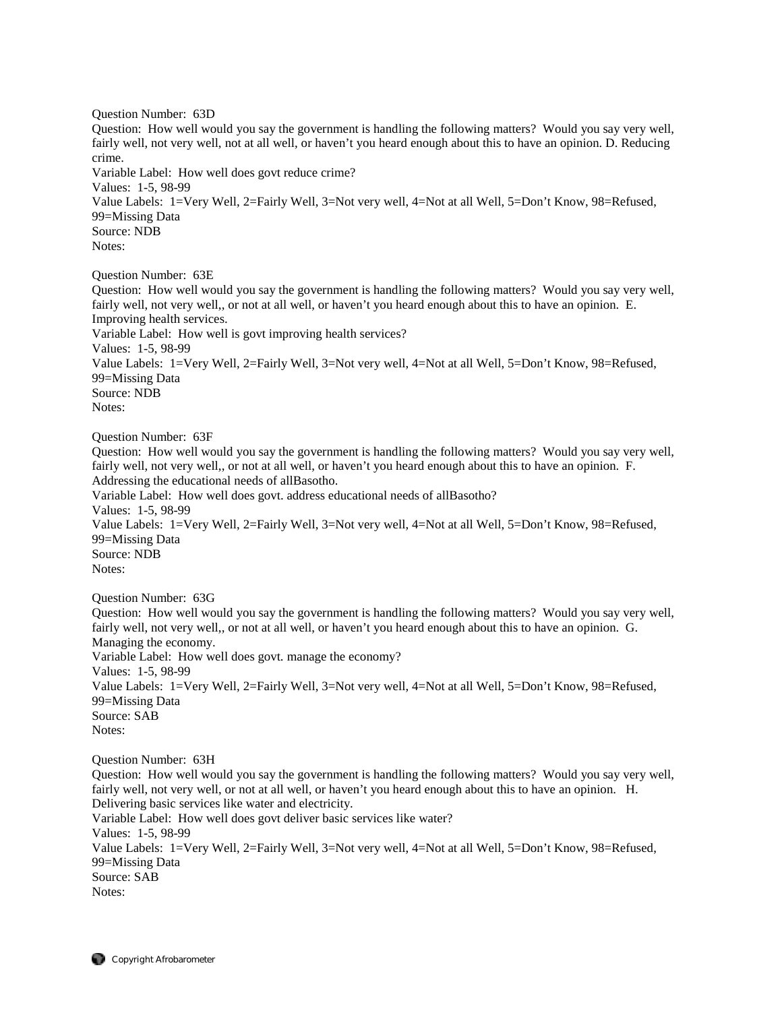Question Number: 63D Question: How well would you say the government is handling the following matters? Would you say very well, fairly well, not very well, not at all well, or haven't you heard enough about this to have an opinion. D. Reducing crime. Variable Label: How well does govt reduce crime? Values: 1-5, 98-99 Value Labels: 1=Very Well, 2=Fairly Well, 3=Not very well, 4=Not at all Well, 5=Don't Know, 98=Refused, 99=Missing Data Source: NDB Notes: Question Number: 63E Question: How well would you say the government is handling the following matters? Would you say very well, fairly well, not very well,, or not at all well, or haven't you heard enough about this to have an opinion. E. Improving health services.

Variable Label: How well is govt improving health services? Values: 1-5, 98-99 Value Labels: 1=Very Well, 2=Fairly Well, 3=Not very well, 4=Not at all Well, 5=Don't Know, 98=Refused, 99=Missing Data Source: NDB Notes:

Question Number: 63F

Question: How well would you say the government is handling the following matters? Would you say very well, fairly well, not very well,, or not at all well, or haven't you heard enough about this to have an opinion. F. Addressing the educational needs of allBasotho. Variable Label: How well does govt. address educational needs of allBasotho? Values: 1-5, 98-99 Value Labels: 1=Very Well, 2=Fairly Well, 3=Not very well, 4=Not at all Well, 5=Don't Know, 98=Refused, 99=Missing Data Source: NDB Notes:

Question Number: 63G

Question: How well would you say the government is handling the following matters? Would you say very well, fairly well, not very well,, or not at all well, or haven't you heard enough about this to have an opinion. G. Managing the economy. Variable Label: How well does govt. manage the economy? Values: 1-5, 98-99 Value Labels: 1=Very Well, 2=Fairly Well, 3=Not very well, 4=Not at all Well, 5=Don't Know, 98=Refused, 99=Missing Data Source: SAB Notes:

Question Number: 63H

Question: How well would you say the government is handling the following matters? Would you say very well, fairly well, not very well, or not at all well, or haven't you heard enough about this to have an opinion. H. Delivering basic services like water and electricity. Variable Label: How well does govt deliver basic services like water? Values: 1-5, 98-99 Value Labels: 1=Very Well, 2=Fairly Well, 3=Not very well, 4=Not at all Well, 5=Don't Know, 98=Refused, 99=Missing Data Source: SAB Notes: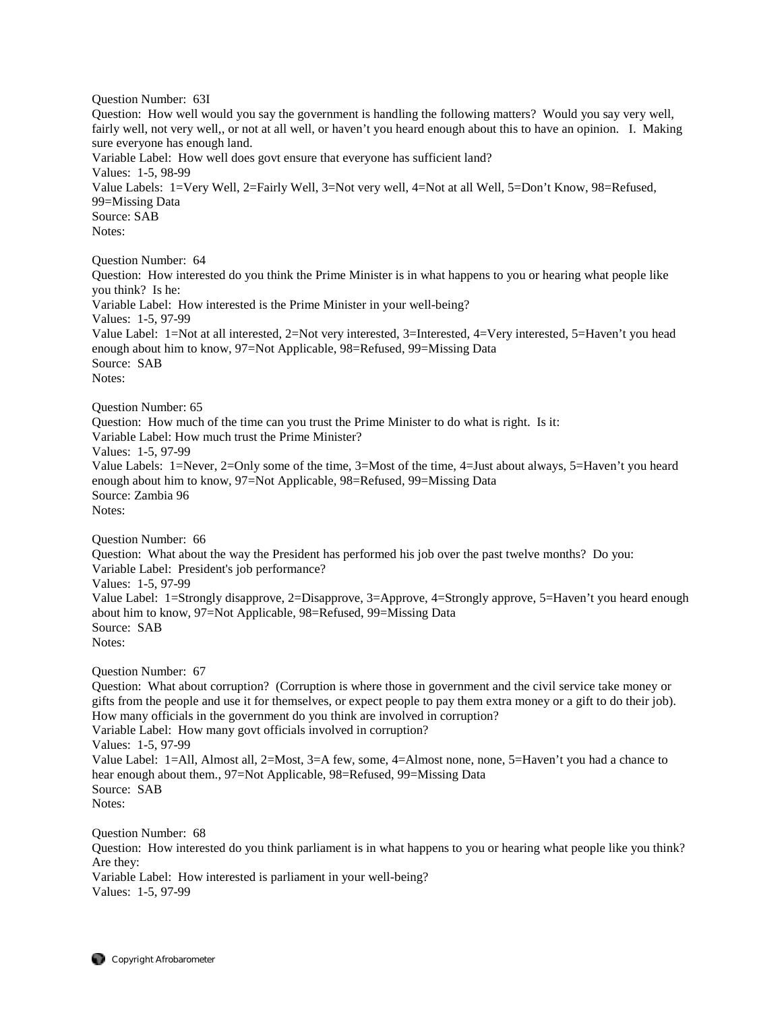Question Number: 63I Question: How well would you say the government is handling the following matters? Would you say very well, fairly well, not very well,, or not at all well, or haven't you heard enough about this to have an opinion. I. Making sure everyone has enough land. Variable Label: How well does govt ensure that everyone has sufficient land? Values: 1-5, 98-99 Value Labels: 1=Very Well, 2=Fairly Well, 3=Not very well, 4=Not at all Well, 5=Don't Know, 98=Refused, 99=Missing Data Source: SAB Notes: Question Number: 64 Question: How interested do you think the Prime Minister is in what happens to you or hearing what people like you think? Is he: Variable Label: How interested is the Prime Minister in your well-being? Values: 1-5, 97-99 Value Label: 1=Not at all interested, 2=Not very interested, 3=Interested, 4=Very interested, 5=Haven't you head enough about him to know, 97=Not Applicable, 98=Refused, 99=Missing Data Source: SAB Notes: Question Number: 65 Question: How much of the time can you trust the Prime Minister to do what is right. Is it: Variable Label: How much trust the Prime Minister? Values: 1-5, 97-99 Value Labels: 1=Never, 2=Only some of the time, 3=Most of the time, 4=Just about always, 5=Haven't you heard enough about him to know, 97=Not Applicable, 98=Refused, 99=Missing Data Source: Zambia 96 Notes: Question Number: 66 Question: What about the way the President has performed his job over the past twelve months? Do you: Variable Label: President's job performance? Values: 1-5, 97-99 Value Label: 1=Strongly disapprove, 2=Disapprove, 3=Approve, 4=Strongly approve, 5=Haven't you heard enough about him to know, 97=Not Applicable, 98=Refused, 99=Missing Data Source: SAB Notes: Question Number: 67 Question: What about corruption? (Corruption is where those in government and the civil service take money or gifts from the people and use it for themselves, or expect people to pay them extra money or a gift to do their job). How many officials in the government do you think are involved in corruption? Variable Label: How many govt officials involved in corruption? Values: 1-5, 97-99 Value Label: 1=All, Almost all, 2=Most, 3=A few, some, 4=Almost none, none, 5=Haven't you had a chance to hear enough about them., 97=Not Applicable, 98=Refused, 99=Missing Data Source: SAB Notes: Question Number: 68 Question: How interested do you think parliament is in what happens to you or hearing what people like you think? Are they:

Variable Label: How interested is parliament in your well-being? Values: 1-5, 97-99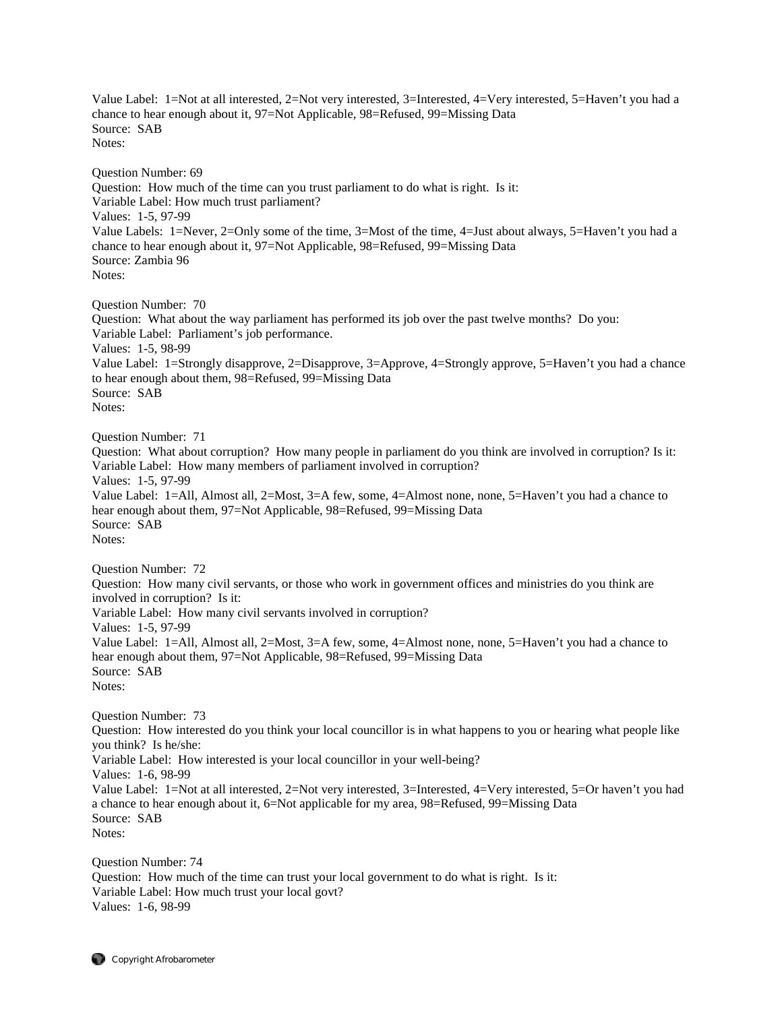Value Label: 1=Not at all interested, 2=Not very interested, 3=Interested, 4=Very interested, 5=Haven't you had a chance to hear enough about it, 97=Not Applicable, 98=Refused, 99=Missing Data Source: SAB Notes: Question Number: 69 Question: How much of the time can you trust parliament to do what is right. Is it: Variable Label: How much trust parliament? Values: 1-5, 97-99 Value Labels: 1=Never, 2=Only some of the time, 3=Most of the time, 4=Just about always, 5=Haven't you had a chance to hear enough about it, 97=Not Applicable, 98=Refused, 99=Missing Data Source: Zambia 96 Notes: Question Number: 70 Question: What about the way parliament has performed its job over the past twelve months? Do you: Variable Label: Parliament's job performance. Values: 1-5, 98-99 Value Label: 1=Strongly disapprove, 2=Disapprove, 3=Approve, 4=Strongly approve, 5=Haven't you had a chance to hear enough about them, 98=Refused, 99=Missing Data Source: SAB Notes: Question Number: 71 Question: What about corruption? How many people in parliament do you think are involved in corruption? Is it: Variable Label: How many members of parliament involved in corruption? Values: 1-5, 97-99 Value Label: 1=All, Almost all, 2=Most, 3=A few, some, 4=Almost none, none, 5=Haven't you had a chance to hear enough about them, 97=Not Applicable, 98=Refused, 99=Missing Data Source: SAB Notes: Question Number: 72 Question: How many civil servants, or those who work in government offices and ministries do you think are involved in corruption? Is it: Variable Label: How many civil servants involved in corruption? Values: 1-5, 97-99 Value Label: 1=All, Almost all, 2=Most, 3=A few, some, 4=Almost none, none, 5=Haven't you had a chance to hear enough about them, 97=Not Applicable, 98=Refused, 99=Missing Data Source: SAB Notes: Question Number: 73 Question: How interested do you think your local councillor is in what happens to you or hearing what people like you think? Is he/she: Variable Label: How interested is your local councillor in your well-being? Values: 1-6, 98-99 Value Label: 1=Not at all interested, 2=Not very interested, 3=Interested, 4=Very interested, 5=Or haven't you had a chance to hear enough about it, 6=Not applicable for my area, 98=Refused, 99=Missing Data Source: SAB Notes:

Question Number: 74 Question: How much of the time can trust your local government to do what is right. Is it: Variable Label: How much trust your local govt? Values: 1-6, 98-99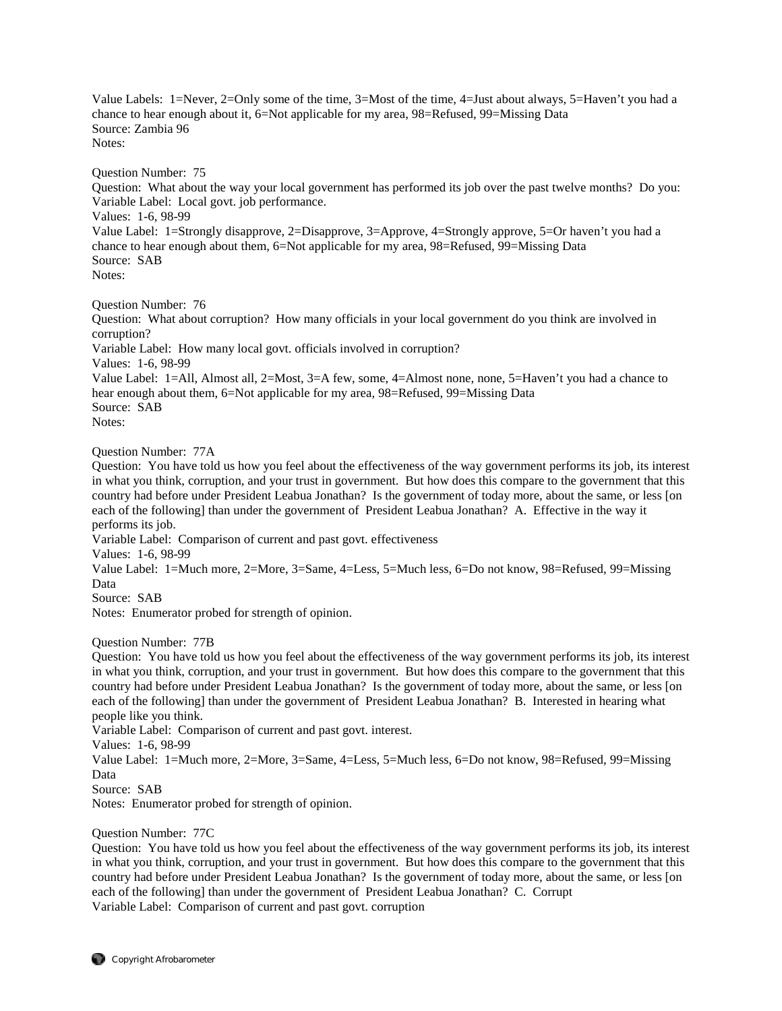Value Labels: 1=Never, 2=Only some of the time, 3=Most of the time, 4=Just about always, 5=Haven't you had a chance to hear enough about it, 6=Not applicable for my area, 98=Refused, 99=Missing Data Source: Zambia 96 Notes:

Question Number: 75

Question: What about the way your local government has performed its job over the past twelve months? Do you: Variable Label: Local govt. job performance.

Values: 1-6, 98-99

Value Label: 1=Strongly disapprove, 2=Disapprove, 3=Approve, 4=Strongly approve, 5=Or haven't you had a chance to hear enough about them, 6=Not applicable for my area, 98=Refused, 99=Missing Data Source: SAB

Notes:

Question Number: 76

Question: What about corruption? How many officials in your local government do you think are involved in corruption?

Variable Label: How many local govt. officials involved in corruption?

Values: 1-6, 98-99

Value Label: 1=All, Almost all, 2=Most, 3=A few, some, 4=Almost none, none, 5=Haven't you had a chance to hear enough about them, 6=Not applicable for my area, 98=Refused, 99=Missing Data Source: SAB Notes:

Question Number: 77A

Question: You have told us how you feel about the effectiveness of the way government performs its job, its interest in what you think, corruption, and your trust in government. But how does this compare to the government that this country had before under President Leabua Jonathan? Is the government of today more, about the same, or less [on each of the following] than under the government of President Leabua Jonathan? A. Effective in the way it performs its job.

Variable Label: Comparison of current and past govt. effectiveness

Values: 1-6, 98-99

Value Label: 1=Much more, 2=More, 3=Same, 4=Less, 5=Much less, 6=Do not know, 98=Refused, 99=Missing Data

Source: SAB

Notes: Enumerator probed for strength of opinion.

Question Number: 77B

Question: You have told us how you feel about the effectiveness of the way government performs its job, its interest in what you think, corruption, and your trust in government. But how does this compare to the government that this country had before under President Leabua Jonathan? Is the government of today more, about the same, or less [on each of the following] than under the government of President Leabua Jonathan? B. Interested in hearing what people like you think.

Variable Label: Comparison of current and past govt. interest.

Values: 1-6, 98-99

Value Label: 1=Much more, 2=More, 3=Same, 4=Less, 5=Much less, 6=Do not know, 98=Refused, 99=Missing Data

Source: SAB

Notes: Enumerator probed for strength of opinion.

## Question Number: 77C

Question: You have told us how you feel about the effectiveness of the way government performs its job, its interest in what you think, corruption, and your trust in government. But how does this compare to the government that this country had before under President Leabua Jonathan? Is the government of today more, about the same, or less [on each of the following] than under the government of President Leabua Jonathan? C. Corrupt Variable Label: Comparison of current and past govt. corruption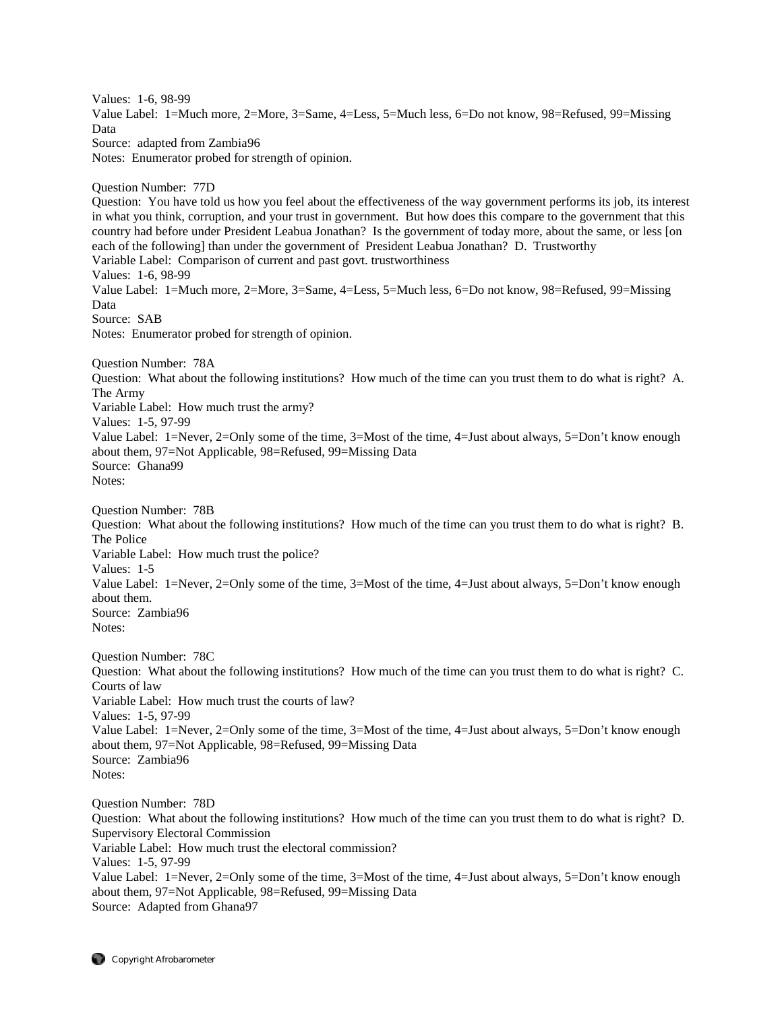Values: 1-6, 98-99 Value Label: 1=Much more, 2=More, 3=Same, 4=Less, 5=Much less, 6=Do not know, 98=Refused, 99=Missing Data Source: adapted from Zambia96 Notes: Enumerator probed for strength of opinion. Question Number: 77D Question: You have told us how you feel about the effectiveness of the way government performs its job, its interest in what you think, corruption, and your trust in government. But how does this compare to the government that this country had before under President Leabua Jonathan? Is the government of today more, about the same, or less [on each of the following] than under the government of President Leabua Jonathan? D. Trustworthy Variable Label: Comparison of current and past govt. trustworthiness Values: 1-6, 98-99 Value Label: 1=Much more, 2=More, 3=Same, 4=Less, 5=Much less, 6=Do not know, 98=Refused, 99=Missing Data Source: SAB Notes: Enumerator probed for strength of opinion. Question Number: 78A Question: What about the following institutions? How much of the time can you trust them to do what is right? A. The Army Variable Label: How much trust the army? Values: 1-5, 97-99 Value Label: 1=Never, 2=Only some of the time, 3=Most of the time, 4=Just about always, 5=Don't know enough about them, 97=Not Applicable, 98=Refused, 99=Missing Data Source: Ghana99 Notes: Question Number: 78B Question: What about the following institutions? How much of the time can you trust them to do what is right? B. The Police Variable Label: How much trust the police? Values: 1-5 Value Label: 1=Never, 2=Only some of the time, 3=Most of the time, 4=Just about always, 5=Don't know enough about them. Source: Zambia96 Notes: Question Number: 78C Question: What about the following institutions? How much of the time can you trust them to do what is right? C. Courts of law Variable Label: How much trust the courts of law? Values: 1-5, 97-99 Value Label: 1=Never, 2=Only some of the time, 3=Most of the time, 4=Just about always, 5=Don't know enough about them, 97=Not Applicable, 98=Refused, 99=Missing Data Source: Zambia96 Notes: Question Number: 78D Question: What about the following institutions? How much of the time can you trust them to do what is right? D. Supervisory Electoral Commission Variable Label: How much trust the electoral commission? Values: 1-5, 97-99 Value Label: 1=Never, 2=Only some of the time, 3=Most of the time, 4=Just about always, 5=Don't know enough about them, 97=Not Applicable, 98=Refused, 99=Missing Data

Source: Adapted from Ghana97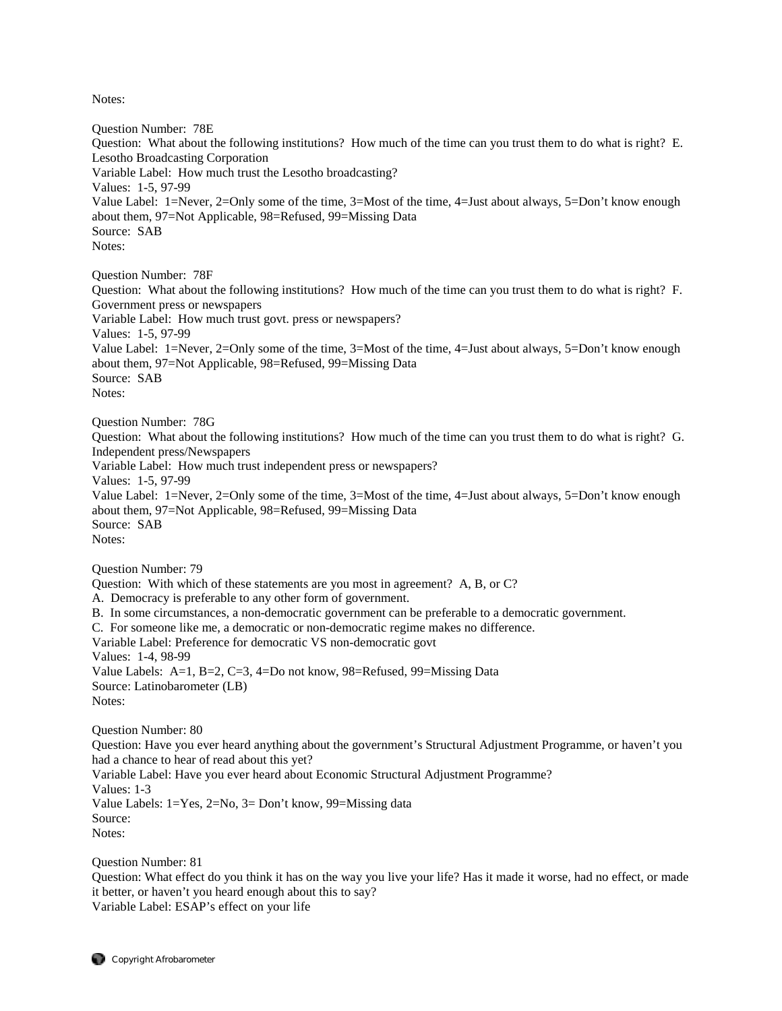Notes:

Question Number: 78E Question: What about the following institutions? How much of the time can you trust them to do what is right? E. Lesotho Broadcasting Corporation Variable Label: How much trust the Lesotho broadcasting? Values: 1-5, 97-99 Value Label: 1=Never, 2=Only some of the time, 3=Most of the time, 4=Just about always, 5=Don't know enough about them, 97=Not Applicable, 98=Refused, 99=Missing Data Source: SAB Notes: Question Number: 78F Question: What about the following institutions? How much of the time can you trust them to do what is right? F. Government press or newspapers Variable Label: How much trust govt. press or newspapers? Values: 1-5, 97-99 Value Label: 1=Never, 2=Only some of the time, 3=Most of the time, 4=Just about always, 5=Don't know enough about them, 97=Not Applicable, 98=Refused, 99=Missing Data Source: SAB Notes: Question Number: 78G Question: What about the following institutions? How much of the time can you trust them to do what is right? G. Independent press/Newspapers Variable Label: How much trust independent press or newspapers? Values: 1-5, 97-99 Value Label: 1=Never, 2=Only some of the time, 3=Most of the time, 4=Just about always, 5=Don't know enough about them, 97=Not Applicable, 98=Refused, 99=Missing Data Source: SAB Notes: Question Number: 79 Question: With which of these statements are you most in agreement? A, B, or C? A. Democracy is preferable to any other form of government. B. In some circumstances, a non-democratic government can be preferable to a democratic government. C. For someone like me, a democratic or non-democratic regime makes no difference. Variable Label: Preference for democratic VS non-democratic govt Values: 1-4, 98-99 Value Labels: A=1, B=2, C=3, 4=Do not know, 98=Refused, 99=Missing Data Source: Latinobarometer (LB) Notes: Question Number: 80 Question: Have you ever heard anything about the government's Structural Adjustment Programme, or haven't you had a chance to hear of read about this yet? Variable Label: Have you ever heard about Economic Structural Adjustment Programme? Values: 1-3 Value Labels: 1=Yes, 2=No, 3= Don't know, 99=Missing data

Question Number: 81

Source: Notes:

Question: What effect do you think it has on the way you live your life? Has it made it worse, had no effect, or made it better, or haven't you heard enough about this to say? Variable Label: ESAP's effect on your life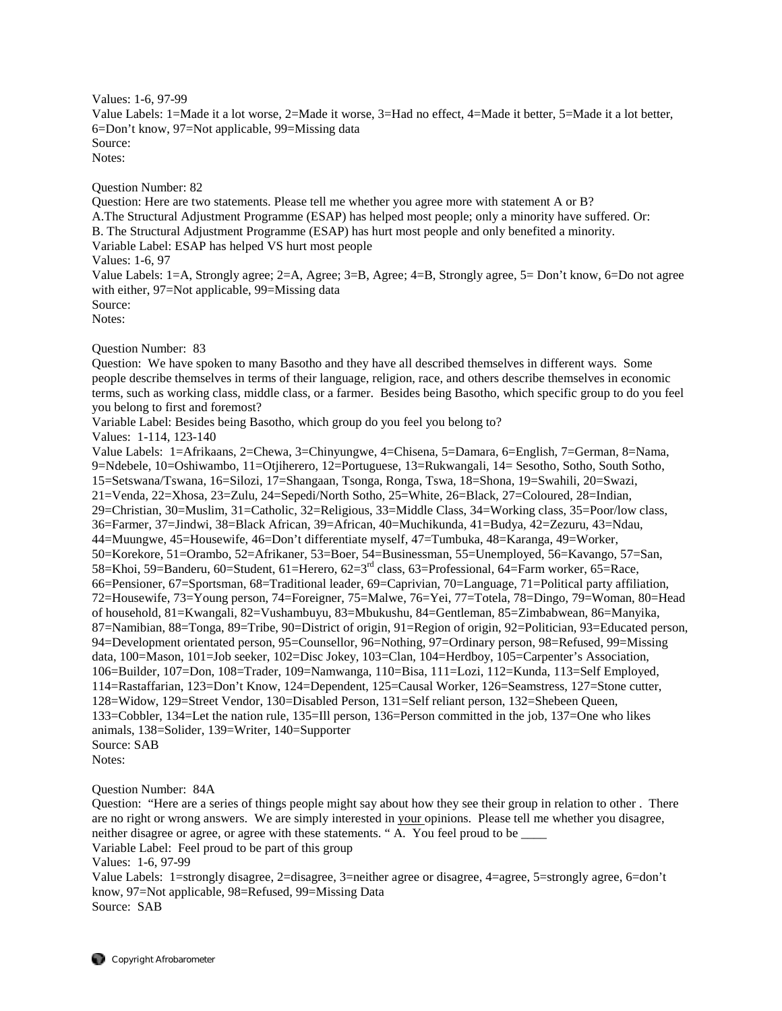Values: 1-6, 97-99 Value Labels: 1=Made it a lot worse, 2=Made it worse, 3=Had no effect, 4=Made it better, 5=Made it a lot better, 6=Don't know, 97=Not applicable, 99=Missing data Source: Notes:

Question Number: 82

Question: Here are two statements. Please tell me whether you agree more with statement A or B? A.The Structural Adjustment Programme (ESAP) has helped most people; only a minority have suffered. Or: B. The Structural Adjustment Programme (ESAP) has hurt most people and only benefited a minority. Variable Label: ESAP has helped VS hurt most people Values: 1-6, 97 Value Labels: 1=A, Strongly agree; 2=A, Agree; 3=B, Agree; 4=B, Strongly agree, 5= Don't know, 6=Do not agree with either, 97=Not applicable, 99=Missing data

Source:

Notes:

Question Number: 83

Question: We have spoken to many Basotho and they have all described themselves in different ways. Some people describe themselves in terms of their language, religion, race, and others describe themselves in economic terms, such as working class, middle class, or a farmer. Besides being Basotho, which specific group to do you feel you belong to first and foremost?

Variable Label: Besides being Basotho, which group do you feel you belong to?

Values: 1-114, 123-140

Value Labels: 1=Afrikaans, 2=Chewa, 3=Chinyungwe, 4=Chisena, 5=Damara, 6=English, 7=German, 8=Nama, 9=Ndebele, 10=Oshiwambo, 11=Otjiherero, 12=Portuguese, 13=Rukwangali, 14= Sesotho, Sotho, South Sotho, 15=Setswana/Tswana, 16=Silozi, 17=Shangaan, Tsonga, Ronga, Tswa, 18=Shona, 19=Swahili, 20=Swazi, 21=Venda, 22=Xhosa, 23=Zulu, 24=Sepedi/North Sotho, 25=White, 26=Black, 27=Coloured, 28=Indian, 29=Christian, 30=Muslim, 31=Catholic, 32=Religious, 33=Middle Class, 34=Working class, 35=Poor/low class, 36=Farmer, 37=Jindwi, 38=Black African, 39=African, 40=Muchikunda, 41=Budya, 42=Zezuru, 43=Ndau, 44=Muungwe, 45=Housewife, 46=Don't differentiate myself, 47=Tumbuka, 48=Karanga, 49=Worker, 50=Korekore, 51=Orambo, 52=Afrikaner, 53=Boer, 54=Businessman, 55=Unemployed, 56=Kavango, 57=San, 58=Khoi, 59=Banderu, 60=Student, 61=Herero, 62=3rd class, 63=Professional, 64=Farm worker, 65=Race, 66=Pensioner, 67=Sportsman, 68=Traditional leader, 69=Caprivian, 70=Language, 71=Political party affiliation, 72=Housewife, 73=Young person, 74=Foreigner, 75=Malwe, 76=Yei, 77=Totela, 78=Dingo, 79=Woman, 80=Head of household, 81=Kwangali, 82=Vushambuyu, 83=Mbukushu, 84=Gentleman, 85=Zimbabwean, 86=Manyika, 87=Namibian, 88=Tonga, 89=Tribe, 90=District of origin, 91=Region of origin, 92=Politician, 93=Educated person, 94=Development orientated person, 95=Counsellor, 96=Nothing, 97=Ordinary person, 98=Refused, 99=Missing data, 100=Mason, 101=Job seeker, 102=Disc Jokey, 103=Clan, 104=Herdboy, 105=Carpenter's Association, 106=Builder, 107=Don, 108=Trader, 109=Namwanga, 110=Bisa, 111=Lozi, 112=Kunda, 113=Self Employed, 114=Rastaffarian, 123=Don't Know, 124=Dependent, 125=Causal Worker, 126=Seamstress, 127=Stone cutter, 128=Widow, 129=Street Vendor, 130=Disabled Person, 131=Self reliant person, 132=Shebeen Queen, 133=Cobbler, 134=Let the nation rule, 135=Ill person, 136=Person committed in the job, 137=One who likes animals, 138=Solider, 139=Writer, 140=Supporter Source: SAB

Notes:

Question Number: 84A

Question: "Here are a series of things people might say about how they see their group in relation to other . There are no right or wrong answers. We are simply interested in your opinions. Please tell me whether you disagree, neither disagree or agree, or agree with these statements. "A. You feel proud to be

Variable Label: Feel proud to be part of this group

Values: 1-6, 97-99

Value Labels: 1=strongly disagree, 2=disagree, 3=neither agree or disagree, 4=agree, 5=strongly agree, 6=don't know, 97=Not applicable, 98=Refused, 99=Missing Data Source: SAB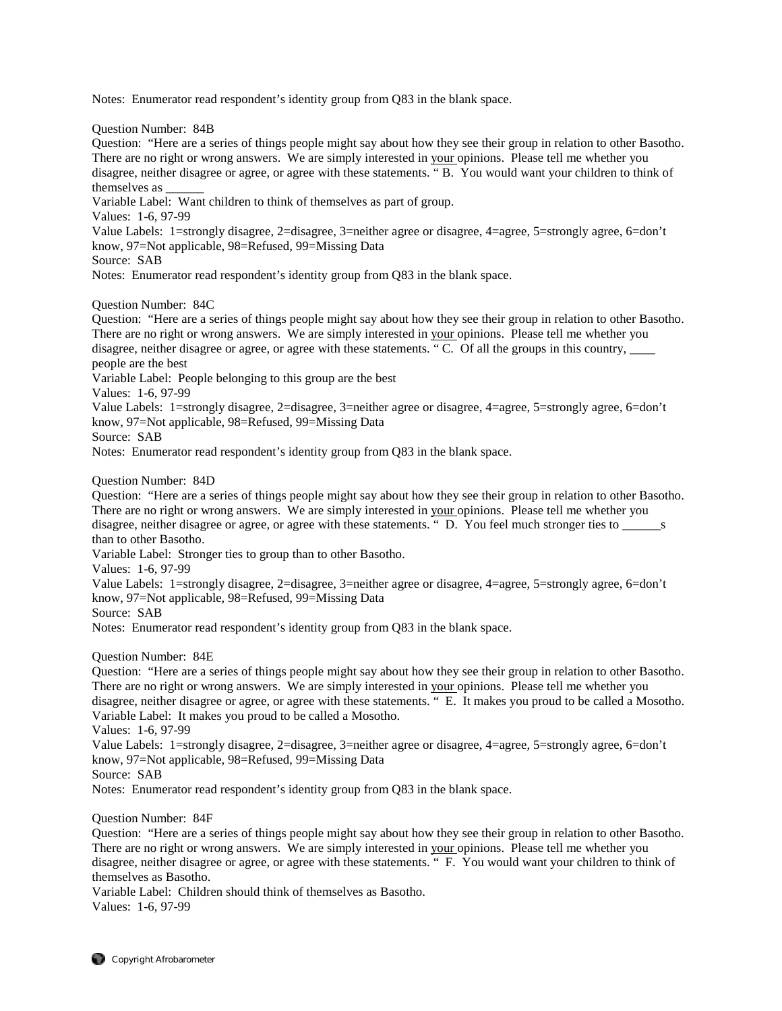Notes: Enumerator read respondent's identity group from Q83 in the blank space.

Question Number: 84B

Question: "Here are a series of things people might say about how they see their group in relation to other Basotho. There are no right or wrong answers. We are simply interested in your opinions. Please tell me whether you disagree, neither disagree or agree, or agree with these statements. " B. You would want your children to think of themselves as \_\_\_\_\_\_

Variable Label: Want children to think of themselves as part of group.

Values: 1-6, 97-99

Value Labels: 1=strongly disagree, 2=disagree, 3=neither agree or disagree, 4=agree, 5=strongly agree, 6=don't know, 97=Not applicable, 98=Refused, 99=Missing Data

Source: SAB

Notes: Enumerator read respondent's identity group from Q83 in the blank space.

Question Number: 84C

Question: "Here are a series of things people might say about how they see their group in relation to other Basotho. There are no right or wrong answers. We are simply interested in your opinions. Please tell me whether you disagree, neither disagree or agree, or agree with these statements. " C. Of all the groups in this country, people are the best Variable Label: People belonging to this group are the best

Values: 1-6, 97-99

Value Labels: 1=strongly disagree, 2=disagree, 3=neither agree or disagree, 4=agree, 5=strongly agree, 6=don't know, 97=Not applicable, 98=Refused, 99=Missing Data

Source: SAB

Notes: Enumerator read respondent's identity group from Q83 in the blank space.

Question Number: 84D

Question: "Here are a series of things people might say about how they see their group in relation to other Basotho. There are no right or wrong answers. We are simply interested in your opinions. Please tell me whether you disagree, neither disagree or agree, or agree with these statements. " D. You feel much stronger ties to \_\_\_\_\_\_\_\_s than to other Basotho.

Variable Label: Stronger ties to group than to other Basotho.

Values: 1-6, 97-99

Value Labels: 1=strongly disagree, 2=disagree, 3=neither agree or disagree, 4=agree, 5=strongly agree, 6=don't know, 97=Not applicable, 98=Refused, 99=Missing Data

Source: SAB

Notes: Enumerator read respondent's identity group from Q83 in the blank space.

Question Number: 84E

Question: "Here are a series of things people might say about how they see their group in relation to other Basotho. There are no right or wrong answers. We are simply interested in your opinions. Please tell me whether you disagree, neither disagree or agree, or agree with these statements. " E. It makes you proud to be called a Mosotho. Variable Label: It makes you proud to be called a Mosotho.

Values: 1-6, 97-99

Value Labels: 1=strongly disagree, 2=disagree, 3=neither agree or disagree, 4=agree, 5=strongly agree, 6=don't know, 97=Not applicable, 98=Refused, 99=Missing Data

Source: SAB

Notes: Enumerator read respondent's identity group from Q83 in the blank space.

Question Number: 84F

Question: "Here are a series of things people might say about how they see their group in relation to other Basotho. There are no right or wrong answers. We are simply interested in your opinions. Please tell me whether you disagree, neither disagree or agree, or agree with these statements. " F. You would want your children to think of themselves as Basotho.

Variable Label: Children should think of themselves as Basotho. Values: 1-6, 97-99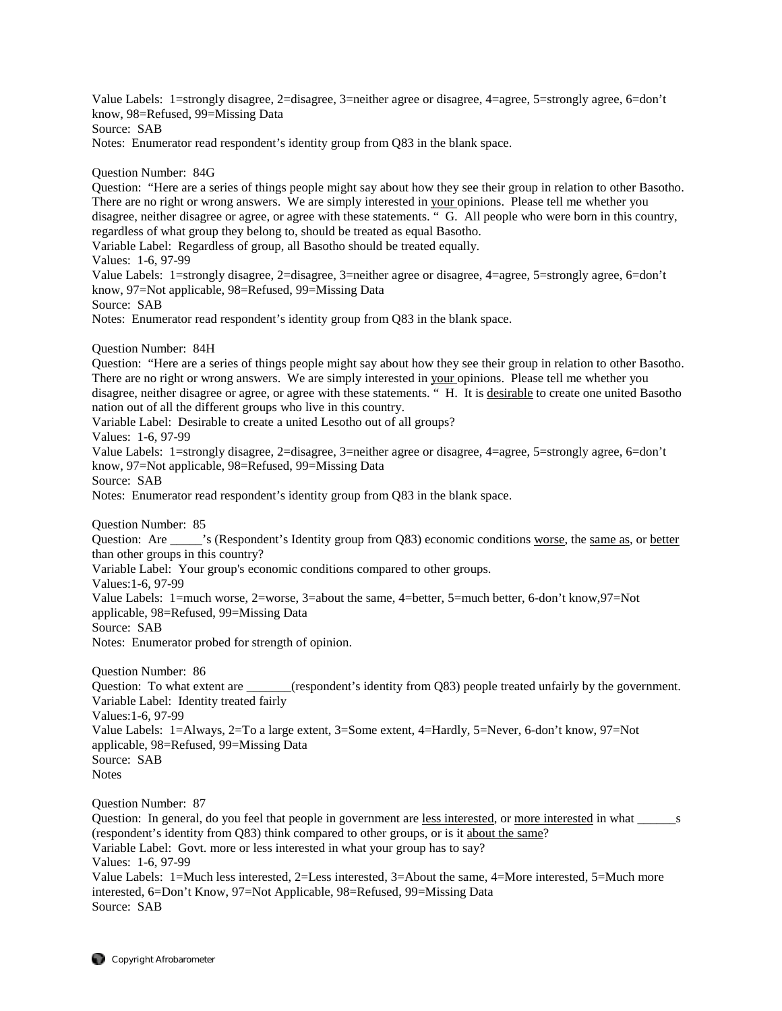Value Labels: 1=strongly disagree, 2=disagree, 3=neither agree or disagree, 4=agree, 5=strongly agree, 6=don't know, 98=Refused, 99=Missing Data

Source: SAB

Notes: Enumerator read respondent's identity group from Q83 in the blank space.

Question Number: 84G

Question: "Here are a series of things people might say about how they see their group in relation to other Basotho. There are no right or wrong answers. We are simply interested in your opinions. Please tell me whether you disagree, neither disagree or agree, or agree with these statements. " G. All people who were born in this country, regardless of what group they belong to, should be treated as equal Basotho.

Variable Label: Regardless of group, all Basotho should be treated equally.

Values: 1-6, 97-99

Value Labels: 1=strongly disagree, 2=disagree, 3=neither agree or disagree, 4=agree, 5=strongly agree, 6=don't know, 97=Not applicable, 98=Refused, 99=Missing Data

Source: SAB

Notes: Enumerator read respondent's identity group from Q83 in the blank space.

Question Number: 84H

Question: "Here are a series of things people might say about how they see their group in relation to other Basotho. There are no right or wrong answers. We are simply interested in your opinions. Please tell me whether you disagree, neither disagree or agree, or agree with these statements. " H. It is desirable to create one united Basotho nation out of all the different groups who live in this country.

Variable Label: Desirable to create a united Lesotho out of all groups?

Values: 1-6, 97-99

Value Labels: 1=strongly disagree, 2=disagree, 3=neither agree or disagree, 4=agree, 5=strongly agree, 6=don't know, 97=Not applicable, 98=Refused, 99=Missing Data

Source: SAB

Notes: Enumerator read respondent's identity group from Q83 in the blank space.

Question Number: 85

Question: Are \_\_\_\_\_'s (Respondent's Identity group from Q83) economic conditions worse, the same as, or better than other groups in this country?

Variable Label: Your group's economic conditions compared to other groups.

Values:1-6, 97-99

Value Labels: 1=much worse, 2=worse, 3=about the same, 4=better, 5=much better, 6-don't know,97=Not applicable, 98=Refused, 99=Missing Data

Source: SAB

Notes: Enumerator probed for strength of opinion.

Question Number: 86

Question: To what extent are \_\_\_\_\_\_(respondent's identity from Q83) people treated unfairly by the government. Variable Label: Identity treated fairly Values:1-6, 97-99

Value Labels: 1=Always, 2=To a large extent, 3=Some extent, 4=Hardly, 5=Never, 6-don't know, 97=Not applicable, 98=Refused, 99=Missing Data Source: SAB

**Notes** 

Question Number: 87

Question: In general, do you feel that people in government are less interested, or more interested in what s (respondent's identity from Q83) think compared to other groups, or is it about the same? Variable Label: Govt. more or less interested in what your group has to say? Values: 1-6, 97-99 Value Labels: 1=Much less interested, 2=Less interested, 3=About the same, 4=More interested, 5=Much more interested, 6=Don't Know, 97=Not Applicable, 98=Refused, 99=Missing Data Source: SAB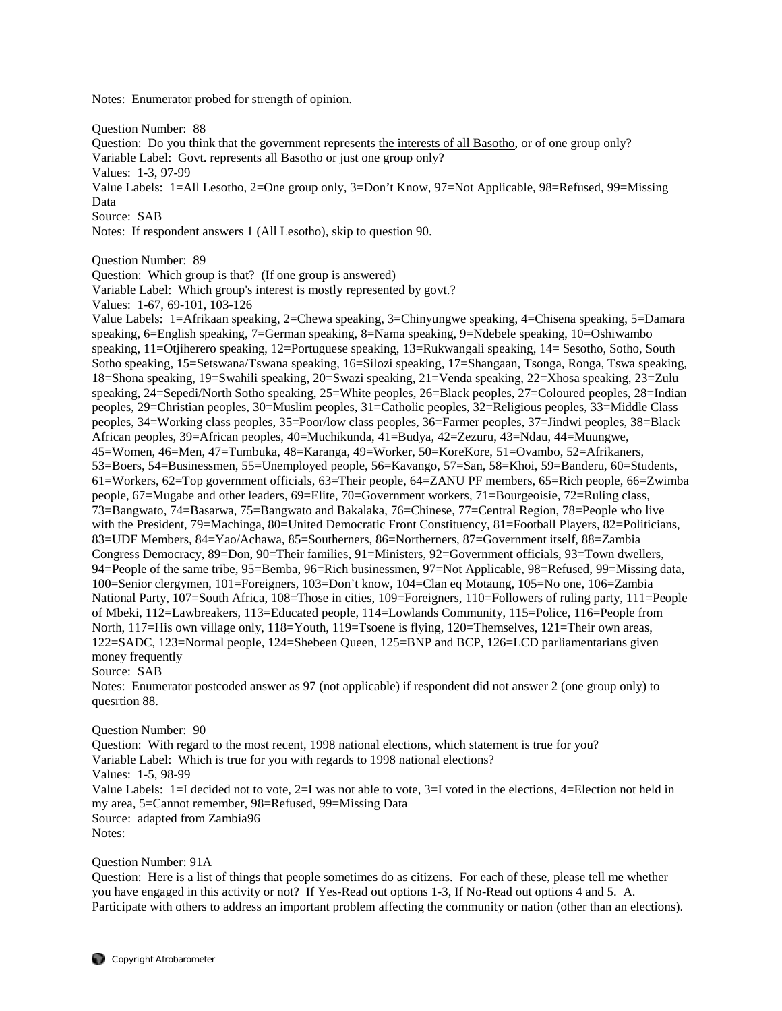Notes: Enumerator probed for strength of opinion.

Question Number: 88

Question: Do you think that the government represents the interests of all Basotho, or of one group only? Variable Label: Govt. represents all Basotho or just one group only?

Values: 1-3, 97-99

Value Labels: 1=All Lesotho, 2=One group only, 3=Don't Know, 97=Not Applicable, 98=Refused, 99=Missing Data

Source: SAB

Notes: If respondent answers 1 (All Lesotho), skip to question 90.

Question Number: 89

Question: Which group is that? (If one group is answered)

Variable Label: Which group's interest is mostly represented by govt.?

Values: 1-67, 69-101, 103-126

Value Labels: 1=Afrikaan speaking, 2=Chewa speaking, 3=Chinyungwe speaking, 4=Chisena speaking, 5=Damara speaking, 6=English speaking, 7=German speaking, 8=Nama speaking, 9=Ndebele speaking, 10=Oshiwambo speaking, 11=Otjiherero speaking, 12=Portuguese speaking, 13=Rukwangali speaking, 14= Sesotho, Sotho, South Sotho speaking, 15=Setswana/Tswana speaking, 16=Silozi speaking, 17=Shangaan, Tsonga, Ronga, Tswa speaking, 18=Shona speaking, 19=Swahili speaking, 20=Swazi speaking, 21=Venda speaking, 22=Xhosa speaking, 23=Zulu speaking, 24=Sepedi/North Sotho speaking, 25=White peoples, 26=Black peoples, 27=Coloured peoples, 28=Indian peoples, 29=Christian peoples, 30=Muslim peoples, 31=Catholic peoples, 32=Religious peoples, 33=Middle Class peoples, 34=Working class peoples, 35=Poor/low class peoples, 36=Farmer peoples, 37=Jindwi peoples, 38=Black African peoples, 39=African peoples, 40=Muchikunda, 41=Budya, 42=Zezuru, 43=Ndau, 44=Muungwe, 45=Women, 46=Men, 47=Tumbuka, 48=Karanga, 49=Worker, 50=KoreKore, 51=Ovambo, 52=Afrikaners, 53=Boers, 54=Businessmen, 55=Unemployed people, 56=Kavango, 57=San, 58=Khoi, 59=Banderu, 60=Students, 61=Workers, 62=Top government officials, 63=Their people, 64=ZANU PF members, 65=Rich people, 66=Zwimba people, 67=Mugabe and other leaders, 69=Elite, 70=Government workers, 71=Bourgeoisie, 72=Ruling class, 73=Bangwato, 74=Basarwa, 75=Bangwato and Bakalaka, 76=Chinese, 77=Central Region, 78=People who live with the President, 79=Machinga, 80=United Democratic Front Constituency, 81=Football Players, 82=Politicians, 83=UDF Members, 84=Yao/Achawa, 85=Southerners, 86=Northerners, 87=Government itself, 88=Zambia Congress Democracy, 89=Don, 90=Their families, 91=Ministers, 92=Government officials, 93=Town dwellers, 94=People of the same tribe, 95=Bemba, 96=Rich businessmen, 97=Not Applicable, 98=Refused, 99=Missing data, 100=Senior clergymen, 101=Foreigners, 103=Don't know, 104=Clan eq Motaung, 105=No one, 106=Zambia National Party, 107=South Africa, 108=Those in cities, 109=Foreigners, 110=Followers of ruling party, 111=People of Mbeki, 112=Lawbreakers, 113=Educated people, 114=Lowlands Community, 115=Police, 116=People from North, 117=His own village only, 118=Youth, 119=Tsoene is flying, 120=Themselves, 121=Their own areas, 122=SADC, 123=Normal people, 124=Shebeen Queen, 125=BNP and BCP, 126=LCD parliamentarians given money frequently

Source: SAB

Notes: Enumerator postcoded answer as 97 (not applicable) if respondent did not answer 2 (one group only) to quesrtion 88.

## Question Number: 90

Question: With regard to the most recent, 1998 national elections, which statement is true for you? Variable Label: Which is true for you with regards to 1998 national elections? Values: 1-5, 98-99 Value Labels: 1=I decided not to vote, 2=I was not able to vote, 3=I voted in the elections, 4=Election not held in my area, 5=Cannot remember, 98=Refused, 99=Missing Data Source: adapted from Zambia96 Notes:

#### Question Number: 91A

Question: Here is a list of things that people sometimes do as citizens. For each of these, please tell me whether you have engaged in this activity or not? If Yes-Read out options 1-3, If No-Read out options 4 and 5. A. Participate with others to address an important problem affecting the community or nation (other than an elections).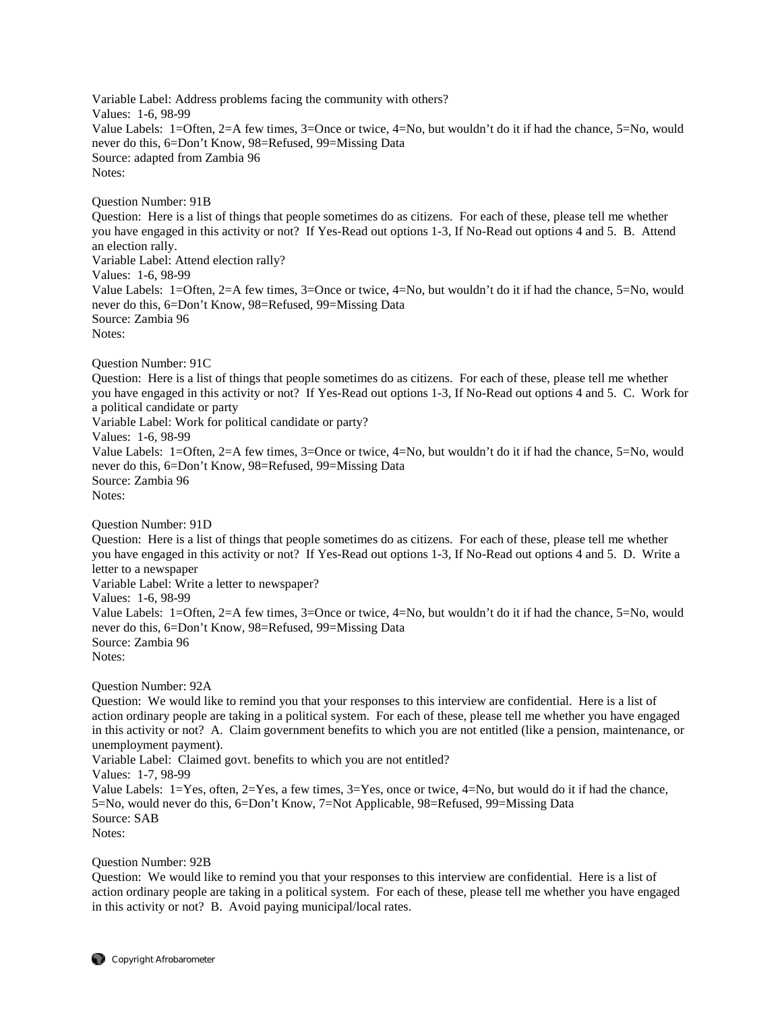Variable Label: Address problems facing the community with others? Values: 1-6, 98-99 Value Labels: 1=Often, 2=A few times, 3=Once or twice, 4=No, but wouldn't do it if had the chance, 5=No, would never do this, 6=Don't Know, 98=Refused, 99=Missing Data Source: adapted from Zambia 96 Notes: Question Number: 91B Question: Here is a list of things that people sometimes do as citizens. For each of these, please tell me whether you have engaged in this activity or not? If Yes-Read out options 1-3, If No-Read out options 4 and 5. B. Attend an election rally. Variable Label: Attend election rally? Values: 1-6, 98-99 Value Labels: 1=Often, 2=A few times, 3=Once or twice, 4=No, but wouldn't do it if had the chance, 5=No, would never do this, 6=Don't Know, 98=Refused, 99=Missing Data Source: Zambia 96 Notes: Question Number: 91C Question: Here is a list of things that people sometimes do as citizens. For each of these, please tell me whether you have engaged in this activity or not? If Yes-Read out options 1-3, If No-Read out options 4 and 5. C. Work for a political candidate or party Variable Label: Work for political candidate or party? Values: 1-6, 98-99 Value Labels: 1=Often, 2=A few times, 3=Once or twice, 4=No, but wouldn't do it if had the chance, 5=No, would never do this, 6=Don't Know, 98=Refused, 99=Missing Data Source: Zambia 96 Notes: Question Number: 91D Question: Here is a list of things that people sometimes do as citizens. For each of these, please tell me whether you have engaged in this activity or not? If Yes-Read out options 1-3, If No-Read out options 4 and 5. D. Write a letter to a newspaper Variable Label: Write a letter to newspaper? Values: 1-6, 98-99 Value Labels: 1=Often, 2=A few times, 3=Once or twice, 4=No, but wouldn't do it if had the chance, 5=No, would never do this, 6=Don't Know, 98=Refused, 99=Missing Data Source: Zambia 96 Notes: Question Number: 92A Question: We would like to remind you that your responses to this interview are confidential. Here is a list of action ordinary people are taking in a political system. For each of these, please tell me whether you have engaged in this activity or not? A. Claim government benefits to which you are not entitled (like a pension, maintenance, or unemployment payment). Variable Label: Claimed govt. benefits to which you are not entitled? Values: 1-7, 98-99 Value Labels: 1=Yes, often, 2=Yes, a few times, 3=Yes, once or twice, 4=No, but would do it if had the chance, 5=No, would never do this, 6=Don't Know, 7=Not Applicable, 98=Refused, 99=Missing Data Source: SAB Notes:

# Question Number: 92B

Question: We would like to remind you that your responses to this interview are confidential. Here is a list of action ordinary people are taking in a political system. For each of these, please tell me whether you have engaged in this activity or not? B. Avoid paying municipal/local rates.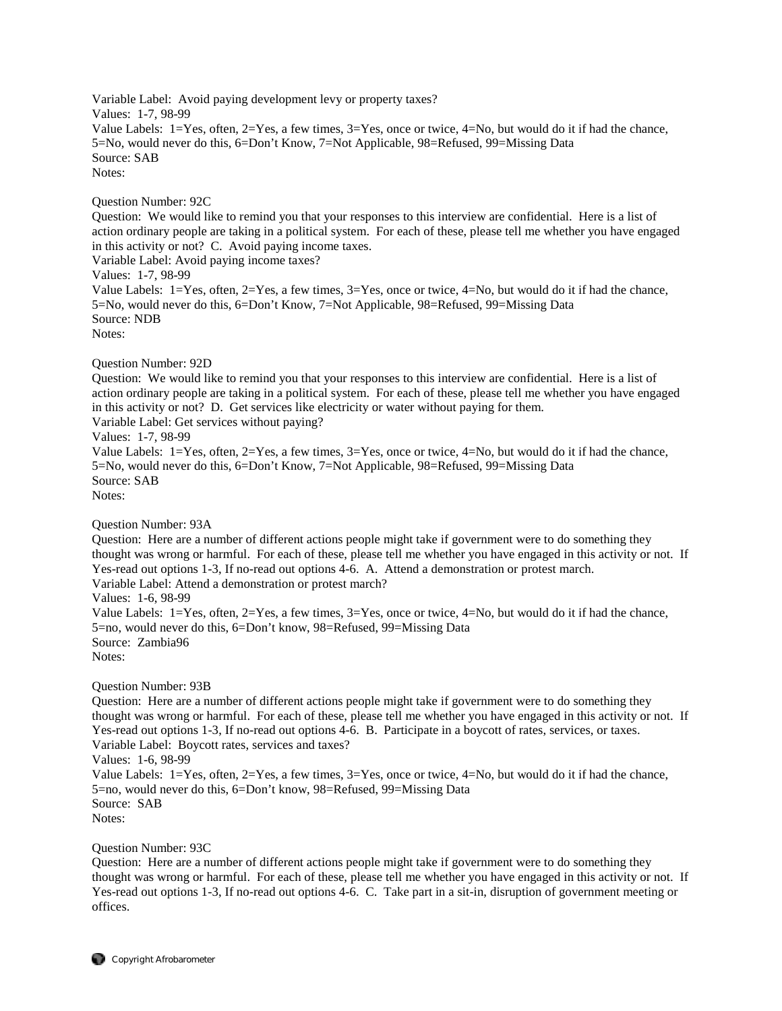Variable Label: Avoid paying development levy or property taxes? Values: 1-7, 98-99 Value Labels: 1=Yes, often, 2=Yes, a few times, 3=Yes, once or twice, 4=No, but would do it if had the chance, 5=No, would never do this, 6=Don't Know, 7=Not Applicable, 98=Refused, 99=Missing Data Source: SAB Notes:

### Question Number: 92C

Question: We would like to remind you that your responses to this interview are confidential. Here is a list of action ordinary people are taking in a political system. For each of these, please tell me whether you have engaged in this activity or not? C. Avoid paying income taxes.

Variable Label: Avoid paying income taxes?

Values: 1-7, 98-99

Value Labels: 1=Yes, often, 2=Yes, a few times, 3=Yes, once or twice, 4=No, but would do it if had the chance, 5=No, would never do this, 6=Don't Know, 7=Not Applicable, 98=Refused, 99=Missing Data Source: NDB Notes:

Question Number: 92D

Question: We would like to remind you that your responses to this interview are confidential. Here is a list of action ordinary people are taking in a political system. For each of these, please tell me whether you have engaged in this activity or not? D. Get services like electricity or water without paying for them.

Variable Label: Get services without paying?

Values: 1-7, 98-99

Value Labels: 1=Yes, often, 2=Yes, a few times, 3=Yes, once or twice, 4=No, but would do it if had the chance, 5=No, would never do this, 6=Don't Know, 7=Not Applicable, 98=Refused, 99=Missing Data Source: SAB Notes:

Question Number: 93A

Question: Here are a number of different actions people might take if government were to do something they thought was wrong or harmful. For each of these, please tell me whether you have engaged in this activity or not. If Yes-read out options 1-3, If no-read out options 4-6. A. Attend a demonstration or protest march. Variable Label: Attend a demonstration or protest march?

Values: 1-6, 98-99

Value Labels: 1=Yes, often, 2=Yes, a few times, 3=Yes, once or twice, 4=No, but would do it if had the chance, 5=no, would never do this, 6=Don't know, 98=Refused, 99=Missing Data Source: Zambia96 Notes:

Question Number: 93B

Question: Here are a number of different actions people might take if government were to do something they thought was wrong or harmful. For each of these, please tell me whether you have engaged in this activity or not. If Yes-read out options 1-3, If no-read out options 4-6. B. Participate in a boycott of rates, services, or taxes. Variable Label: Boycott rates, services and taxes?

Values: 1-6, 98-99

Value Labels:  $1 = Yes$ , often,  $2 = Yes$ , a few times,  $3 = Yes$ , once or twice,  $4 = No$ , but would do it if had the chance, 5=no, would never do this, 6=Don't know, 98=Refused, 99=Missing Data Source: SAB Notes:

Question Number: 93C

Question: Here are a number of different actions people might take if government were to do something they thought was wrong or harmful. For each of these, please tell me whether you have engaged in this activity or not. If Yes-read out options 1-3, If no-read out options 4-6. C. Take part in a sit-in, disruption of government meeting or offices.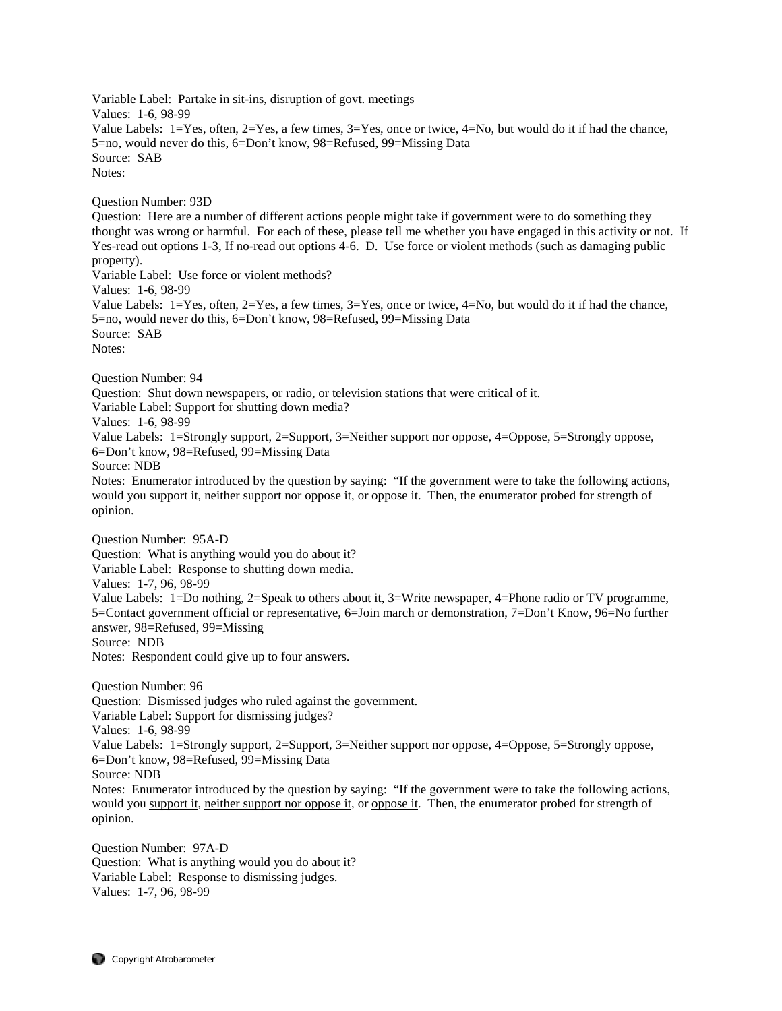Variable Label: Partake in sit-ins, disruption of govt. meetings Values: 1-6, 98-99 Value Labels: 1=Yes, often, 2=Yes, a few times, 3=Yes, once or twice, 4=No, but would do it if had the chance, 5=no, would never do this, 6=Don't know, 98=Refused, 99=Missing Data Source: SAB Notes: Question Number: 93D Question: Here are a number of different actions people might take if government were to do something they thought was wrong or harmful. For each of these, please tell me whether you have engaged in this activity or not. If Yes-read out options 1-3, If no-read out options 4-6. D. Use force or violent methods (such as damaging public property). Variable Label: Use force or violent methods? Values: 1-6, 98-99 Value Labels: 1=Yes, often, 2=Yes, a few times, 3=Yes, once or twice, 4=No, but would do it if had the chance, 5=no, would never do this, 6=Don't know, 98=Refused, 99=Missing Data Source: SAB Notes: Question Number: 94 Question: Shut down newspapers, or radio, or television stations that were critical of it. Variable Label: Support for shutting down media? Values: 1-6, 98-99 Value Labels: 1=Strongly support, 2=Support, 3=Neither support nor oppose, 4=Oppose, 5=Strongly oppose, 6=Don't know, 98=Refused, 99=Missing Data Source: NDB Notes: Enumerator introduced by the question by saying: "If the government were to take the following actions, would you support it, neither support nor oppose it, or oppose it. Then, the enumerator probed for strength of opinion. Question Number: 95A-D Question: What is anything would you do about it? Variable Label: Response to shutting down media. Values: 1-7, 96, 98-99 Value Labels: 1=Do nothing, 2=Speak to others about it, 3=Write newspaper, 4=Phone radio or TV programme, 5=Contact government official or representative, 6=Join march or demonstration, 7=Don't Know, 96=No further answer, 98=Refused, 99=Missing Source: NDB Notes: Respondent could give up to four answers. Question Number: 96 Question: Dismissed judges who ruled against the government. Variable Label: Support for dismissing judges? Values: 1-6, 98-99 Value Labels: 1=Strongly support, 2=Support, 3=Neither support nor oppose, 4=Oppose, 5=Strongly oppose, 6=Don't know, 98=Refused, 99=Missing Data Source: NDB Notes: Enumerator introduced by the question by saying: "If the government were to take the following actions, would you support it, neither support nor oppose it, or oppose it. Then, the enumerator probed for strength of opinion. Question Number: 97A-D

Question: What is anything would you do about it? Variable Label: Response to dismissing judges. Values: 1-7, 96, 98-99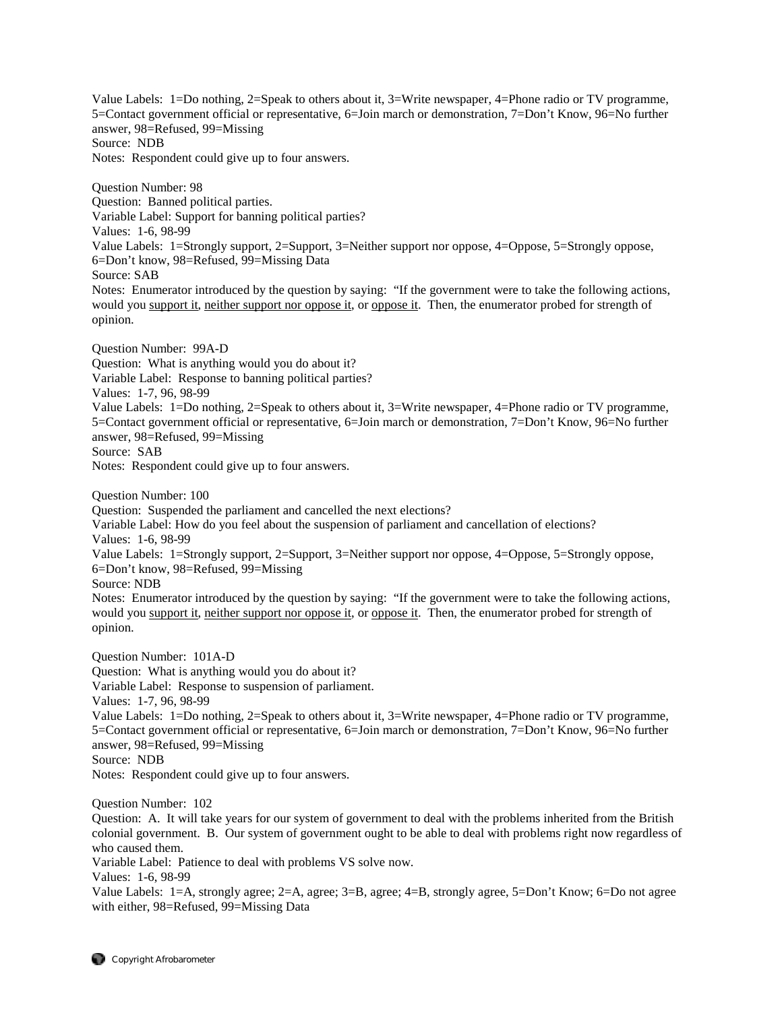Value Labels: 1=Do nothing, 2=Speak to others about it, 3=Write newspaper, 4=Phone radio or TV programme, 5=Contact government official or representative, 6=Join march or demonstration, 7=Don't Know, 96=No further answer, 98=Refused, 99=Missing Source: NDB Notes: Respondent could give up to four answers.

Question Number: 98 Question: Banned political parties. Variable Label: Support for banning political parties? Values: 1-6, 98-99 Value Labels: 1=Strongly support, 2=Support, 3=Neither support nor oppose, 4=Oppose, 5=Strongly oppose, 6=Don't know, 98=Refused, 99=Missing Data Source: SAB Notes: Enumerator introduced by the question by saying: "If the government were to take the following actions, would you support it, neither support nor oppose it, or oppose it. Then, the enumerator probed for strength of opinion.

Question Number: 99A-D Question: What is anything would you do about it? Variable Label: Response to banning political parties? Values: 1-7, 96, 98-99 Value Labels: 1=Do nothing, 2=Speak to others about it, 3=Write newspaper, 4=Phone radio or TV programme, 5=Contact government official or representative, 6=Join march or demonstration, 7=Don't Know, 96=No further answer, 98=Refused, 99=Missing Source: SAB Notes: Respondent could give up to four answers.

Question Number: 100 Question: Suspended the parliament and cancelled the next elections? Variable Label: How do you feel about the suspension of parliament and cancellation of elections? Values: 1-6, 98-99 Value Labels: 1=Strongly support, 2=Support, 3=Neither support nor oppose, 4=Oppose, 5=Strongly oppose, 6=Don't know, 98=Refused, 99=Missing Source: NDB Notes: Enumerator introduced by the question by saying: "If the government were to take the following actions, would you support it, neither support nor oppose it, or oppose it. Then, the enumerator probed for strength of opinion.

Question Number: 101A-D Question: What is anything would you do about it? Variable Label: Response to suspension of parliament. Values: 1-7, 96, 98-99 Value Labels: 1=Do nothing, 2=Speak to others about it, 3=Write newspaper, 4=Phone radio or TV programme, 5=Contact government official or representative, 6=Join march or demonstration, 7=Don't Know, 96=No further answer, 98=Refused, 99=Missing Source: NDB Notes: Respondent could give up to four answers. Question Number: 102

Question: A. It will take years for our system of government to deal with the problems inherited from the British colonial government. B. Our system of government ought to be able to deal with problems right now regardless of who caused them.

Variable Label: Patience to deal with problems VS solve now.

Values: 1-6, 98-99

Value Labels: 1=A, strongly agree; 2=A, agree; 3=B, agree; 4=B, strongly agree, 5=Don't Know; 6=Do not agree with either, 98=Refused, 99=Missing Data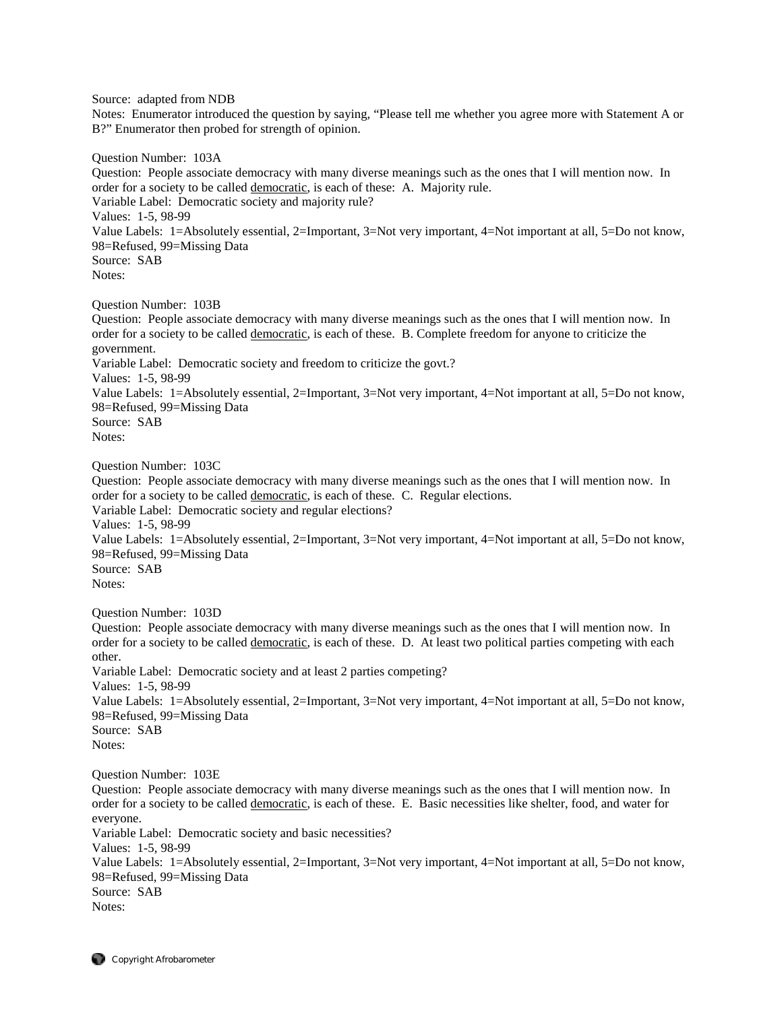Source: adapted from NDB

Notes: Enumerator introduced the question by saying, "Please tell me whether you agree more with Statement A or B?" Enumerator then probed for strength of opinion.

Question Number: 103A

Question: People associate democracy with many diverse meanings such as the ones that I will mention now. In order for a society to be called democratic, is each of these: A. Majority rule. Variable Label: Democratic society and majority rule? Values: 1-5, 98-99 Value Labels: 1=Absolutely essential, 2=Important, 3=Not very important, 4=Not important at all, 5=Do not know, 98=Refused, 99=Missing Data Source: SAB Notes:

Question Number: 103B

Question: People associate democracy with many diverse meanings such as the ones that I will mention now. In order for a society to be called democratic, is each of these. B. Complete freedom for anyone to criticize the government. Variable Label: Democratic society and freedom to criticize the govt.? Values: 1-5, 98-99 Value Labels: 1=Absolutely essential, 2=Important, 3=Not very important, 4=Not important at all, 5=Do not know, 98=Refused, 99=Missing Data Source: SAB Notes:

Question Number: 103C

Question: People associate democracy with many diverse meanings such as the ones that I will mention now. In order for a society to be called democratic, is each of these. C. Regular elections.

Variable Label: Democratic society and regular elections?

Values: 1-5, 98-99

Value Labels: 1=Absolutely essential, 2=Important, 3=Not very important, 4=Not important at all, 5=Do not know, 98=Refused, 99=Missing Data

Source: SAB Notes:

Question Number: 103D

Question: People associate democracy with many diverse meanings such as the ones that I will mention now. In order for a society to be called democratic, is each of these. D. At least two political parties competing with each other.

Variable Label: Democratic society and at least 2 parties competing? Values: 1-5, 98-99 Value Labels: 1=Absolutely essential, 2=Important, 3=Not very important, 4=Not important at all, 5=Do not know,

98=Refused, 99=Missing Data Source: SAB Notes:

Question Number: 103E

Question: People associate democracy with many diverse meanings such as the ones that I will mention now. In order for a society to be called democratic, is each of these. E. Basic necessities like shelter, food, and water for everyone.

Variable Label: Democratic society and basic necessities? Values: 1-5, 98-99 Value Labels: 1=Absolutely essential, 2=Important, 3=Not very important, 4=Not important at all, 5=Do not know, 98=Refused, 99=Missing Data Source: SAB Notes: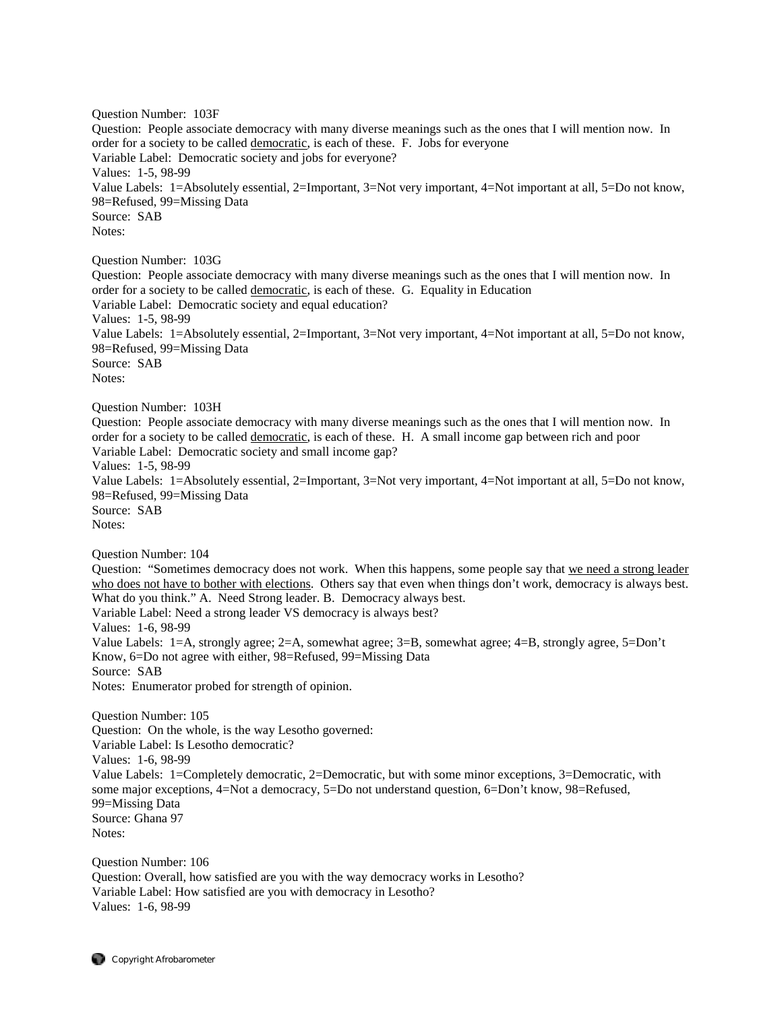Question Number: 103F Question: People associate democracy with many diverse meanings such as the ones that I will mention now. In order for a society to be called democratic, is each of these. F. Jobs for everyone Variable Label: Democratic society and jobs for everyone? Values: 1-5, 98-99 Value Labels: 1=Absolutely essential, 2=Important, 3=Not very important, 4=Not important at all, 5=Do not know, 98=Refused, 99=Missing Data Source: SAB Notes: Question Number: 103G Question: People associate democracy with many diverse meanings such as the ones that I will mention now. In order for a society to be called democratic, is each of these. G. Equality in Education Variable Label: Democratic society and equal education? Values: 1-5, 98-99 Value Labels: 1=Absolutely essential, 2=Important, 3=Not very important, 4=Not important at all, 5=Do not know, 98=Refused, 99=Missing Data Source: SAB Notes: Question Number: 103H Question: People associate democracy with many diverse meanings such as the ones that I will mention now. In order for a society to be called democratic, is each of these. H. A small income gap between rich and poor Variable Label: Democratic society and small income gap? Values: 1-5, 98-99 Value Labels: 1=Absolutely essential, 2=Important, 3=Not very important, 4=Not important at all, 5=Do not know, 98=Refused, 99=Missing Data Source: SAB Notes: Question Number: 104 Question: "Sometimes democracy does not work. When this happens, some people say that we need a strong leader who does not have to bother with elections. Others say that even when things don't work, democracy is always best. What do you think." A. Need Strong leader. B. Democracy always best. Variable Label: Need a strong leader VS democracy is always best? Values: 1-6, 98-99 Value Labels: 1=A, strongly agree; 2=A, somewhat agree; 3=B, somewhat agree; 4=B, strongly agree, 5=Don't Know, 6=Do not agree with either, 98=Refused, 99=Missing Data Source: SAB Notes: Enumerator probed for strength of opinion. Question Number: 105 Question: On the whole, is the way Lesotho governed: Variable Label: Is Lesotho democratic? Values: 1-6, 98-99 Value Labels: 1=Completely democratic, 2=Democratic, but with some minor exceptions, 3=Democratic, with some major exceptions, 4=Not a democracy, 5=Do not understand question, 6=Don't know, 98=Refused, 99=Missing Data Source: Ghana 97 Notes: Question Number: 106 Question: Overall, how satisfied are you with the way democracy works in Lesotho?

Variable Label: How satisfied are you with democracy in Lesotho? Values: 1-6, 98-99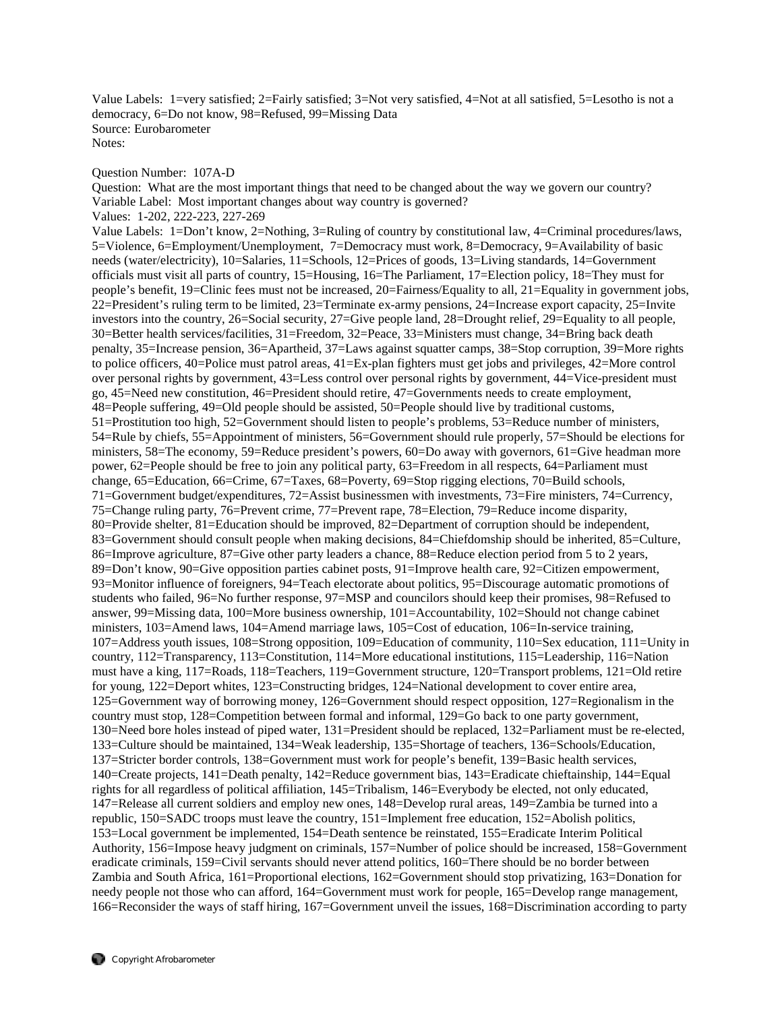Value Labels: 1=very satisfied; 2=Fairly satisfied; 3=Not very satisfied, 4=Not at all satisfied, 5=Lesotho is not a democracy, 6=Do not know, 98=Refused, 99=Missing Data Source: Eurobarometer Notes:

# Question Number: 107A-D

Question: What are the most important things that need to be changed about the way we govern our country? Variable Label: Most important changes about way country is governed? Values: 1-202, 222-223, 227-269

Value Labels: 1=Don't know, 2=Nothing, 3=Ruling of country by constitutional law, 4=Criminal procedures/laws, 5=Violence, 6=Employment/Unemployment, 7=Democracy must work, 8=Democracy, 9=Availability of basic needs (water/electricity), 10=Salaries, 11=Schools, 12=Prices of goods, 13=Living standards, 14=Government officials must visit all parts of country, 15=Housing, 16=The Parliament, 17=Election policy, 18=They must for people's benefit, 19=Clinic fees must not be increased, 20=Fairness/Equality to all, 21=Equality in government jobs, 22=President's ruling term to be limited, 23=Terminate ex-army pensions, 24=Increase export capacity, 25=Invite investors into the country, 26=Social security, 27=Give people land, 28=Drought relief, 29=Equality to all people, 30=Better health services/facilities, 31=Freedom, 32=Peace, 33=Ministers must change, 34=Bring back death penalty, 35=Increase pension, 36=Apartheid, 37=Laws against squatter camps, 38=Stop corruption, 39=More rights to police officers, 40=Police must patrol areas, 41=Ex-plan fighters must get jobs and privileges, 42=More control over personal rights by government, 43=Less control over personal rights by government, 44=Vice-president must go, 45=Need new constitution, 46=President should retire, 47=Governments needs to create employment, 48=People suffering, 49=Old people should be assisted, 50=People should live by traditional customs, 51=Prostitution too high, 52=Government should listen to people's problems, 53=Reduce number of ministers, 54=Rule by chiefs, 55=Appointment of ministers, 56=Government should rule properly, 57=Should be elections for ministers, 58=The economy, 59=Reduce president's powers, 60=Do away with governors, 61=Give headman more power, 62=People should be free to join any political party, 63=Freedom in all respects, 64=Parliament must change, 65=Education, 66=Crime, 67=Taxes, 68=Poverty, 69=Stop rigging elections, 70=Build schools, 71=Government budget/expenditures, 72=Assist businessmen with investments, 73=Fire ministers, 74=Currency, 75=Change ruling party, 76=Prevent crime, 77=Prevent rape, 78=Election, 79=Reduce income disparity, 80=Provide shelter, 81=Education should be improved, 82=Department of corruption should be independent, 83=Government should consult people when making decisions, 84=Chiefdomship should be inherited, 85=Culture, 86=Improve agriculture, 87=Give other party leaders a chance, 88=Reduce election period from 5 to 2 years, 89=Don't know, 90=Give opposition parties cabinet posts, 91=Improve health care, 92=Citizen empowerment, 93=Monitor influence of foreigners, 94=Teach electorate about politics, 95=Discourage automatic promotions of students who failed, 96=No further response, 97=MSP and councilors should keep their promises, 98=Refused to answer, 99=Missing data, 100=More business ownership, 101=Accountability, 102=Should not change cabinet ministers, 103=Amend laws, 104=Amend marriage laws, 105=Cost of education, 106=In-service training, 107=Address youth issues, 108=Strong opposition, 109=Education of community, 110=Sex education, 111=Unity in country, 112=Transparency, 113=Constitution, 114=More educational institutions, 115=Leadership, 116=Nation must have a king, 117=Roads, 118=Teachers, 119=Government structure, 120=Transport problems, 121=Old retire for young, 122=Deport whites, 123=Constructing bridges, 124=National development to cover entire area, 125=Government way of borrowing money, 126=Government should respect opposition, 127=Regionalism in the country must stop, 128=Competition between formal and informal, 129=Go back to one party government, 130=Need bore holes instead of piped water, 131=President should be replaced, 132=Parliament must be re-elected, 133=Culture should be maintained, 134=Weak leadership, 135=Shortage of teachers, 136=Schools/Education, 137=Stricter border controls, 138=Government must work for people's benefit, 139=Basic health services, 140=Create projects, 141=Death penalty, 142=Reduce government bias, 143=Eradicate chieftainship, 144=Equal rights for all regardless of political affiliation, 145=Tribalism, 146=Everybody be elected, not only educated, 147=Release all current soldiers and employ new ones, 148=Develop rural areas, 149=Zambia be turned into a republic, 150=SADC troops must leave the country, 151=Implement free education, 152=Abolish politics, 153=Local government be implemented, 154=Death sentence be reinstated, 155=Eradicate Interim Political Authority, 156=Impose heavy judgment on criminals, 157=Number of police should be increased, 158=Government eradicate criminals, 159=Civil servants should never attend politics, 160=There should be no border between Zambia and South Africa, 161=Proportional elections, 162=Government should stop privatizing, 163=Donation for needy people not those who can afford, 164=Government must work for people, 165=Develop range management, 166=Reconsider the ways of staff hiring, 167=Government unveil the issues, 168=Discrimination according to party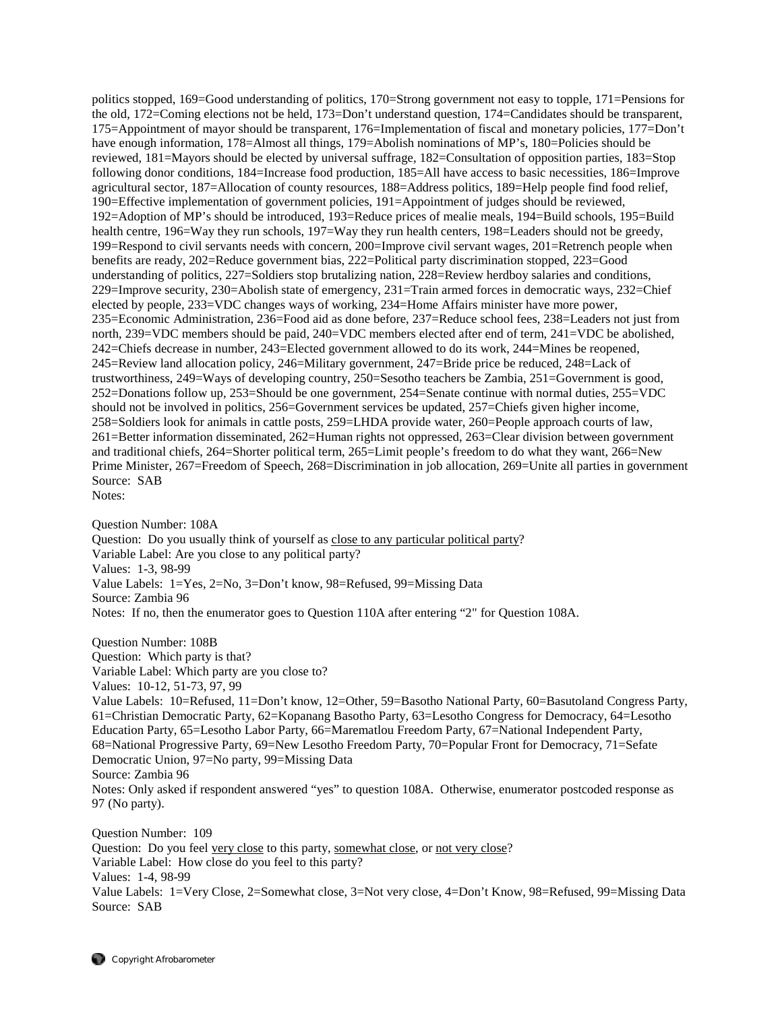politics stopped, 169=Good understanding of politics, 170=Strong government not easy to topple, 171=Pensions for the old, 172=Coming elections not be held, 173=Don't understand question, 174=Candidates should be transparent, 175=Appointment of mayor should be transparent, 176=Implementation of fiscal and monetary policies, 177=Don't have enough information, 178=Almost all things, 179=Abolish nominations of MP's, 180=Policies should be reviewed, 181=Mayors should be elected by universal suffrage, 182=Consultation of opposition parties, 183=Stop following donor conditions, 184=Increase food production, 185=All have access to basic necessities, 186=Improve agricultural sector, 187=Allocation of county resources, 188=Address politics, 189=Help people find food relief, 190=Effective implementation of government policies, 191=Appointment of judges should be reviewed, 192=Adoption of MP's should be introduced, 193=Reduce prices of mealie meals, 194=Build schools, 195=Build health centre, 196=Way they run schools, 197=Way they run health centers, 198=Leaders should not be greedy, 199=Respond to civil servants needs with concern, 200=Improve civil servant wages, 201=Retrench people when benefits are ready, 202=Reduce government bias, 222=Political party discrimination stopped, 223=Good understanding of politics, 227=Soldiers stop brutalizing nation, 228=Review herdboy salaries and conditions, 229=Improve security, 230=Abolish state of emergency, 231=Train armed forces in democratic ways, 232=Chief elected by people, 233=VDC changes ways of working, 234=Home Affairs minister have more power, 235=Economic Administration, 236=Food aid as done before, 237=Reduce school fees, 238=Leaders not just from north, 239=VDC members should be paid, 240=VDC members elected after end of term, 241=VDC be abolished, 242=Chiefs decrease in number, 243=Elected government allowed to do its work, 244=Mines be reopened, 245=Review land allocation policy, 246=Military government, 247=Bride price be reduced, 248=Lack of trustworthiness, 249=Ways of developing country, 250=Sesotho teachers be Zambia, 251=Government is good, 252=Donations follow up, 253=Should be one government, 254=Senate continue with normal duties, 255=VDC should not be involved in politics, 256=Government services be updated, 257=Chiefs given higher income, 258=Soldiers look for animals in cattle posts, 259=LHDA provide water, 260=People approach courts of law, 261=Better information disseminated, 262=Human rights not oppressed, 263=Clear division between government and traditional chiefs, 264=Shorter political term, 265=Limit people's freedom to do what they want, 266=New Prime Minister, 267=Freedom of Speech, 268=Discrimination in job allocation, 269=Unite all parties in government Source: SAB

Notes:

Question Number: 108A Question: Do you usually think of yourself as close to any particular political party? Variable Label: Are you close to any political party? Values: 1-3, 98-99 Value Labels: 1=Yes, 2=No, 3=Don't know, 98=Refused, 99=Missing Data Source: Zambia 96 Notes: If no, then the enumerator goes to Question 110A after entering "2" for Question 108A.

Question Number: 108B Question: Which party is that? Variable Label: Which party are you close to? Values: 10-12, 51-73, 97, 99 Value Labels: 10=Refused, 11=Don't know, 12=Other, 59=Basotho National Party, 60=Basutoland Congress Party, 61=Christian Democratic Party, 62=Kopanang Basotho Party, 63=Lesotho Congress for Democracy, 64=Lesotho Education Party, 65=Lesotho Labor Party, 66=Marematlou Freedom Party, 67=National Independent Party, 68=National Progressive Party, 69=New Lesotho Freedom Party, 70=Popular Front for Democracy, 71=Sefate Democratic Union, 97=No party, 99=Missing Data Source: Zambia 96 Notes: Only asked if respondent answered "yes" to question 108A. Otherwise, enumerator postcoded response as 97 (No party).

Question Number: 109 Question: Do you feel very close to this party, somewhat close, or not very close? Variable Label: How close do you feel to this party? Values: 1-4, 98-99 Value Labels: 1=Very Close, 2=Somewhat close, 3=Not very close, 4=Don't Know, 98=Refused, 99=Missing Data Source: SAB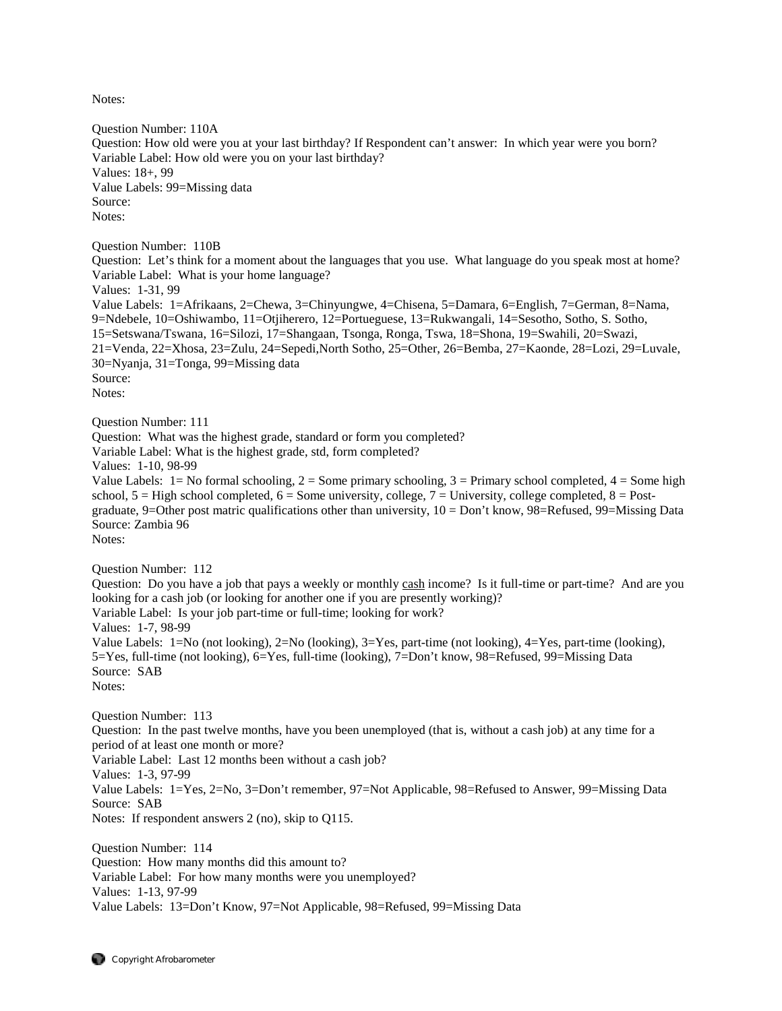Notes:

Question Number: 110A Question: How old were you at your last birthday? If Respondent can't answer: In which year were you born? Variable Label: How old were you on your last birthday? Values: 18+, 99 Value Labels: 99=Missing data Source: Notes: Question Number: 110B Question: Let's think for a moment about the languages that you use. What language do you speak most at home? Variable Label: What is your home language? Values: 1-31, 99 Value Labels: 1=Afrikaans, 2=Chewa, 3=Chinyungwe, 4=Chisena, 5=Damara, 6=English, 7=German, 8=Nama, 9=Ndebele, 10=Oshiwambo, 11=Otjiherero, 12=Portueguese, 13=Rukwangali, 14=Sesotho, Sotho, S. Sotho, 15=Setswana/Tswana, 16=Silozi, 17=Shangaan, Tsonga, Ronga, Tswa, 18=Shona, 19=Swahili, 20=Swazi, 21=Venda, 22=Xhosa, 23=Zulu, 24=Sepedi,North Sotho, 25=Other, 26=Bemba, 27=Kaonde, 28=Lozi, 29=Luvale, 30=Nyanja, 31=Tonga, 99=Missing data Source: Notes: Question Number: 111 Question: What was the highest grade, standard or form you completed? Variable Label: What is the highest grade, std, form completed? Values: 1-10, 98-99 Value Labels:  $1 = No$  formal schooling,  $2 = Some$  primary schooling,  $3 = Primary$  school completed,  $4 = Some$  high school,  $5 =$  High school completed,  $6 =$  Some university, college,  $7 =$  University, college completed,  $8 =$  Postgraduate, 9=Other post matric qualifications other than university, 10 = Don't know, 98=Refused, 99=Missing Data Source: Zambia 96 Notes: Question Number: 112 Question: Do you have a job that pays a weekly or monthly cash income? Is it full-time or part-time? And are you looking for a cash job (or looking for another one if you are presently working)? Variable Label: Is your job part-time or full-time; looking for work? Values: 1-7, 98-99 Value Labels: 1=No (not looking), 2=No (looking), 3=Yes, part-time (not looking), 4=Yes, part-time (looking), 5=Yes, full-time (not looking), 6=Yes, full-time (looking), 7=Don't know, 98=Refused, 99=Missing Data Source: SAB Notes: Question Number: 113 Question: In the past twelve months, have you been unemployed (that is, without a cash job) at any time for a period of at least one month or more? Variable Label: Last 12 months been without a cash job? Values: 1-3, 97-99 Value Labels: 1=Yes, 2=No, 3=Don't remember, 97=Not Applicable, 98=Refused to Answer, 99=Missing Data Source: SAB Notes: If respondent answers 2 (no), skip to Q115. Question Number: 114 Question: How many months did this amount to? Variable Label: For how many months were you unemployed?

Values: 1-13, 97-99

Value Labels: 13=Don't Know, 97=Not Applicable, 98=Refused, 99=Missing Data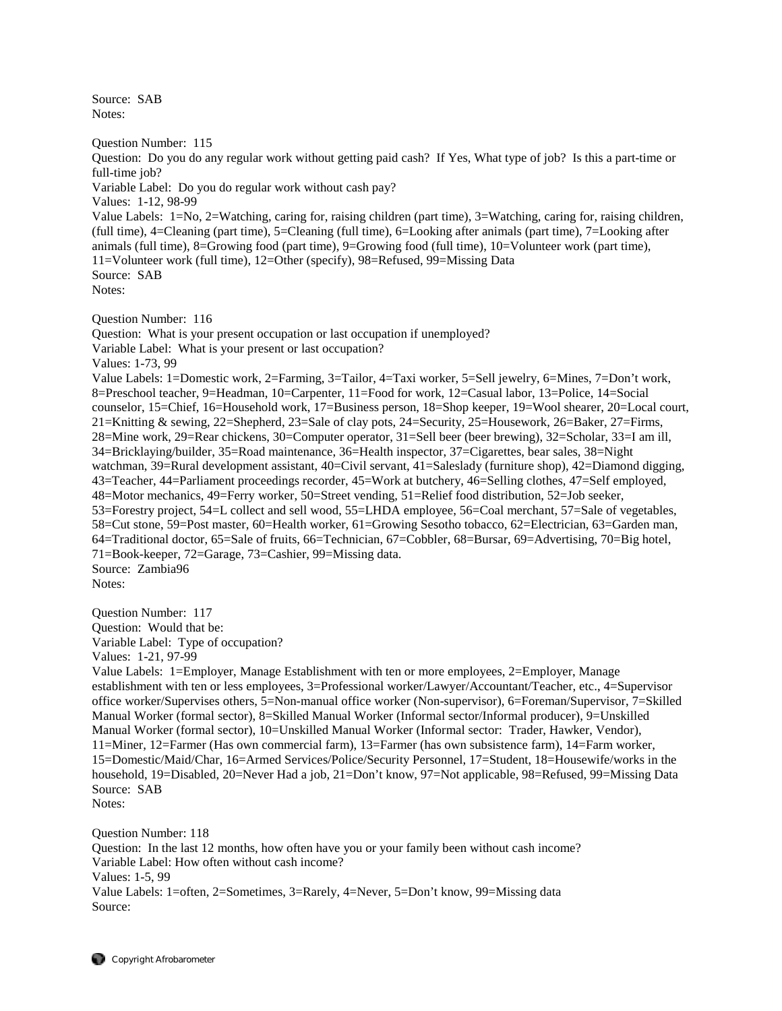Source: SAB Notes:

Question Number: 115

Question: Do you do any regular work without getting paid cash? If Yes, What type of job? Is this a part-time or full-time job? Variable Label: Do you do regular work without cash pay? Values: 1-12, 98-99 Value Labels: 1=No, 2=Watching, caring for, raising children (part time), 3=Watching, caring for, raising children, (full time), 4=Cleaning (part time), 5=Cleaning (full time), 6=Looking after animals (part time), 7=Looking after animals (full time), 8=Growing food (part time), 9=Growing food (full time), 10=Volunteer work (part time), 11=Volunteer work (full time), 12=Other (specify), 98=Refused, 99=Missing Data Source: SAB Notes:

Question Number: 116

Question: What is your present occupation or last occupation if unemployed?

Variable Label: What is your present or last occupation?

Values: 1-73, 99

Value Labels: 1=Domestic work, 2=Farming, 3=Tailor, 4=Taxi worker, 5=Sell jewelry, 6=Mines, 7=Don't work, 8=Preschool teacher, 9=Headman, 10=Carpenter, 11=Food for work, 12=Casual labor, 13=Police, 14=Social counselor, 15=Chief, 16=Household work, 17=Business person, 18=Shop keeper, 19=Wool shearer, 20=Local court, 21=Knitting & sewing, 22=Shepherd, 23=Sale of clay pots, 24=Security, 25=Housework, 26=Baker, 27=Firms, 28=Mine work, 29=Rear chickens, 30=Computer operator, 31=Sell beer (beer brewing), 32=Scholar, 33=I am ill, 34=Bricklaying/builder, 35=Road maintenance, 36=Health inspector, 37=Cigarettes, bear sales, 38=Night watchman, 39=Rural development assistant, 40=Civil servant, 41=Saleslady (furniture shop), 42=Diamond digging, 43=Teacher, 44=Parliament proceedings recorder, 45=Work at butchery, 46=Selling clothes, 47=Self employed, 48=Motor mechanics, 49=Ferry worker, 50=Street vending, 51=Relief food distribution, 52=Job seeker, 53=Forestry project, 54=L collect and sell wood, 55=LHDA employee, 56=Coal merchant, 57=Sale of vegetables, 58=Cut stone, 59=Post master, 60=Health worker, 61=Growing Sesotho tobacco, 62=Electrician, 63=Garden man, 64=Traditional doctor, 65=Sale of fruits, 66=Technician, 67=Cobbler, 68=Bursar, 69=Advertising, 70=Big hotel, 71=Book-keeper, 72=Garage, 73=Cashier, 99=Missing data. Source: Zambia96

Notes:

Question Number: 117 Question: Would that be: Variable Label: Type of occupation?

Values: 1-21, 97-99

Value Labels: 1=Employer, Manage Establishment with ten or more employees, 2=Employer, Manage establishment with ten or less employees, 3=Professional worker/Lawyer/Accountant/Teacher, etc., 4=Supervisor office worker/Supervises others, 5=Non-manual office worker (Non-supervisor), 6=Foreman/Supervisor, 7=Skilled Manual Worker (formal sector), 8=Skilled Manual Worker (Informal sector/Informal producer), 9=Unskilled Manual Worker (formal sector), 10=Unskilled Manual Worker (Informal sector: Trader, Hawker, Vendor), 11=Miner, 12=Farmer (Has own commercial farm), 13=Farmer (has own subsistence farm), 14=Farm worker, 15=Domestic/Maid/Char, 16=Armed Services/Police/Security Personnel, 17=Student, 18=Housewife/works in the household, 19=Disabled, 20=Never Had a job, 21=Don't know, 97=Not applicable, 98=Refused, 99=Missing Data Source: SAB Notes:

Question Number: 118

Question: In the last 12 months, how often have you or your family been without cash income? Variable Label: How often without cash income? Values: 1-5, 99 Value Labels: 1=often, 2=Sometimes, 3=Rarely, 4=Never, 5=Don't know, 99=Missing data Source: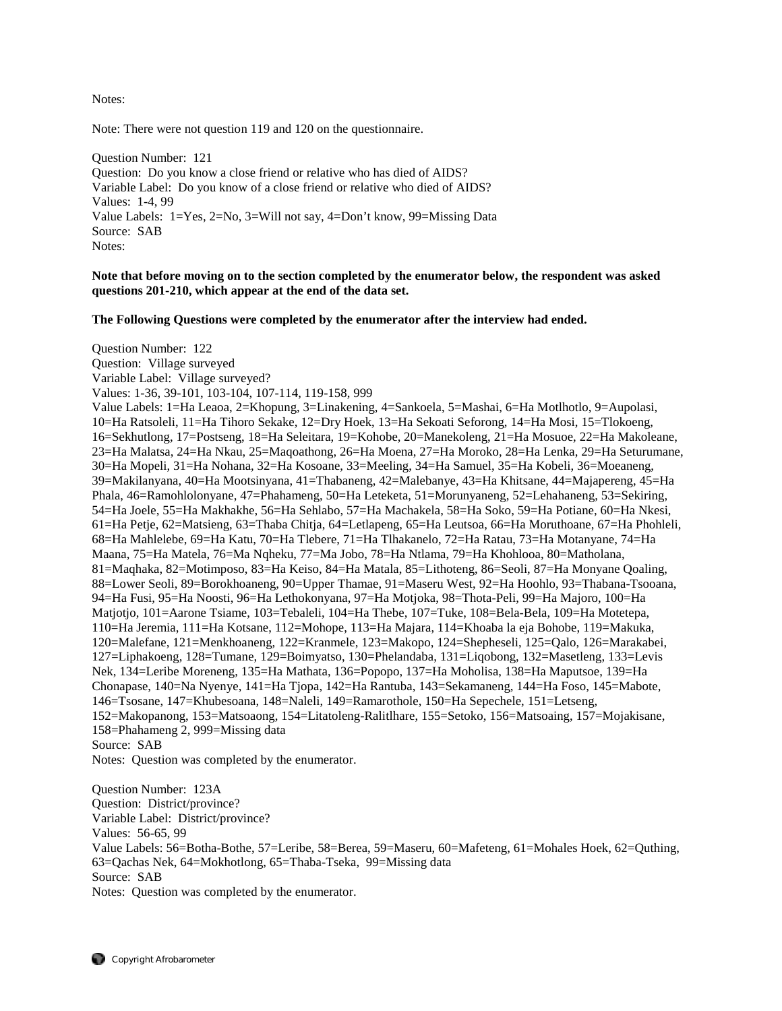Notes:

Note: There were not question 119 and 120 on the questionnaire.

Question Number: 121 Question: Do you know a close friend or relative who has died of AIDS? Variable Label: Do you know of a close friend or relative who died of AIDS? Values: 1-4, 99 Value Labels: 1=Yes, 2=No, 3=Will not say, 4=Don't know, 99=Missing Data Source: SAB Notes:

**Note that before moving on to the section completed by the enumerator below, the respondent was asked questions 201-210, which appear at the end of the data set.** 

**The Following Questions were completed by the enumerator after the interview had ended.** 

Question Number: 122 Question: Village surveyed Variable Label: Village surveyed? Values: 1-36, 39-101, 103-104, 107-114, 119-158, 999 Value Labels: 1=Ha Leaoa, 2=Khopung, 3=Linakening, 4=Sankoela, 5=Mashai, 6=Ha Motlhotlo, 9=Aupolasi, 10=Ha Ratsoleli, 11=Ha Tihoro Sekake, 12=Dry Hoek, 13=Ha Sekoati Seforong, 14=Ha Mosi, 15=Tlokoeng, 16=Sekhutlong, 17=Postseng, 18=Ha Seleitara, 19=Kohobe, 20=Manekoleng, 21=Ha Mosuoe, 22=Ha Makoleane, 23=Ha Malatsa, 24=Ha Nkau, 25=Maqoathong, 26=Ha Moena, 27=Ha Moroko, 28=Ha Lenka, 29=Ha Seturumane, 30=Ha Mopeli, 31=Ha Nohana, 32=Ha Kosoane, 33=Meeling, 34=Ha Samuel, 35=Ha Kobeli, 36=Moeaneng, 39=Makilanyana, 40=Ha Mootsinyana, 41=Thabaneng, 42=Malebanye, 43=Ha Khitsane, 44=Majapereng, 45=Ha Phala, 46=Ramohlolonyane, 47=Phahameng, 50=Ha Leteketa, 51=Morunyaneng, 52=Lehahaneng, 53=Sekiring, 54=Ha Joele, 55=Ha Makhakhe, 56=Ha Sehlabo, 57=Ha Machakela, 58=Ha Soko, 59=Ha Potiane, 60=Ha Nkesi, 61=Ha Petje, 62=Matsieng, 63=Thaba Chitja, 64=Letlapeng, 65=Ha Leutsoa, 66=Ha Moruthoane, 67=Ha Phohleli, 68=Ha Mahlelebe, 69=Ha Katu, 70=Ha Tlebere, 71=Ha Tlhakanelo, 72=Ha Ratau, 73=Ha Motanyane, 74=Ha Maana, 75=Ha Matela, 76=Ma Nqheku, 77=Ma Jobo, 78=Ha Ntlama, 79=Ha Khohlooa, 80=Matholana, 81=Maqhaka, 82=Motimposo, 83=Ha Keiso, 84=Ha Matala, 85=Lithoteng, 86=Seoli, 87=Ha Monyane Qoaling, 88=Lower Seoli, 89=Borokhoaneng, 90=Upper Thamae, 91=Maseru West, 92=Ha Hoohlo, 93=Thabana-Tsooana, 94=Ha Fusi, 95=Ha Noosti, 96=Ha Lethokonyana, 97=Ha Motjoka, 98=Thota-Peli, 99=Ha Majoro, 100=Ha Matjotjo, 101=Aarone Tsiame, 103=Tebaleli, 104=Ha Thebe, 107=Tuke, 108=Bela-Bela, 109=Ha Motetepa, 110=Ha Jeremia, 111=Ha Kotsane, 112=Mohope, 113=Ha Majara, 114=Khoaba la eja Bohobe, 119=Makuka, 120=Malefane, 121=Menkhoaneng, 122=Kranmele, 123=Makopo, 124=Shepheseli, 125=Qalo, 126=Marakabei, 127=Liphakoeng, 128=Tumane, 129=Boimyatso, 130=Phelandaba, 131=Liqobong, 132=Masetleng, 133=Levis Nek, 134=Leribe Moreneng, 135=Ha Mathata, 136=Popopo, 137=Ha Moholisa, 138=Ha Maputsoe, 139=Ha Chonapase, 140=Na Nyenye, 141=Ha Tjopa, 142=Ha Rantuba, 143=Sekamaneng, 144=Ha Foso, 145=Mabote, 146=Tsosane, 147=Khubesoana, 148=Naleli, 149=Ramarothole, 150=Ha Sepechele, 151=Letseng, 152=Makopanong, 153=Matsoaong, 154=Litatoleng-Ralitlhare, 155=Setoko, 156=Matsoaing, 157=Mojakisane, 158=Phahameng 2, 999=Missing data Source: SAB Notes: Question was completed by the enumerator.

Question Number: 123A Question: District/province? Variable Label: District/province? Values: 56-65, 99 Value Labels: 56=Botha-Bothe, 57=Leribe, 58=Berea, 59=Maseru, 60=Mafeteng, 61=Mohales Hoek, 62=Quthing, 63=Qachas Nek, 64=Mokhotlong, 65=Thaba-Tseka, 99=Missing data Source: SAB Notes: Question was completed by the enumerator.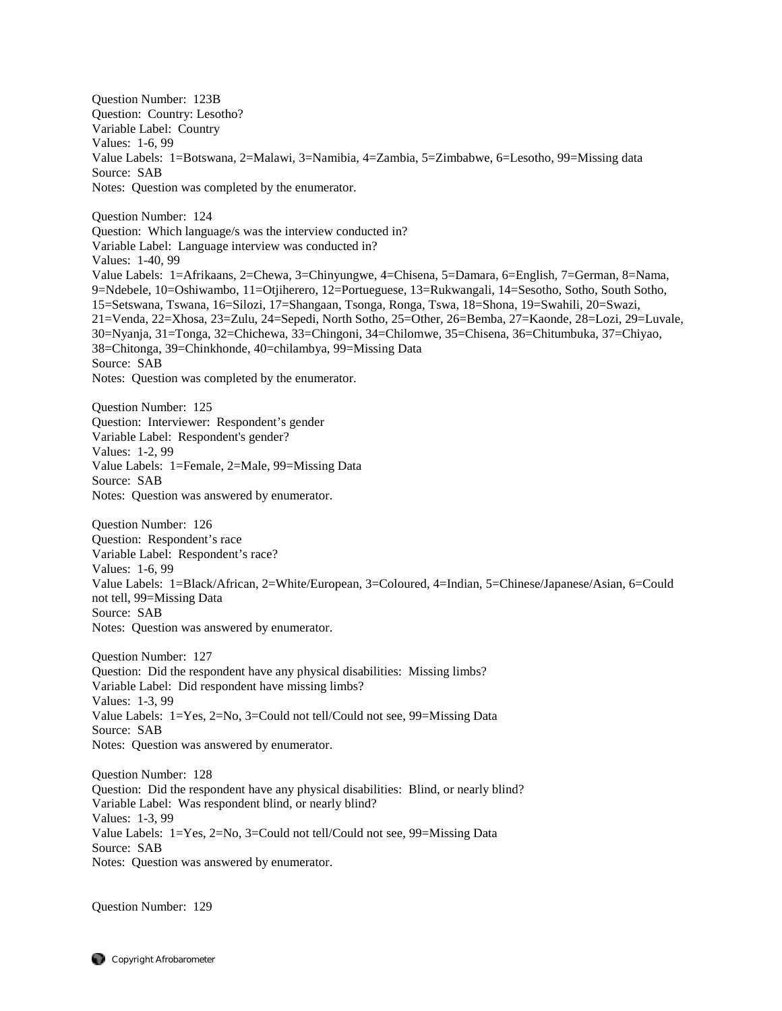Question Number: 123B Question: Country: Lesotho? Variable Label: Country Values: 1-6, 99 Value Labels: 1=Botswana, 2=Malawi, 3=Namibia, 4=Zambia, 5=Zimbabwe, 6=Lesotho, 99=Missing data Source: SAB Notes: Question was completed by the enumerator. Question Number: 124 Question: Which language/s was the interview conducted in? Variable Label: Language interview was conducted in? Values: 1-40, 99 Value Labels: 1=Afrikaans, 2=Chewa, 3=Chinyungwe, 4=Chisena, 5=Damara, 6=English, 7=German, 8=Nama, 9=Ndebele, 10=Oshiwambo, 11=Otjiherero, 12=Portueguese, 13=Rukwangali, 14=Sesotho, Sotho, South Sotho, 15=Setswana, Tswana, 16=Silozi, 17=Shangaan, Tsonga, Ronga, Tswa, 18=Shona, 19=Swahili, 20=Swazi, 21=Venda, 22=Xhosa, 23=Zulu, 24=Sepedi, North Sotho, 25=Other, 26=Bemba, 27=Kaonde, 28=Lozi, 29=Luvale, 30=Nyanja, 31=Tonga, 32=Chichewa, 33=Chingoni, 34=Chilomwe, 35=Chisena, 36=Chitumbuka, 37=Chiyao, 38=Chitonga, 39=Chinkhonde, 40=chilambya, 99=Missing Data Source: SAB Notes: Question was completed by the enumerator. Question Number: 125 Question: Interviewer: Respondent's gender Variable Label: Respondent's gender? Values: 1-2, 99 Value Labels: 1=Female, 2=Male, 99=Missing Data Source: SAB Notes: Question was answered by enumerator. Question Number: 126 Question: Respondent's race Variable Label: Respondent's race? Values: 1-6, 99 Value Labels: 1=Black/African, 2=White/European, 3=Coloured, 4=Indian, 5=Chinese/Japanese/Asian, 6=Could not tell, 99=Missing Data Source: SAB Notes: Question was answered by enumerator. Question Number: 127 Question: Did the respondent have any physical disabilities: Missing limbs? Variable Label: Did respondent have missing limbs? Values: 1-3, 99 Value Labels: 1=Yes, 2=No, 3=Could not tell/Could not see, 99=Missing Data Source: SAB Notes: Question was answered by enumerator. Question Number: 128 Question: Did the respondent have any physical disabilities: Blind, or nearly blind? Variable Label: Was respondent blind, or nearly blind? Values: 1-3, 99 Value Labels: 1=Yes, 2=No, 3=Could not tell/Could not see, 99=Missing Data

Source: SAB Notes: Question was answered by enumerator.

Question Number: 129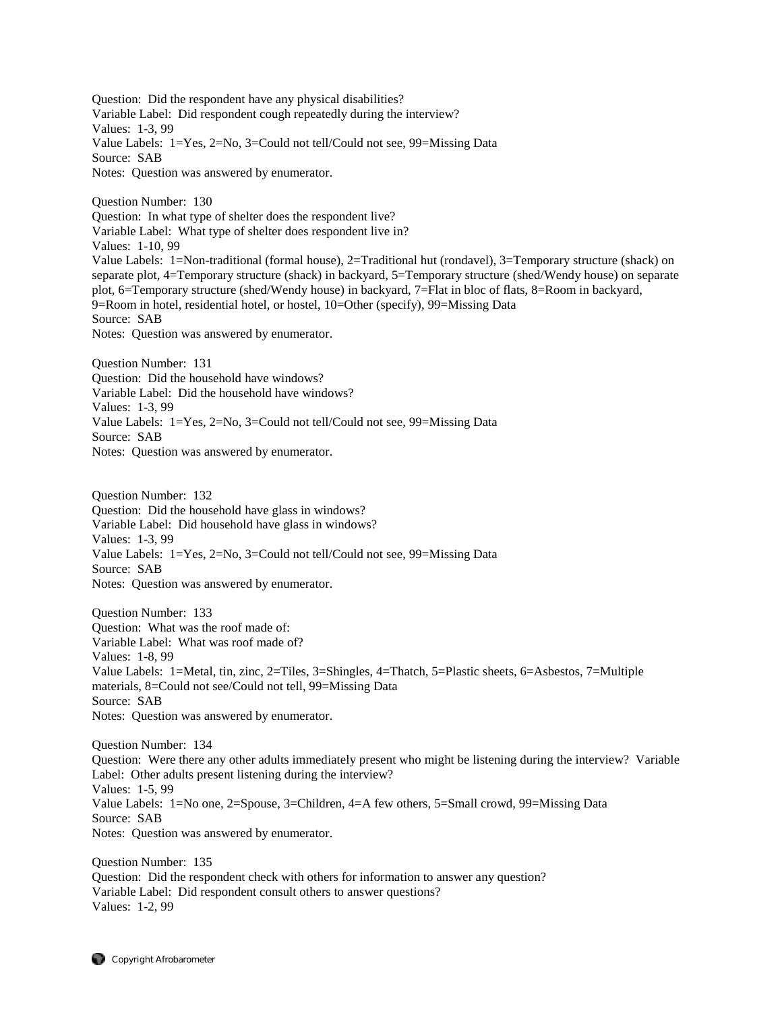Question: Did the respondent have any physical disabilities? Variable Label: Did respondent cough repeatedly during the interview? Values: 1-3, 99 Value Labels: 1=Yes, 2=No, 3=Could not tell/Could not see, 99=Missing Data Source: SAB Notes: Question was answered by enumerator.

Question Number: 130 Question: In what type of shelter does the respondent live? Variable Label: What type of shelter does respondent live in? Values: 1-10, 99 Value Labels: 1=Non-traditional (formal house), 2=Traditional hut (rondavel), 3=Temporary structure (shack) on separate plot, 4=Temporary structure (shack) in backyard, 5=Temporary structure (shed/Wendy house) on separate plot, 6=Temporary structure (shed/Wendy house) in backyard, 7=Flat in bloc of flats, 8=Room in backyard, 9=Room in hotel, residential hotel, or hostel, 10=Other (specify), 99=Missing Data Source: SAB Notes: Question was answered by enumerator.

Question Number: 131 Question: Did the household have windows? Variable Label: Did the household have windows? Values: 1-3, 99 Value Labels: 1=Yes, 2=No, 3=Could not tell/Could not see, 99=Missing Data Source: SAB Notes: Question was answered by enumerator.

Question Number: 132 Question: Did the household have glass in windows? Variable Label: Did household have glass in windows? Values: 1-3, 99 Value Labels: 1=Yes, 2=No, 3=Could not tell/Could not see, 99=Missing Data Source: SAB Notes: Question was answered by enumerator.

Question Number: 133 Question: What was the roof made of: Variable Label: What was roof made of? Values: 1-8, 99 Value Labels: 1=Metal, tin, zinc, 2=Tiles, 3=Shingles, 4=Thatch, 5=Plastic sheets, 6=Asbestos, 7=Multiple materials, 8=Could not see/Could not tell, 99=Missing Data Source: SAB Notes: Question was answered by enumerator.

Question Number: 134 Question: Were there any other adults immediately present who might be listening during the interview? Variable Label: Other adults present listening during the interview? Values: 1-5, 99 Value Labels: 1=No one, 2=Spouse, 3=Children, 4=A few others, 5=Small crowd, 99=Missing Data Source: SAB Notes: Question was answered by enumerator.

Question Number: 135 Question: Did the respondent check with others for information to answer any question? Variable Label: Did respondent consult others to answer questions? Values: 1-2, 99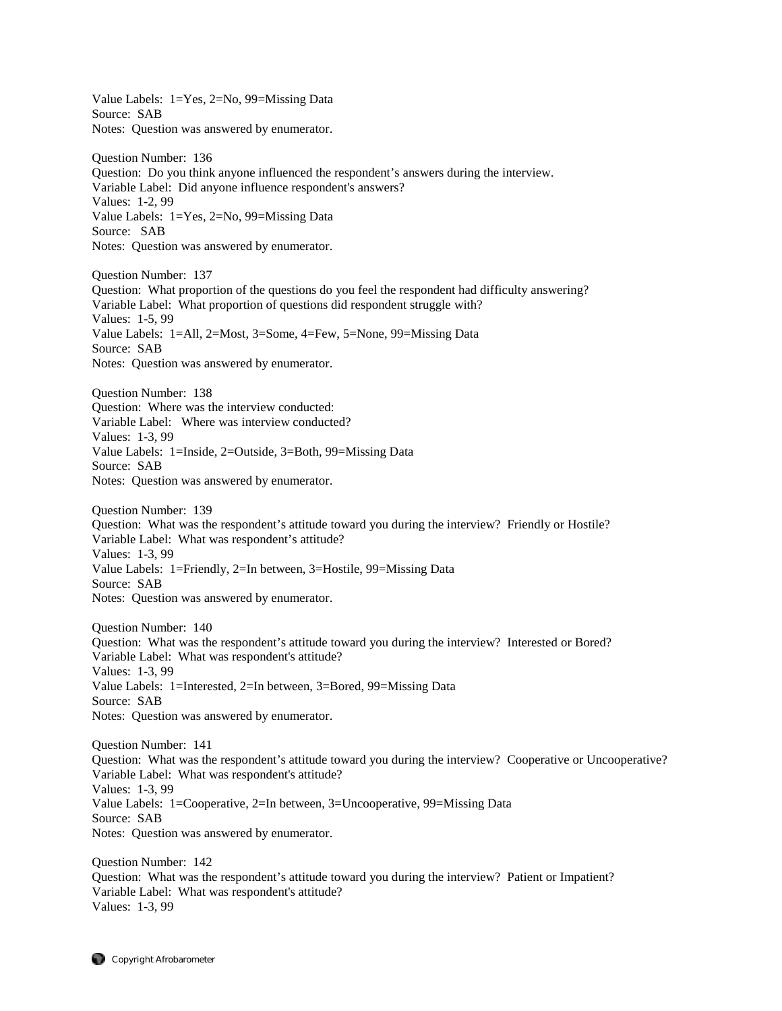Value Labels: 1=Yes, 2=No, 99=Missing Data Source: SAB Notes: Question was answered by enumerator. Question Number: 136 Question: Do you think anyone influenced the respondent's answers during the interview. Variable Label: Did anyone influence respondent's answers? Values: 1-2, 99 Value Labels: 1=Yes, 2=No, 99=Missing Data Source: SAB Notes: Question was answered by enumerator. Question Number: 137 Question: What proportion of the questions do you feel the respondent had difficulty answering? Variable Label: What proportion of questions did respondent struggle with? Values: 1-5, 99 Value Labels: 1=All, 2=Most, 3=Some, 4=Few, 5=None, 99=Missing Data Source: SAB Notes: Question was answered by enumerator. Question Number: 138 Question: Where was the interview conducted: Variable Label: Where was interview conducted? Values: 1-3, 99 Value Labels: 1=Inside, 2=Outside, 3=Both, 99=Missing Data Source: SAB Notes: Question was answered by enumerator. Question Number: 139 Question: What was the respondent's attitude toward you during the interview? Friendly or Hostile? Variable Label: What was respondent's attitude? Values: 1-3, 99 Value Labels: 1=Friendly, 2=In between, 3=Hostile, 99=Missing Data Source: SAB Notes: Question was answered by enumerator. Question Number: 140 Question: What was the respondent's attitude toward you during the interview? Interested or Bored? Variable Label: What was respondent's attitude? Values: 1-3, 99 Value Labels: 1=Interested, 2=In between, 3=Bored, 99=Missing Data Source: SAB Notes: Question was answered by enumerator. Question Number: 141 Question: What was the respondent's attitude toward you during the interview? Cooperative or Uncooperative? Variable Label: What was respondent's attitude? Values: 1-3, 99 Value Labels: 1=Cooperative, 2=In between, 3=Uncooperative, 99=Missing Data Source: SAB Notes: Question was answered by enumerator. Question Number: 142 Question: What was the respondent's attitude toward you during the interview? Patient or Impatient? Variable Label: What was respondent's attitude? Values: 1-3, 99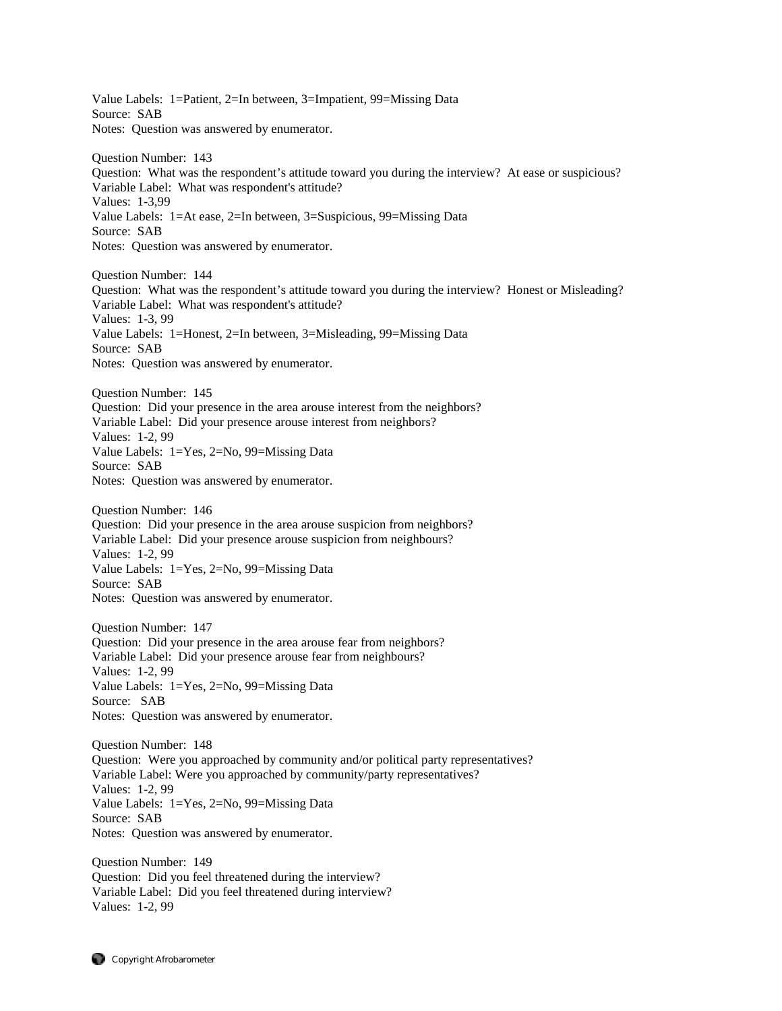Value Labels: 1=Patient, 2=In between, 3=Impatient, 99=Missing Data Source: SAB Notes: Question was answered by enumerator. Question Number: 143 Question: What was the respondent's attitude toward you during the interview? At ease or suspicious? Variable Label: What was respondent's attitude? Values: 1-3,99 Value Labels: 1=At ease, 2=In between, 3=Suspicious, 99=Missing Data Source: SAB Notes: Question was answered by enumerator. Question Number: 144 Question: What was the respondent's attitude toward you during the interview? Honest or Misleading? Variable Label: What was respondent's attitude? Values: 1-3, 99 Value Labels: 1=Honest, 2=In between, 3=Misleading, 99=Missing Data Source: SAB Notes: Question was answered by enumerator. Question Number: 145 Question: Did your presence in the area arouse interest from the neighbors? Variable Label: Did your presence arouse interest from neighbors? Values: 1-2, 99 Value Labels: 1=Yes, 2=No, 99=Missing Data Source: SAB Notes: Question was answered by enumerator. Question Number: 146 Question: Did your presence in the area arouse suspicion from neighbors? Variable Label: Did your presence arouse suspicion from neighbours? Values: 1-2, 99 Value Labels: 1=Yes, 2=No, 99=Missing Data Source: SAB Notes: Question was answered by enumerator. Question Number: 147 Question: Did your presence in the area arouse fear from neighbors? Variable Label: Did your presence arouse fear from neighbours? Values: 1-2, 99 Value Labels: 1=Yes, 2=No, 99=Missing Data Source: SAB Notes: Question was answered by enumerator. Question Number: 148 Question: Were you approached by community and/or political party representatives? Variable Label: Were you approached by community/party representatives? Values: 1-2, 99 Value Labels: 1=Yes, 2=No, 99=Missing Data Source: SAB Notes: Question was answered by enumerator. Question Number: 149 Question: Did you feel threatened during the interview? Variable Label: Did you feel threatened during interview? Values: 1-2, 99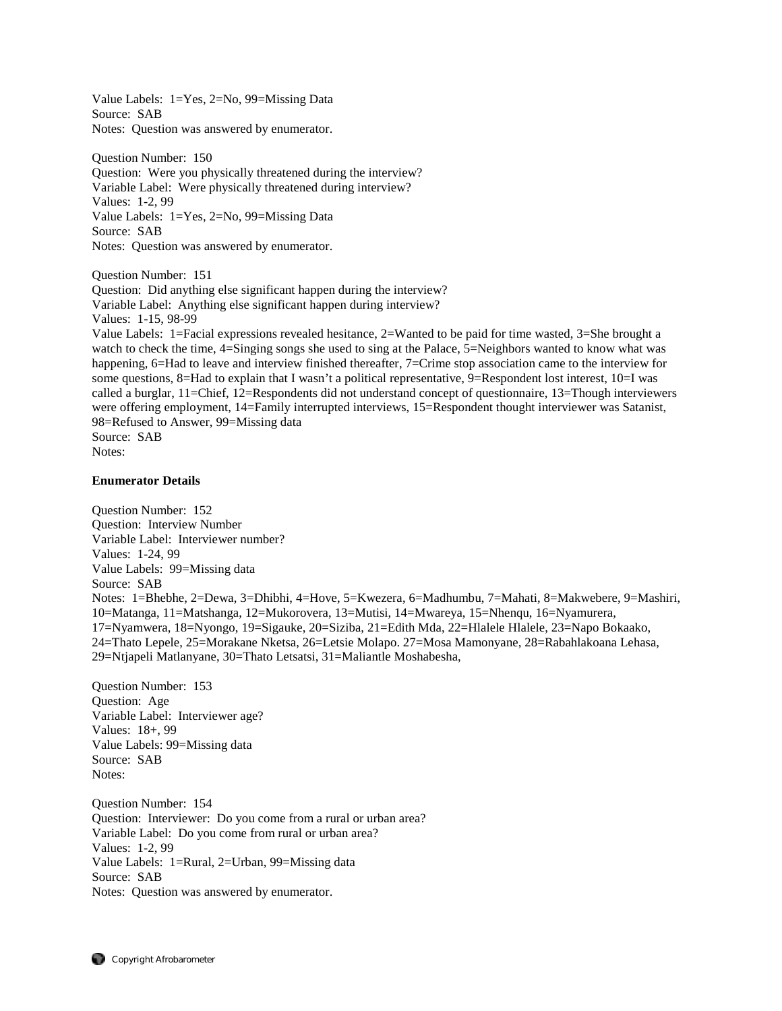Value Labels: 1=Yes, 2=No, 99=Missing Data Source: SAB Notes: Question was answered by enumerator.

Question Number: 150 Question: Were you physically threatened during the interview? Variable Label: Were physically threatened during interview? Values: 1-2, 99 Value Labels: 1=Yes, 2=No, 99=Missing Data Source: SAB Notes: Question was answered by enumerator.

Question Number: 151 Question: Did anything else significant happen during the interview? Variable Label: Anything else significant happen during interview? Values: 1-15, 98-99

Value Labels: 1=Facial expressions revealed hesitance, 2=Wanted to be paid for time wasted, 3=She brought a watch to check the time, 4=Singing songs she used to sing at the Palace, 5=Neighbors wanted to know what was happening, 6=Had to leave and interview finished thereafter, 7=Crime stop association came to the interview for some questions, 8=Had to explain that I wasn't a political representative, 9=Respondent lost interest, 10=I was called a burglar, 11=Chief, 12=Respondents did not understand concept of questionnaire, 13=Though interviewers were offering employment, 14=Family interrupted interviews, 15=Respondent thought interviewer was Satanist, 98=Refused to Answer, 99=Missing data Source: SAB Notes:

# **Enumerator Details**

Question Number: 152 Question: Interview Number Variable Label: Interviewer number? Values: 1-24, 99 Value Labels: 99=Missing data Source: SAB Notes: 1=Bhebhe, 2=Dewa, 3=Dhibhi, 4=Hove, 5=Kwezera, 6=Madhumbu, 7=Mahati, 8=Makwebere, 9=Mashiri, 10=Matanga, 11=Matshanga, 12=Mukorovera, 13=Mutisi, 14=Mwareya, 15=Nhenqu, 16=Nyamurera, 17=Nyamwera, 18=Nyongo, 19=Sigauke, 20=Siziba, 21=Edith Mda, 22=Hlalele Hlalele, 23=Napo Bokaako, 24=Thato Lepele, 25=Morakane Nketsa, 26=Letsie Molapo. 27=Mosa Mamonyane, 28=Rabahlakoana Lehasa, 29=Ntjapeli Matlanyane, 30=Thato Letsatsi, 31=Maliantle Moshabesha,

Question Number: 153 Question: Age Variable Label: Interviewer age? Values: 18+, 99 Value Labels: 99=Missing data Source: SAB Notes:

Question Number: 154 Question: Interviewer: Do you come from a rural or urban area? Variable Label: Do you come from rural or urban area? Values: 1-2, 99 Value Labels: 1=Rural, 2=Urban, 99=Missing data Source: SAB Notes: Question was answered by enumerator.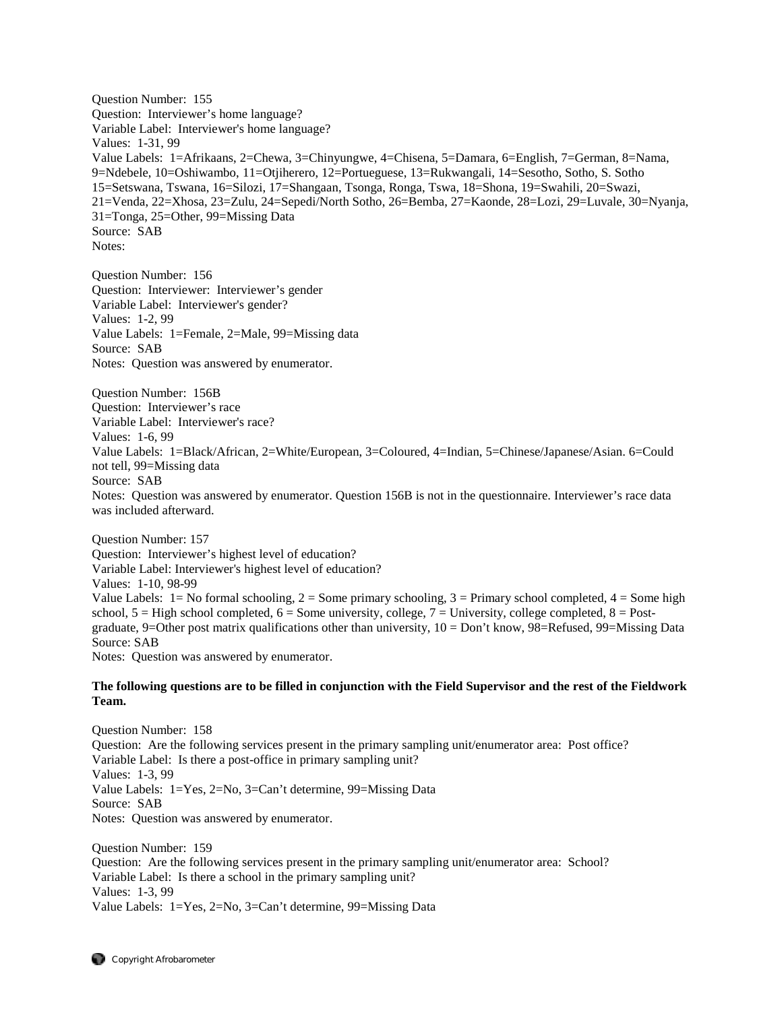Question Number: 155 Question: Interviewer's home language? Variable Label: Interviewer's home language? Values: 1-31, 99 Value Labels: 1=Afrikaans, 2=Chewa, 3=Chinyungwe, 4=Chisena, 5=Damara, 6=English, 7=German, 8=Nama, 9=Ndebele, 10=Oshiwambo, 11=Otjiherero, 12=Portueguese, 13=Rukwangali, 14=Sesotho, Sotho, S. Sotho 15=Setswana, Tswana, 16=Silozi, 17=Shangaan, Tsonga, Ronga, Tswa, 18=Shona, 19=Swahili, 20=Swazi, 21=Venda, 22=Xhosa, 23=Zulu, 24=Sepedi/North Sotho, 26=Bemba, 27=Kaonde, 28=Lozi, 29=Luvale, 30=Nyanja, 31=Tonga, 25=Other, 99=Missing Data Source: SAB Notes:

Question Number: 156 Question: Interviewer: Interviewer's gender Variable Label: Interviewer's gender? Values: 1-2, 99 Value Labels: 1=Female, 2=Male, 99=Missing data Source: SAB Notes: Question was answered by enumerator.

Question Number: 156B Question: Interviewer's race Variable Label: Interviewer's race? Values: 1-6, 99 Value Labels: 1=Black/African, 2=White/European, 3=Coloured, 4=Indian, 5=Chinese/Japanese/Asian. 6=Could not tell, 99=Missing data Source: SAB Notes: Question was answered by enumerator. Question 156B is not in the questionnaire. Interviewer's race data was included afterward.

Question Number: 157 Question: Interviewer's highest level of education? Variable Label: Interviewer's highest level of education? Values: 1-10, 98-99 Value Labels:  $1 = No$  formal schooling,  $2 = Some$  primary schooling,  $3 = Primary$  school completed,  $4 = Some$  high school,  $5 =$  High school completed,  $6 =$  Some university, college,  $7 =$  University, college completed,  $8 =$  Postgraduate, 9=Other post matrix qualifications other than university, 10 = Don't know, 98=Refused, 99=Missing Data Source: SAB Notes: Question was answered by enumerator.

# **The following questions are to be filled in conjunction with the Field Supervisor and the rest of the Fieldwork Team.**

Question Number: 158 Question: Are the following services present in the primary sampling unit/enumerator area: Post office? Variable Label: Is there a post-office in primary sampling unit? Values: 1-3, 99 Value Labels: 1=Yes, 2=No, 3=Can't determine, 99=Missing Data Source: SAB Notes: Question was answered by enumerator.

Question Number: 159 Question: Are the following services present in the primary sampling unit/enumerator area: School? Variable Label: Is there a school in the primary sampling unit? Values: 1-3, 99 Value Labels: 1=Yes, 2=No, 3=Can't determine, 99=Missing Data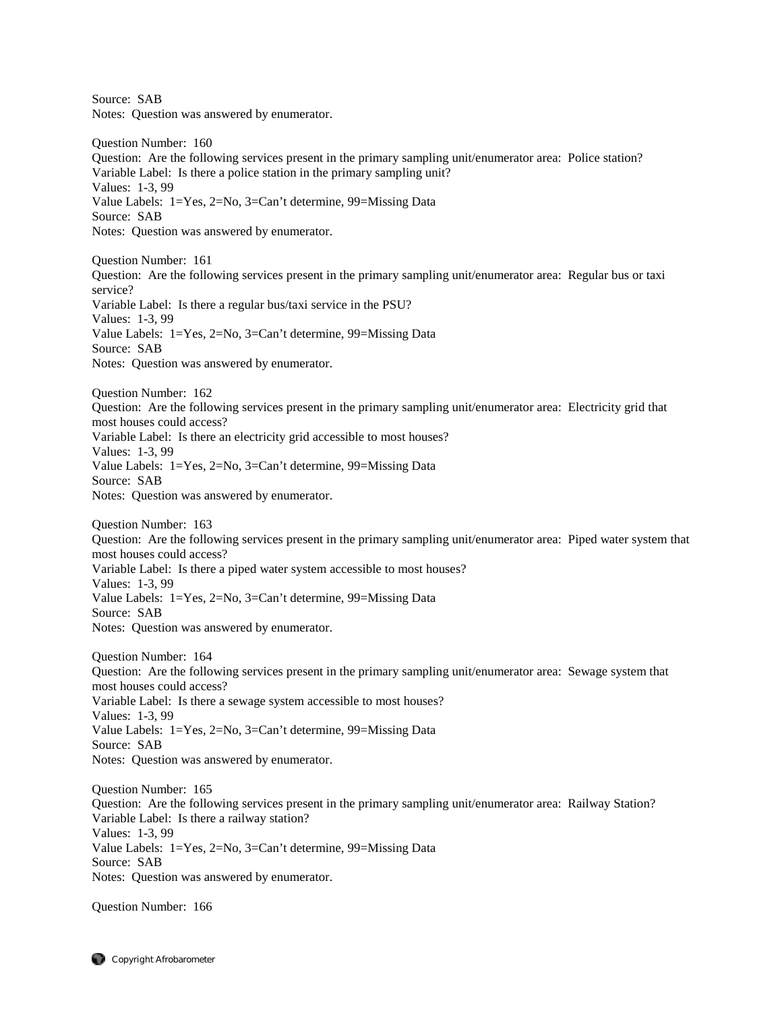Source: SAB Notes: Question was answered by enumerator. Question Number: 160 Question: Are the following services present in the primary sampling unit/enumerator area: Police station? Variable Label: Is there a police station in the primary sampling unit? Values: 1-3, 99 Value Labels: 1=Yes, 2=No, 3=Can't determine, 99=Missing Data Source: SAB Notes: Question was answered by enumerator. Question Number: 161 Question: Are the following services present in the primary sampling unit/enumerator area: Regular bus or taxi service? Variable Label: Is there a regular bus/taxi service in the PSU? Values: 1-3, 99 Value Labels: 1=Yes, 2=No, 3=Can't determine, 99=Missing Data Source: SAB Notes: Question was answered by enumerator. Question Number: 162 Question: Are the following services present in the primary sampling unit/enumerator area: Electricity grid that most houses could access? Variable Label: Is there an electricity grid accessible to most houses? Values: 1-3, 99 Value Labels: 1=Yes, 2=No, 3=Can't determine, 99=Missing Data Source: SAB Notes: Question was answered by enumerator. Question Number: 163 Question: Are the following services present in the primary sampling unit/enumerator area: Piped water system that most houses could access? Variable Label: Is there a piped water system accessible to most houses? Values: 1-3, 99 Value Labels: 1=Yes, 2=No, 3=Can't determine, 99=Missing Data Source: SAB Notes: Question was answered by enumerator. Question Number: 164 Question: Are the following services present in the primary sampling unit/enumerator area: Sewage system that most houses could access? Variable Label: Is there a sewage system accessible to most houses? Values: 1-3, 99 Value Labels: 1=Yes, 2=No, 3=Can't determine, 99=Missing Data Source: SAB Notes: Question was answered by enumerator. Question Number: 165 Question: Are the following services present in the primary sampling unit/enumerator area: Railway Station? Variable Label: Is there a railway station? Values: 1-3, 99 Value Labels: 1=Yes, 2=No, 3=Can't determine, 99=Missing Data Source: SAB Notes: Question was answered by enumerator.

Question Number: 166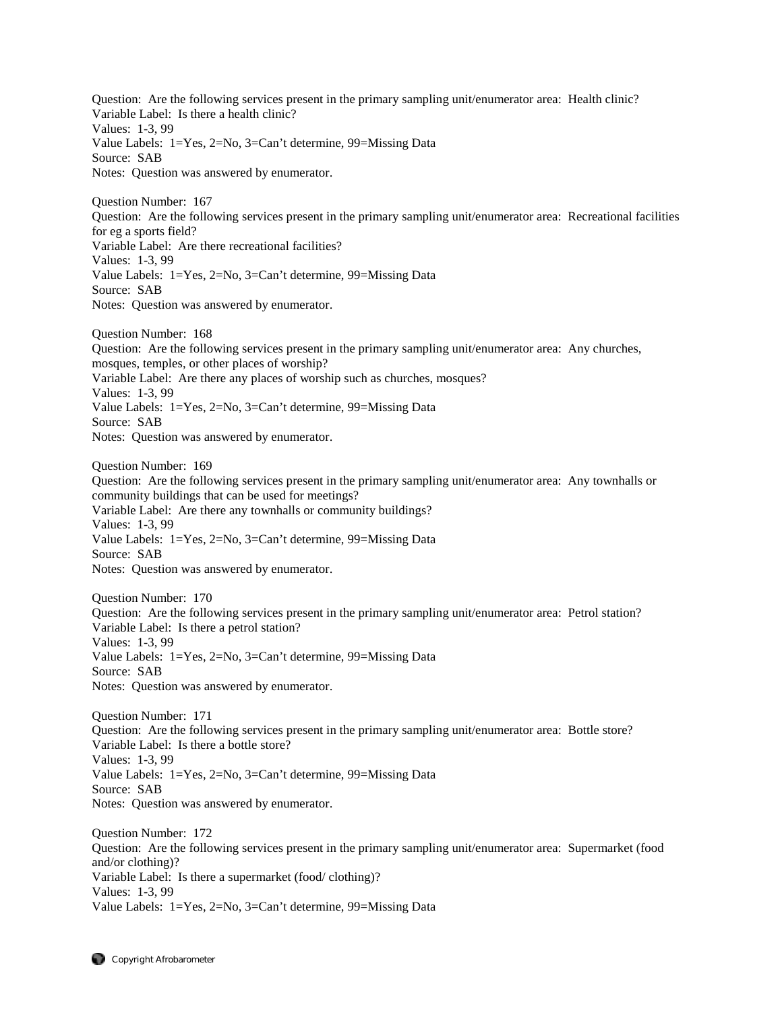Question: Are the following services present in the primary sampling unit/enumerator area: Health clinic? Variable Label: Is there a health clinic? Values: 1-3, 99 Value Labels: 1=Yes, 2=No, 3=Can't determine, 99=Missing Data Source: SAB Notes: Question was answered by enumerator.

Question Number: 167 Question: Are the following services present in the primary sampling unit/enumerator area: Recreational facilities for eg a sports field? Variable Label: Are there recreational facilities? Values: 1-3, 99 Value Labels: 1=Yes, 2=No, 3=Can't determine, 99=Missing Data Source: SAB Notes: Question was answered by enumerator.

Question Number: 168 Question: Are the following services present in the primary sampling unit/enumerator area: Any churches, mosques, temples, or other places of worship? Variable Label: Are there any places of worship such as churches, mosques? Values: 1-3, 99 Value Labels: 1=Yes, 2=No, 3=Can't determine, 99=Missing Data Source: SAB Notes: Question was answered by enumerator.

Question Number: 169 Question: Are the following services present in the primary sampling unit/enumerator area: Any townhalls or community buildings that can be used for meetings? Variable Label: Are there any townhalls or community buildings? Values: 1-3, 99 Value Labels: 1=Yes, 2=No, 3=Can't determine, 99=Missing Data Source: SAB Notes: Question was answered by enumerator.

Question Number: 170 Question: Are the following services present in the primary sampling unit/enumerator area: Petrol station? Variable Label: Is there a petrol station? Values: 1-3, 99 Value Labels: 1=Yes, 2=No, 3=Can't determine, 99=Missing Data Source: SAB Notes: Question was answered by enumerator.

Question Number: 171 Question: Are the following services present in the primary sampling unit/enumerator area: Bottle store? Variable Label: Is there a bottle store? Values: 1-3, 99 Value Labels: 1=Yes, 2=No, 3=Can't determine, 99=Missing Data Source: SAB Notes: Question was answered by enumerator.

Question Number: 172 Question: Are the following services present in the primary sampling unit/enumerator area: Supermarket (food and/or clothing)? Variable Label: Is there a supermarket (food/ clothing)? Values: 1-3, 99 Value Labels: 1=Yes, 2=No, 3=Can't determine, 99=Missing Data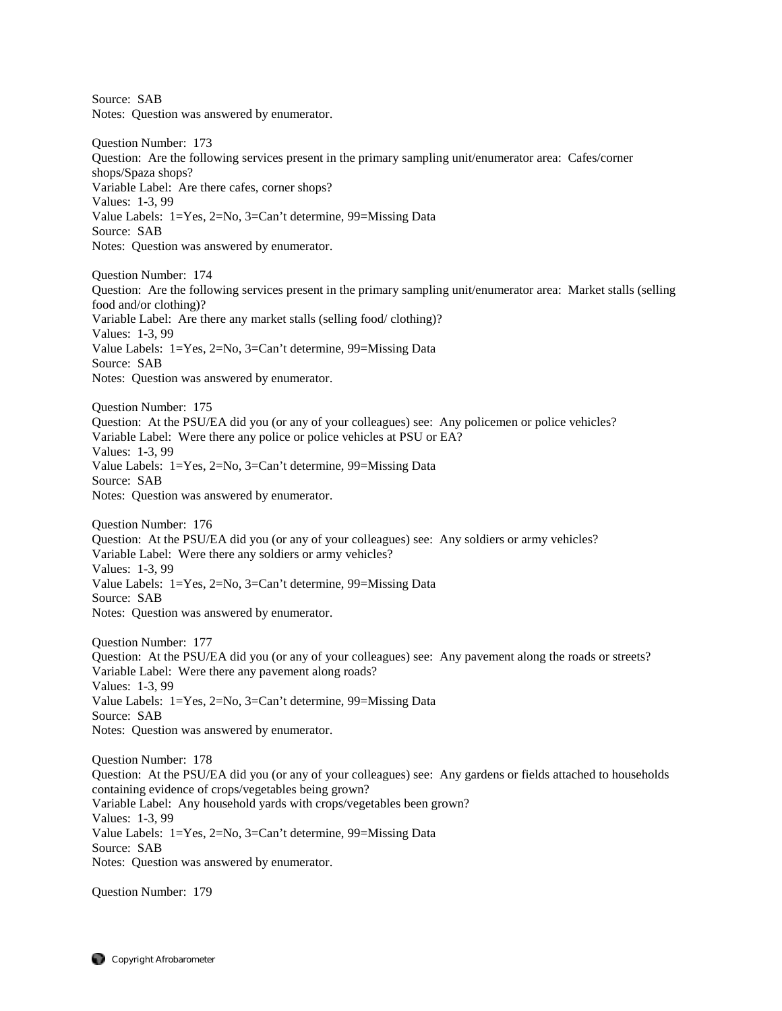Source: SAB Notes: Question was answered by enumerator.

Question Number: 173 Question: Are the following services present in the primary sampling unit/enumerator area: Cafes/corner shops/Spaza shops? Variable Label: Are there cafes, corner shops? Values: 1-3, 99 Value Labels: 1=Yes, 2=No, 3=Can't determine, 99=Missing Data Source: SAB Notes: Question was answered by enumerator.

Question Number: 174 Question: Are the following services present in the primary sampling unit/enumerator area: Market stalls (selling food and/or clothing)? Variable Label: Are there any market stalls (selling food/ clothing)? Values: 1-3, 99 Value Labels: 1=Yes, 2=No, 3=Can't determine, 99=Missing Data Source: SAB Notes: Question was answered by enumerator.

Question Number: 175 Question: At the PSU/EA did you (or any of your colleagues) see: Any policemen or police vehicles? Variable Label: Were there any police or police vehicles at PSU or EA? Values: 1-3, 99 Value Labels: 1=Yes, 2=No, 3=Can't determine, 99=Missing Data Source: SAB Notes: Question was answered by enumerator.

Question Number: 176 Question: At the PSU/EA did you (or any of your colleagues) see: Any soldiers or army vehicles? Variable Label: Were there any soldiers or army vehicles? Values: 1-3, 99 Value Labels: 1=Yes, 2=No, 3=Can't determine, 99=Missing Data Source: SAB Notes: Question was answered by enumerator.

Question Number: 177 Question: At the PSU/EA did you (or any of your colleagues) see: Any pavement along the roads or streets? Variable Label: Were there any pavement along roads? Values: 1-3, 99 Value Labels: 1=Yes, 2=No, 3=Can't determine, 99=Missing Data Source: SAB Notes: Question was answered by enumerator.

Question Number: 178 Question: At the PSU/EA did you (or any of your colleagues) see: Any gardens or fields attached to households containing evidence of crops/vegetables being grown? Variable Label: Any household yards with crops/vegetables been grown? Values: 1-3, 99 Value Labels: 1=Yes, 2=No, 3=Can't determine, 99=Missing Data Source: SAB Notes: Question was answered by enumerator.

Question Number: 179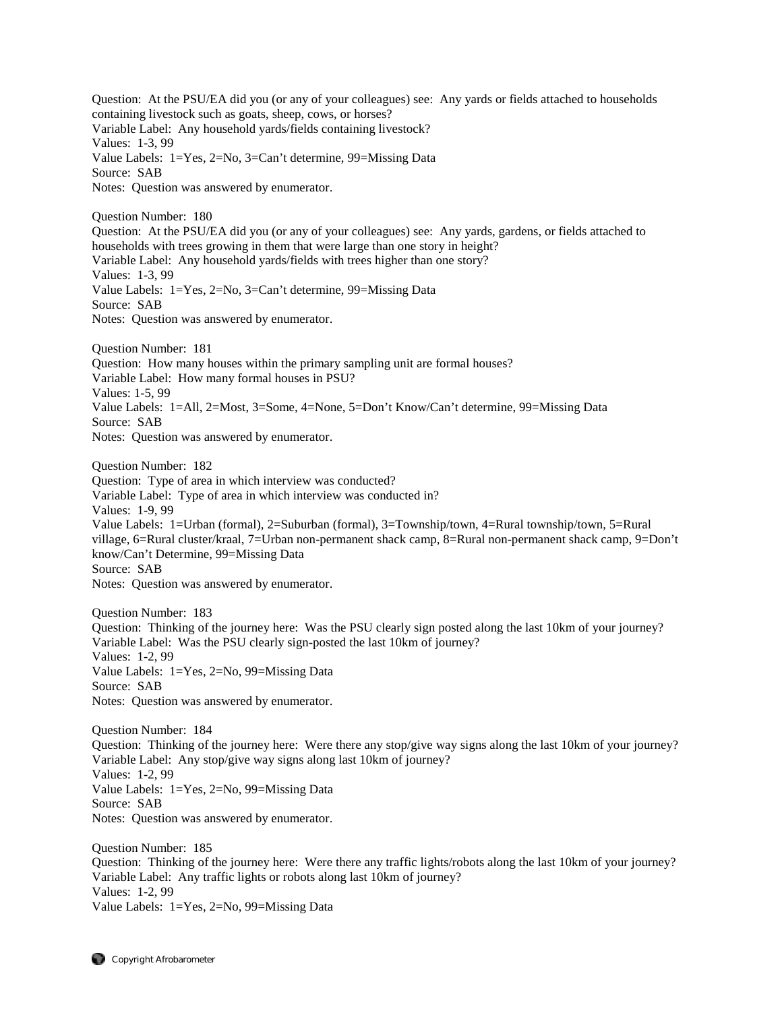Question: At the PSU/EA did you (or any of your colleagues) see: Any yards or fields attached to households containing livestock such as goats, sheep, cows, or horses? Variable Label: Any household yards/fields containing livestock? Values: 1-3, 99 Value Labels: 1=Yes, 2=No, 3=Can't determine, 99=Missing Data Source: SAB Notes: Question was answered by enumerator. Question Number: 180 Question: At the PSU/EA did you (or any of your colleagues) see: Any yards, gardens, or fields attached to households with trees growing in them that were large than one story in height? Variable Label: Any household yards/fields with trees higher than one story? Values: 1-3, 99 Value Labels: 1=Yes, 2=No, 3=Can't determine, 99=Missing Data Source: SAB Notes: Question was answered by enumerator. Question Number: 181 Question: How many houses within the primary sampling unit are formal houses? Variable Label: How many formal houses in PSU? Values: 1-5, 99 Value Labels: 1=All, 2=Most, 3=Some, 4=None, 5=Don't Know/Can't determine, 99=Missing Data Source: SAB Notes: Question was answered by enumerator. Question Number: 182 Question: Type of area in which interview was conducted? Variable Label: Type of area in which interview was conducted in? Values: 1-9, 99 Value Labels: 1=Urban (formal), 2=Suburban (formal), 3=Township/town, 4=Rural township/town, 5=Rural village, 6=Rural cluster/kraal, 7=Urban non-permanent shack camp, 8=Rural non-permanent shack camp, 9=Don't know/Can't Determine, 99=Missing Data Source: SAB Notes: Question was answered by enumerator. Question Number: 183 Question: Thinking of the journey here: Was the PSU clearly sign posted along the last 10km of your journey? Variable Label: Was the PSU clearly sign-posted the last 10km of journey? Values: 1-2, 99 Value Labels: 1=Yes, 2=No, 99=Missing Data Source: SAB Notes: Question was answered by enumerator. Question Number: 184 Question: Thinking of the journey here: Were there any stop/give way signs along the last 10km of your journey? Variable Label: Any stop/give way signs along last 10km of journey? Values: 1-2, 99 Value Labels: 1=Yes, 2=No, 99=Missing Data Source: SAB Notes: Question was answered by enumerator. Question Number: 185 Question: Thinking of the journey here: Were there any traffic lights/robots along the last 10km of your journey?

Variable Label: Any traffic lights or robots along last 10km of journey? Values: 1-2, 99 Value Labels: 1=Yes, 2=No, 99=Missing Data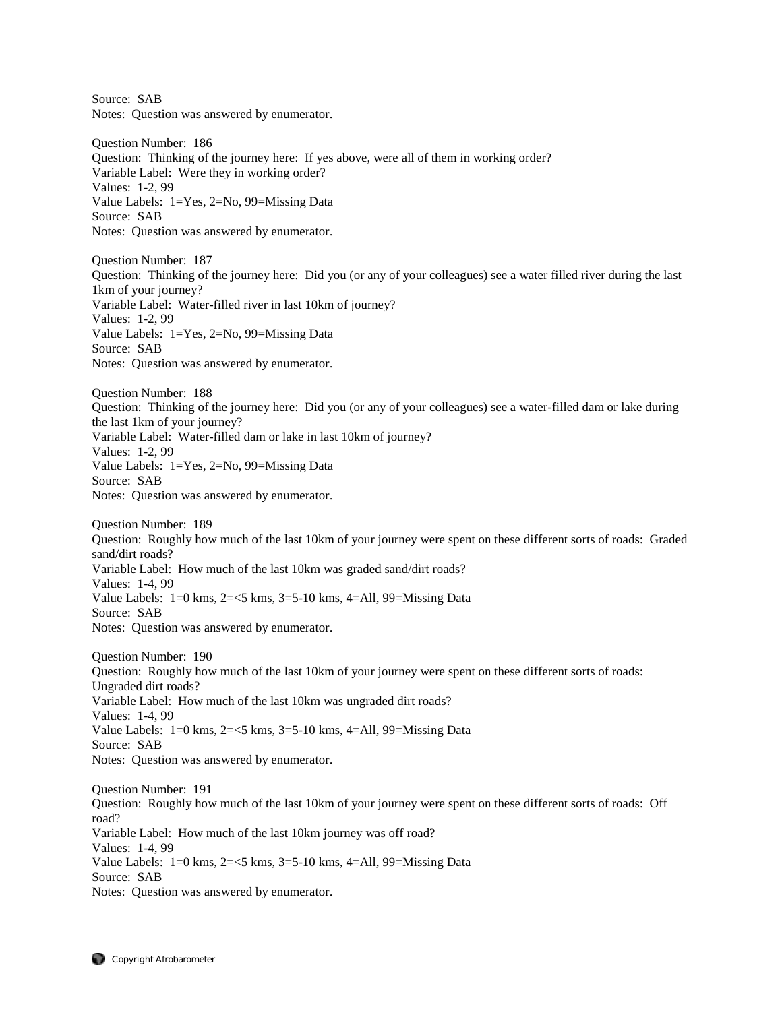Source: SAB Notes: Question was answered by enumerator. Question Number: 186 Question: Thinking of the journey here: If yes above, were all of them in working order? Variable Label: Were they in working order? Values: 1-2, 99 Value Labels: 1=Yes, 2=No, 99=Missing Data Source: SAB Notes: Question was answered by enumerator. Question Number: 187 Question: Thinking of the journey here: Did you (or any of your colleagues) see a water filled river during the last 1km of your journey? Variable Label: Water-filled river in last 10km of journey? Values: 1-2, 99 Value Labels: 1=Yes, 2=No, 99=Missing Data Source: SAB Notes: Question was answered by enumerator. Question Number: 188 Question: Thinking of the journey here: Did you (or any of your colleagues) see a water-filled dam or lake during the last 1km of your journey? Variable Label: Water-filled dam or lake in last 10km of journey? Values: 1-2, 99 Value Labels: 1=Yes, 2=No, 99=Missing Data Source: SAB Notes: Question was answered by enumerator. Question Number: 189 Question: Roughly how much of the last 10km of your journey were spent on these different sorts of roads: Graded sand/dirt roads? Variable Label: How much of the last 10km was graded sand/dirt roads? Values: 1-4, 99 Value Labels:  $1=0$  kms,  $2=<5$  kms,  $3=5-10$  kms,  $4=$ All,  $99=$ Missing Data Source: SAB Notes: Question was answered by enumerator. Question Number: 190 Question: Roughly how much of the last 10km of your journey were spent on these different sorts of roads: Ungraded dirt roads? Variable Label: How much of the last 10km was ungraded dirt roads? Values: 1-4, 99 Value Labels: 1=0 kms, 2=<5 kms, 3=5-10 kms, 4=All, 99=Missing Data Source: SAB Notes: Question was answered by enumerator. Question Number: 191 Question: Roughly how much of the last 10km of your journey were spent on these different sorts of roads: Off road? Variable Label: How much of the last 10km journey was off road? Values: 1-4, 99 Value Labels: 1=0 kms, 2=<5 kms, 3=5-10 kms, 4=All, 99=Missing Data Source: SAB Notes: Question was answered by enumerator.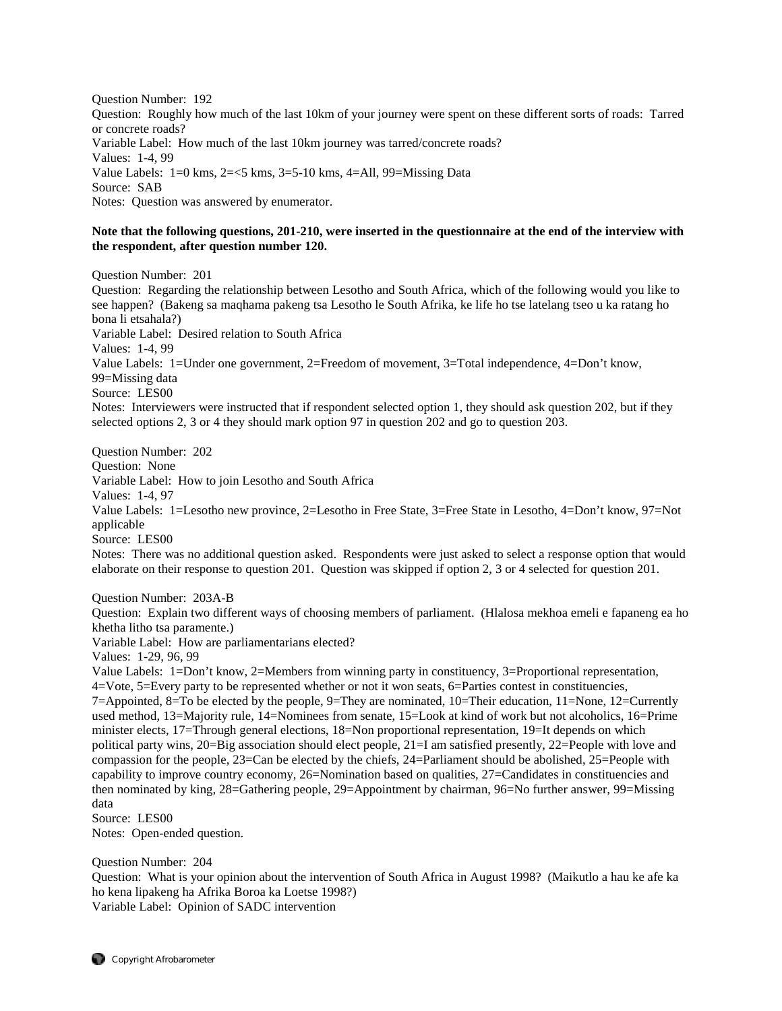Question Number: 192 Question: Roughly how much of the last 10km of your journey were spent on these different sorts of roads: Tarred or concrete roads? Variable Label: How much of the last 10km journey was tarred/concrete roads? Values: 1-4, 99 Value Labels:  $1=0$  kms,  $2=<5$  kms,  $3=5-10$  kms,  $4=$ All,  $99=$ Missing Data Source: SAB Notes: Question was answered by enumerator.

# **Note that the following questions, 201-210, were inserted in the questionnaire at the end of the interview with the respondent, after question number 120.**

Question Number: 201

Question: Regarding the relationship between Lesotho and South Africa, which of the following would you like to see happen? (Bakeng sa maqhama pakeng tsa Lesotho le South Afrika, ke life ho tse latelang tseo u ka ratang ho bona li etsahala?) Variable Label: Desired relation to South Africa Values: 1-4, 99 Value Labels: 1=Under one government, 2=Freedom of movement, 3=Total independence, 4=Don't know, 99=Missing data Source: LES00 Notes: Interviewers were instructed that if respondent selected option 1, they should ask question 202, but if they selected options 2, 3 or 4 they should mark option 97 in question 202 and go to question 203.

Question Number: 202 Question: None Variable Label: How to join Lesotho and South Africa Values: 1-4, 97 Value Labels: 1=Lesotho new province, 2=Lesotho in Free State, 3=Free State in Lesotho, 4=Don't know, 97=Not applicable Source: LES00

Notes: There was no additional question asked. Respondents were just asked to select a response option that would elaborate on their response to question 201. Question was skipped if option 2, 3 or 4 selected for question 201.

Question Number: 203A-B

Question: Explain two different ways of choosing members of parliament. (Hlalosa mekhoa emeli e fapaneng ea ho khetha litho tsa paramente.)

Variable Label: How are parliamentarians elected?

Values: 1-29, 96, 99

Value Labels: 1=Don't know, 2=Members from winning party in constituency, 3=Proportional representation, 4=Vote, 5=Every party to be represented whether or not it won seats, 6=Parties contest in constituencies, 7=Appointed, 8=To be elected by the people, 9=They are nominated, 10=Their education, 11=None, 12=Currently used method, 13=Majority rule, 14=Nominees from senate, 15=Look at kind of work but not alcoholics, 16=Prime minister elects, 17=Through general elections, 18=Non proportional representation, 19=It depends on which political party wins, 20=Big association should elect people, 21=I am satisfied presently, 22=People with love and compassion for the people, 23=Can be elected by the chiefs, 24=Parliament should be abolished, 25=People with capability to improve country economy, 26=Nomination based on qualities, 27=Candidates in constituencies and then nominated by king, 28=Gathering people, 29=Appointment by chairman, 96=No further answer, 99=Missing data

Source: LES00 Notes: Open-ended question.

Question Number: 204

Question: What is your opinion about the intervention of South Africa in August 1998? (Maikutlo a hau ke afe ka ho kena lipakeng ha Afrika Boroa ka Loetse 1998?) Variable Label: Opinion of SADC intervention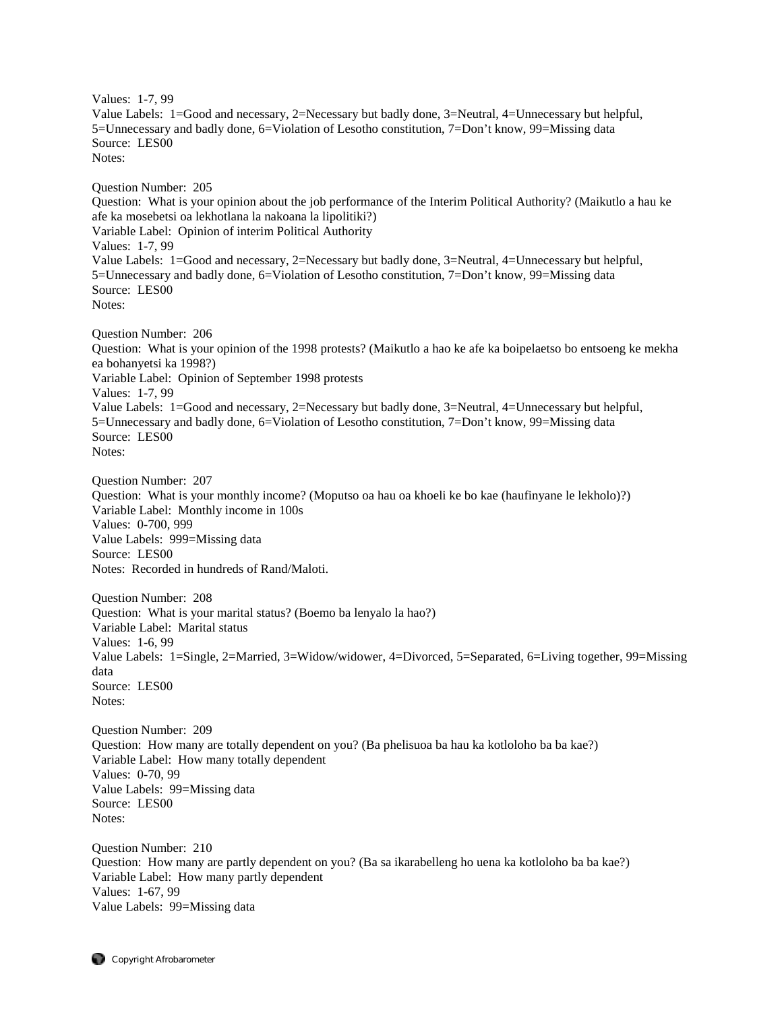Values: 1-7, 99 Value Labels: 1=Good and necessary, 2=Necessary but badly done, 3=Neutral, 4=Unnecessary but helpful, 5=Unnecessary and badly done, 6=Violation of Lesotho constitution, 7=Don't know, 99=Missing data Source: LES00 Notes: Question Number: 205 Question: What is your opinion about the job performance of the Interim Political Authority? (Maikutlo a hau ke afe ka mosebetsi oa lekhotlana la nakoana la lipolitiki?) Variable Label: Opinion of interim Political Authority Values: 1-7, 99 Value Labels: 1=Good and necessary, 2=Necessary but badly done, 3=Neutral, 4=Unnecessary but helpful, 5=Unnecessary and badly done, 6=Violation of Lesotho constitution, 7=Don't know, 99=Missing data Source: LES00 Notes: Question Number: 206 Question: What is your opinion of the 1998 protests? (Maikutlo a hao ke afe ka boipelaetso bo entsoeng ke mekha ea bohanyetsi ka 1998?) Variable Label: Opinion of September 1998 protests Values: 1-7, 99 Value Labels: 1=Good and necessary, 2=Necessary but badly done, 3=Neutral, 4=Unnecessary but helpful, 5=Unnecessary and badly done, 6=Violation of Lesotho constitution, 7=Don't know, 99=Missing data Source: LES00 Notes: Question Number: 207 Question: What is your monthly income? (Moputso oa hau oa khoeli ke bo kae (haufinyane le lekholo)?) Variable Label: Monthly income in 100s Values: 0-700, 999 Value Labels: 999=Missing data Source: LES00 Notes: Recorded in hundreds of Rand/Maloti. Question Number: 208 Question: What is your marital status? (Boemo ba lenyalo la hao?) Variable Label: Marital status Values: 1-6, 99 Value Labels: 1=Single, 2=Married, 3=Widow/widower, 4=Divorced, 5=Separated, 6=Living together, 99=Missing data Source: LES00 Notes: Question Number: 209 Question: How many are totally dependent on you? (Ba phelisuoa ba hau ka kotloloho ba ba kae?) Variable Label: How many totally dependent Values: 0-70, 99 Value Labels: 99=Missing data Source: LES00

Notes:

Question Number: 210 Question: How many are partly dependent on you? (Ba sa ikarabelleng ho uena ka kotloloho ba ba kae?) Variable Label: How many partly dependent Values: 1-67, 99 Value Labels: 99=Missing data